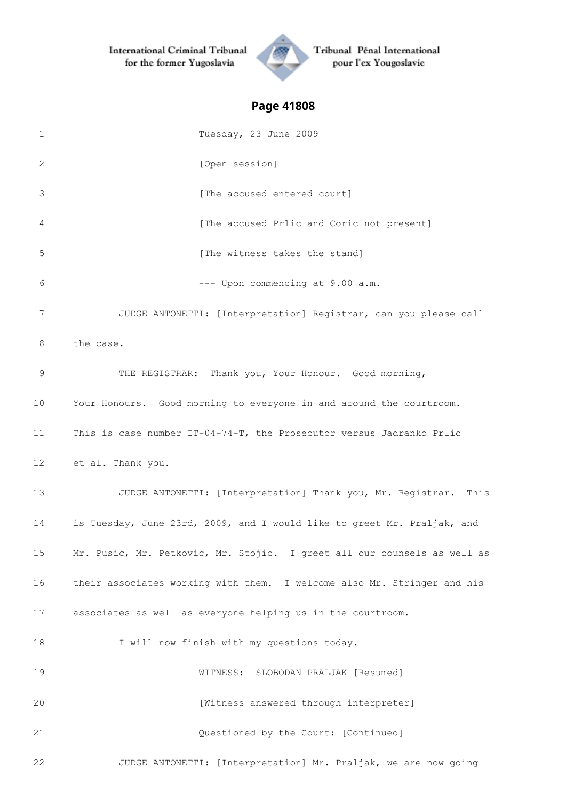

Tribunal Pénal International pour l'ex Yougoslavie

| 1  | Tuesday, 23 June 2009                                                    |
|----|--------------------------------------------------------------------------|
| 2  | [Open session]                                                           |
| 3  | [The accused entered court]                                              |
| 4  | [The accused Prlic and Coric not present]                                |
| 5  | [The witness takes the stand]                                            |
| 6  | --- Upon commencing at 9.00 a.m.                                         |
| 7  | JUDGE ANTONETTI: [Interpretation] Registrar, can you please call         |
| 8  | the case.                                                                |
| 9  | THE REGISTRAR: Thank you, Your Honour. Good morning,                     |
| 10 | Your Honours. Good morning to everyone in and around the courtroom.      |
| 11 | This is case number IT-04-74-T, the Prosecutor versus Jadranko Prlic     |
| 12 | et al. Thank you.                                                        |
| 13 | JUDGE ANTONETTI: [Interpretation] Thank you, Mr. Registrar.<br>This      |
| 14 | is Tuesday, June 23rd, 2009, and I would like to greet Mr. Praljak, and  |
| 15 | Mr. Pusic, Mr. Petkovic, Mr. Stojic. I greet all our counsels as well as |
| 16 | their associates working with them. I welcome also Mr. Stringer and his  |
| 17 | associates as well as everyone helping us in the courtroom.              |
| 18 | I will now finish with my questions today.                               |
| 19 | WITNESS: SLOBODAN PRALJAK [Resumed]                                      |
| 20 | [Witness answered through interpreter]                                   |
| 21 | Questioned by the Court: [Continued]                                     |
| 22 | JUDGE ANTONETTI: [Interpretation] Mr. Praljak, we are now going          |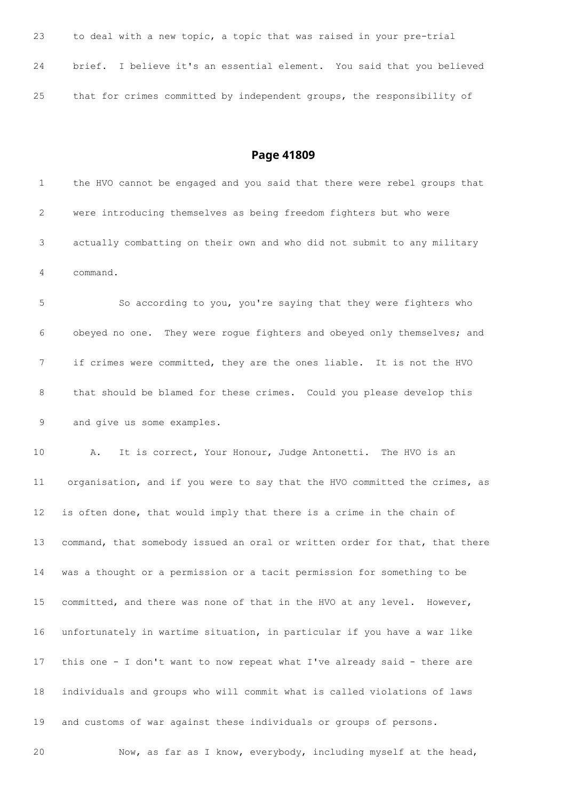| 23 | to deal with a new topic, a topic that was raised in your pre-trial    |
|----|------------------------------------------------------------------------|
| 24 | brief. I believe it's an essential element. You said that you believed |
| 25 | that for crimes committed by independent groups, the responsibility of |

 the HVO cannot be engaged and you said that there were rebel groups that were introducing themselves as being freedom fighters but who were actually combatting on their own and who did not submit to any military command. So according to you, you're saying that they were fighters who obeyed no one. They were rogue fighters and obeyed only themselves; and if crimes were committed, they are the ones liable. It is not the HVO that should be blamed for these crimes. Could you please develop this and give us some examples. A. It is correct, Your Honour, Judge Antonetti. The HVO is an organisation, and if you were to say that the HVO committed the crimes, as is often done, that would imply that there is a crime in the chain of 13 command, that somebody issued an oral or written order for that, that there was a thought or a permission or a tacit permission for something to be committed, and there was none of that in the HVO at any level. However, unfortunately in wartime situation, in particular if you have a war like this one - I don't want to now repeat what I've already said - there are individuals and groups who will commit what is called violations of laws and customs of war against these individuals or groups of persons. Now, as far as I know, everybody, including myself at the head,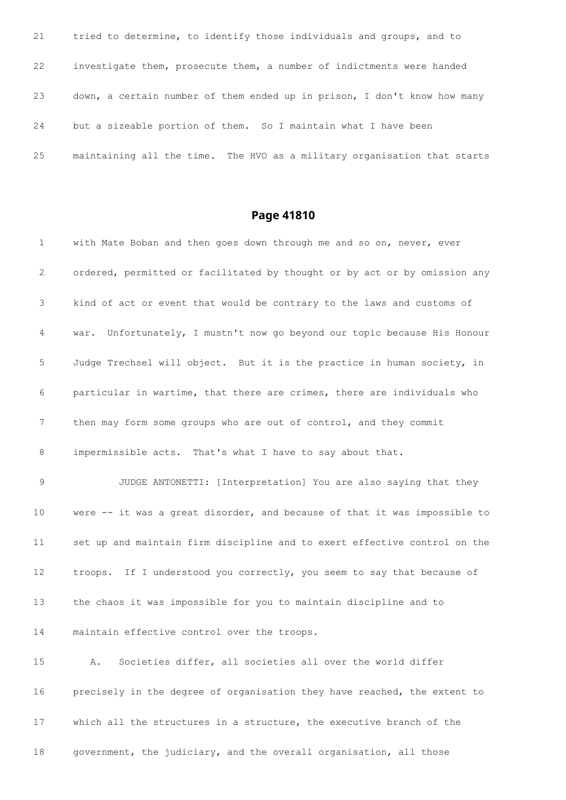| 21 | tried to determine, to identify those individuals and groups, and to     |
|----|--------------------------------------------------------------------------|
| 22 | investigate them, prosecute them, a number of indictments were handed    |
| 23 | down, a certain number of them ended up in prison, I don't know how many |
| 24 | but a sizeable portion of them. So I maintain what I have been           |
| 25 | maintaining all the time. The HVO as a military organisation that starts |

| $\mathbf{1}$ | with Mate Boban and then goes down through me and so on, never, ever        |
|--------------|-----------------------------------------------------------------------------|
| 2            | ordered, permitted or facilitated by thought or by act or by omission any   |
| 3            | kind of act or event that would be contrary to the laws and customs of      |
| 4            | Unfortunately, I mustn't now go beyond our topic because His Honour<br>war. |
| 5            | Judge Trechsel will object. But it is the practice in human society, in     |
| 6            | particular in wartime, that there are crimes, there are individuals who     |
| 7            | then may form some groups who are out of control, and they commit           |
| 8            | impermissible acts. That's what I have to say about that.                   |
| 9            | JUDGE ANTONETTI: [Interpretation] You are also saying that they             |
| 10           | were -- it was a great disorder, and because of that it was impossible to   |
| 11           | set up and maintain firm discipline and to exert effective control on the   |
| 12           | troops. If I understood you correctly, you seem to say that because of      |
| 13           | the chaos it was impossible for you to maintain discipline and to           |
| 14           | maintain effective control over the troops.                                 |
| 15           | Societies differ, all societies all over the world differ<br>Α.             |
| 16           | precisely in the degree of organisation they have reached, the extent to    |
| 17           | which all the structures in a structure, the executive branch of the        |
| 18           | government, the judiciary, and the overall organisation, all those          |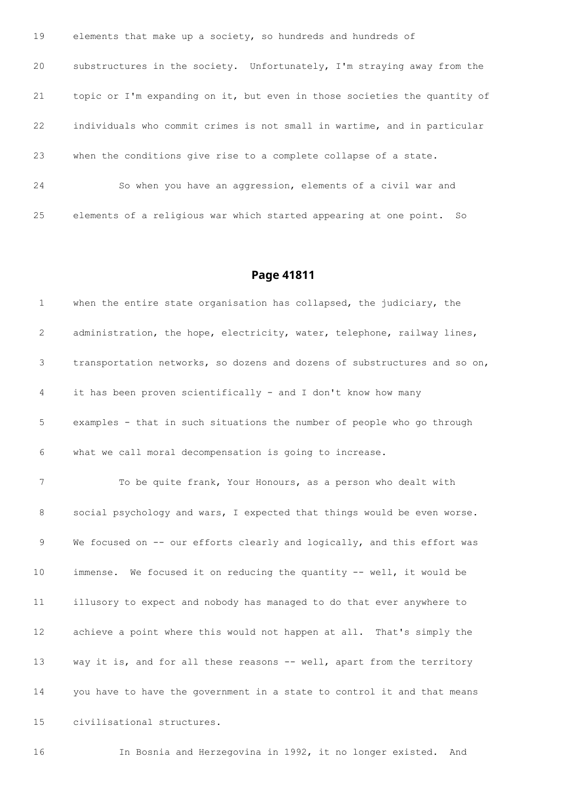| 19 | elements that make up a society, so hundreds and hundreds of              |
|----|---------------------------------------------------------------------------|
| 20 | substructures in the society. Unfortunately, I'm straying away from the   |
| 21 | topic or I'm expanding on it, but even in those societies the quantity of |
| 22 | individuals who commit crimes is not small in wartime, and in particular  |
| 23 | when the conditions give rise to a complete collapse of a state.          |
| 24 | So when you have an aggression, elements of a civil war and               |
| 25 | elements of a religious war which started appearing at one point.<br>So   |

 when the entire state organisation has collapsed, the judiciary, the 2 administration, the hope, electricity, water, telephone, railway lines, transportation networks, so dozens and dozens of substructures and so on, it has been proven scientifically - and I don't know how many examples - that in such situations the number of people who go through what we call moral decompensation is going to increase. To be quite frank, Your Honours, as a person who dealt with 8 social psychology and wars, I expected that things would be even worse. 9 We focused on -- our efforts clearly and logically, and this effort was immense. We focused it on reducing the quantity -- well, it would be illusory to expect and nobody has managed to do that ever anywhere to achieve a point where this would not happen at all. That's simply the way it is, and for all these reasons -- well, apart from the territory you have to have the government in a state to control it and that means civilisational structures.

In Bosnia and Herzegovina in 1992, it no longer existed. And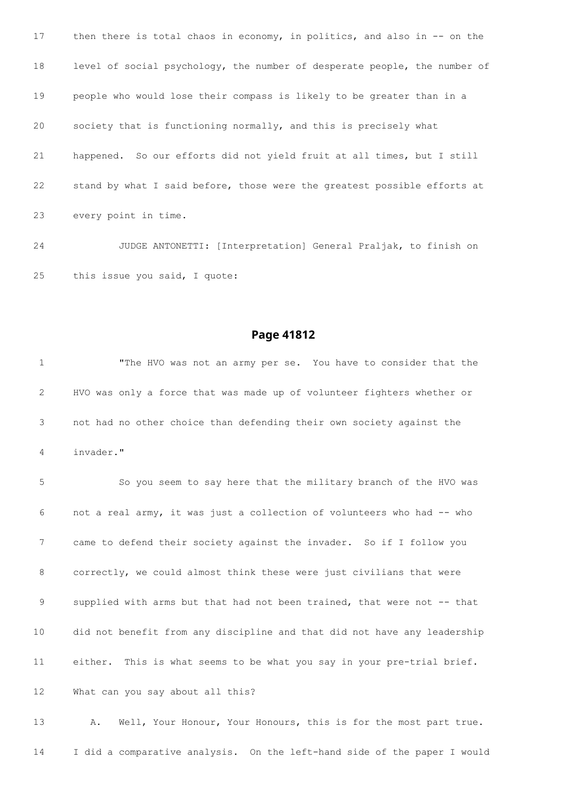17 then there is total chaos in economy, in politics, and also in -- on the level of social psychology, the number of desperate people, the number of people who would lose their compass is likely to be greater than in a society that is functioning normally, and this is precisely what happened. So our efforts did not yield fruit at all times, but I still stand by what I said before, those were the greatest possible efforts at every point in time.

 JUDGE ANTONETTI: [Interpretation] General Praljak, to finish on this issue you said, I quote:

#### **Page 41812**

 "The HVO was not an army per se. You have to consider that the HVO was only a force that was made up of volunteer fighters whether or not had no other choice than defending their own society against the invader." So you seem to say here that the military branch of the HVO was not a real army, it was just a collection of volunteers who had -- who came to defend their society against the invader. So if I follow you correctly, we could almost think these were just civilians that were 9 supplied with arms but that had not been trained, that were not -- that did not benefit from any discipline and that did not have any leadership either. This is what seems to be what you say in your pre-trial brief.

What can you say about all this?

 A. Well, Your Honour, Your Honours, this is for the most part true. I did a comparative analysis. On the left-hand side of the paper I would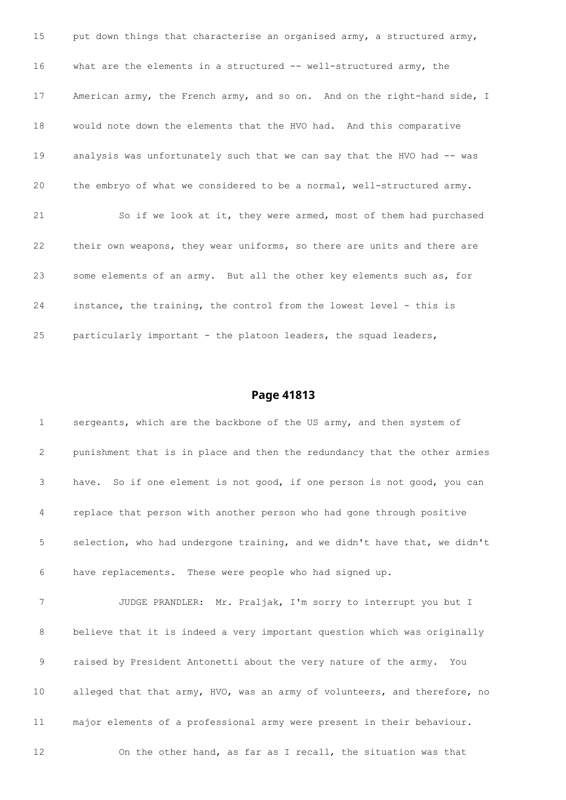15 put down things that characterise an organised army, a structured army, 16 what are the elements in a structured -- well-structured army, the 17 American army, the French army, and so on. And on the right-hand side, I would note down the elements that the HVO had. And this comparative analysis was unfortunately such that we can say that the HVO had -- was the embryo of what we considered to be a normal, well-structured army. So if we look at it, they were armed, most of them had purchased their own weapons, they wear uniforms, so there are units and there are some elements of an army. But all the other key elements such as, for instance, the training, the control from the lowest level - this is particularly important - the platoon leaders, the squad leaders,

#### **Page 41813**

1 sergeants, which are the backbone of the US army, and then system of punishment that is in place and then the redundancy that the other armies have. So if one element is not good, if one person is not good, you can replace that person with another person who had gone through positive selection, who had undergone training, and we didn't have that, we didn't have replacements. These were people who had signed up. JUDGE PRANDLER: Mr. Praljak, I'm sorry to interrupt you but I believe that it is indeed a very important question which was originally raised by President Antonetti about the very nature of the army. You alleged that that army, HVO, was an army of volunteers, and therefore, no major elements of a professional army were present in their behaviour. On the other hand, as far as I recall, the situation was that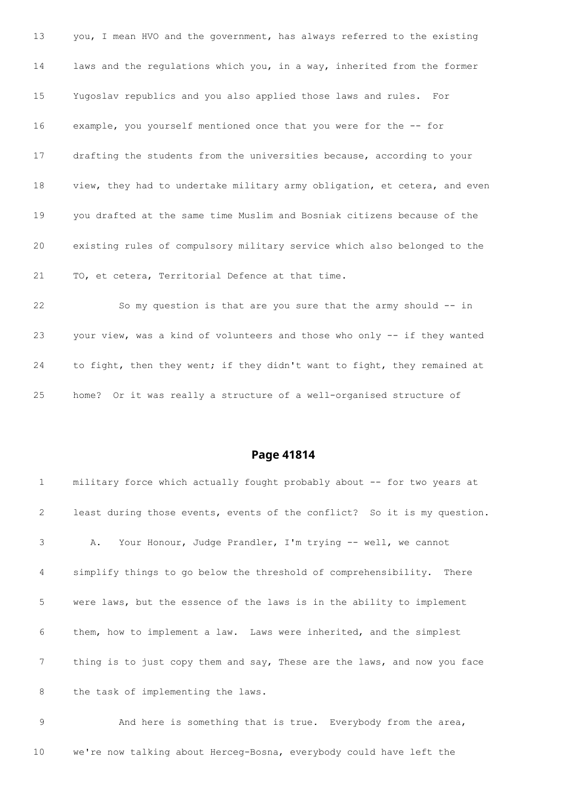you, I mean HVO and the government, has always referred to the existing laws and the regulations which you, in a way, inherited from the former Yugoslav republics and you also applied those laws and rules. For example, you yourself mentioned once that you were for the -- for drafting the students from the universities because, according to your view, they had to undertake military army obligation, et cetera, and even you drafted at the same time Muslim and Bosniak citizens because of the existing rules of compulsory military service which also belonged to the TO, et cetera, Territorial Defence at that time.

 So my question is that are you sure that the army should -- in your view, was a kind of volunteers and those who only -- if they wanted to fight, then they went; if they didn't want to fight, they remained at home? Or it was really a structure of a well-organised structure of

#### **Page 41814**

| 1              | military force which actually fought probably about -- for two years at  |
|----------------|--------------------------------------------------------------------------|
| 2              | least during those events, events of the conflict? So it is my question. |
| 3              | A. Your Honour, Judge Prandler, I'm trying -- well, we cannot            |
| $\overline{4}$ | simplify things to go below the threshold of comprehensibility. There    |
| 5              | were laws, but the essence of the laws is in the ability to implement    |
| 6              | them, how to implement a law. Laws were inherited, and the simplest      |
| 7              | thing is to just copy them and say, These are the laws, and now you face |
| 8              | the task of implementing the laws.                                       |

 And here is something that is true. Everybody from the area, we're now talking about Herceg-Bosna, everybody could have left the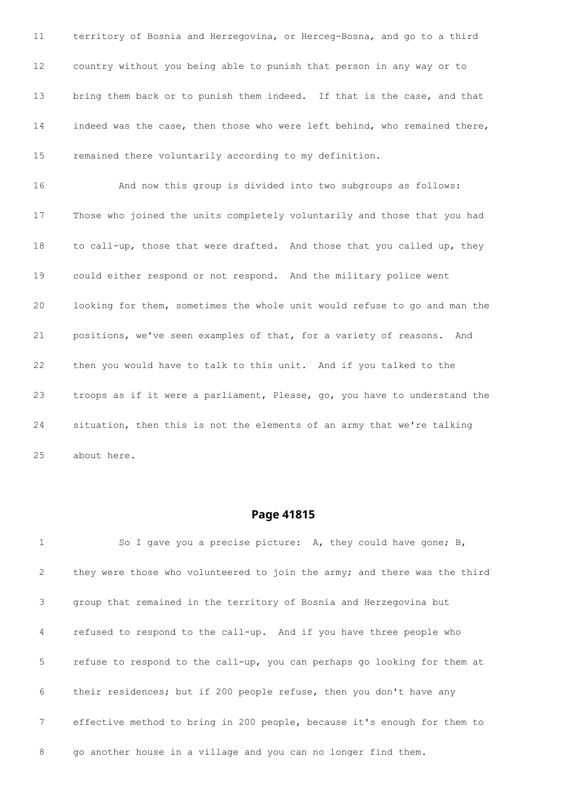territory of Bosnia and Herzegovina, or Herceg-Bosna, and go to a third country without you being able to punish that person in any way or to 13 bring them back or to punish them indeed. If that is the case, and that indeed was the case, then those who were left behind, who remained there, remained there voluntarily according to my definition. And now this group is divided into two subgroups as follows: Those who joined the units completely voluntarily and those that you had to call-up, those that were drafted. And those that you called up, they could either respond or not respond. And the military police went looking for them, sometimes the whole unit would refuse to go and man the positions, we've seen examples of that, for a variety of reasons. And then you would have to talk to this unit. And if you talked to the troops as if it were a parliament, Please, go, you have to understand the situation, then this is not the elements of an army that we're talking about here.

#### **Page 41815**

 So I gave you a precise picture: A, they could have gone; B, they were those who volunteered to join the army; and there was the third group that remained in the territory of Bosnia and Herzegovina but refused to respond to the call-up. And if you have three people who refuse to respond to the call-up, you can perhaps go looking for them at their residences; but if 200 people refuse, then you don't have any effective method to bring in 200 people, because it's enough for them to go another house in a village and you can no longer find them.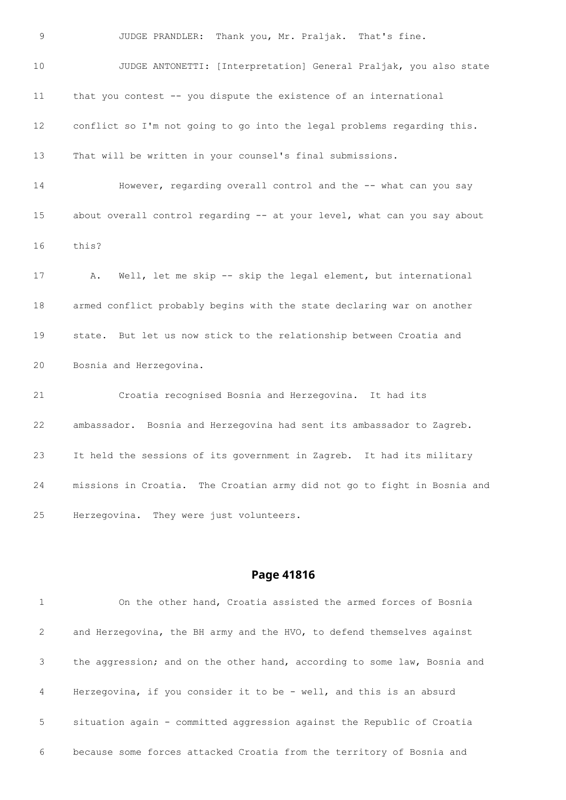JUDGE PRANDLER: Thank you, Mr. Praljak. That's fine. JUDGE ANTONETTI: [Interpretation] General Praljak, you also state that you contest -- you dispute the existence of an international conflict so I'm not going to go into the legal problems regarding this. That will be written in your counsel's final submissions. However, regarding overall control and the -- what can you say 15 about overall control regarding -- at your level, what can you say about this? A. Well, let me skip -- skip the legal element, but international armed conflict probably begins with the state declaring war on another state. But let us now stick to the relationship between Croatia and Bosnia and Herzegovina. Croatia recognised Bosnia and Herzegovina. It had its ambassador. Bosnia and Herzegovina had sent its ambassador to Zagreb. It held the sessions of its government in Zagreb. It had its military missions in Croatia. The Croatian army did not go to fight in Bosnia and Herzegovina. They were just volunteers.

#### **Page 41816**

 On the other hand, Croatia assisted the armed forces of Bosnia and Herzegovina, the BH army and the HVO, to defend themselves against the aggression; and on the other hand, according to some law, Bosnia and Herzegovina, if you consider it to be - well, and this is an absurd situation again - committed aggression against the Republic of Croatia because some forces attacked Croatia from the territory of Bosnia and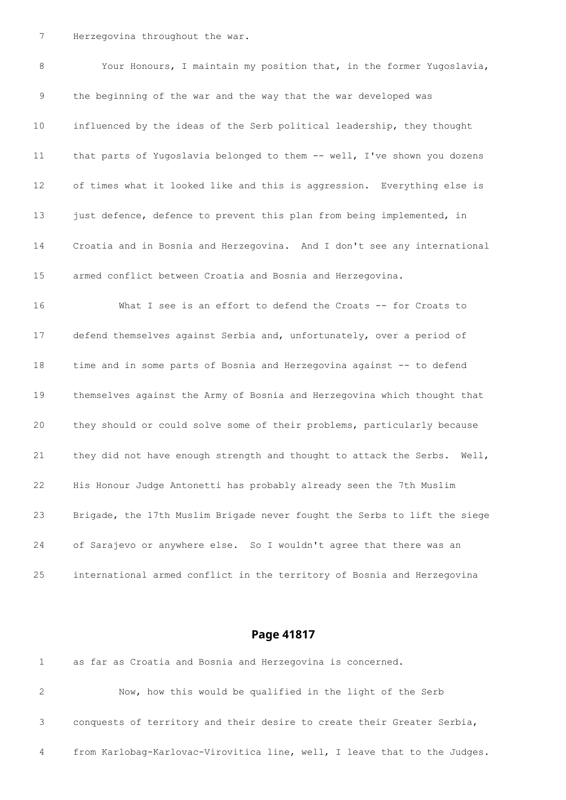Herzegovina throughout the war.

 Your Honours, I maintain my position that, in the former Yugoslavia, the beginning of the war and the way that the war developed was influenced by the ideas of the Serb political leadership, they thought 11 that parts of Yugoslavia belonged to them -- well, I've shown you dozens of times what it looked like and this is aggression. Everything else is 13 just defence, defence to prevent this plan from being implemented, in Croatia and in Bosnia and Herzegovina. And I don't see any international armed conflict between Croatia and Bosnia and Herzegovina. 16 What I see is an effort to defend the Croats -- for Croats to

 defend themselves against Serbia and, unfortunately, over a period of time and in some parts of Bosnia and Herzegovina against -- to defend themselves against the Army of Bosnia and Herzegovina which thought that they should or could solve some of their problems, particularly because 21 they did not have enough strength and thought to attack the Serbs. Well, His Honour Judge Antonetti has probably already seen the 7th Muslim Brigade, the 17th Muslim Brigade never fought the Serbs to lift the siege of Sarajevo or anywhere else. So I wouldn't agree that there was an international armed conflict in the territory of Bosnia and Herzegovina

#### **Page 41817**

|   | Now, how this would be qualified in the light of the Serb                 |
|---|---------------------------------------------------------------------------|
|   | conquests of territory and their desire to create their Greater Serbia,   |
| 4 | from Karlobag-Karlovac-Virovitica line, well, I leave that to the Judges. |

as far as Croatia and Bosnia and Herzegovina is concerned.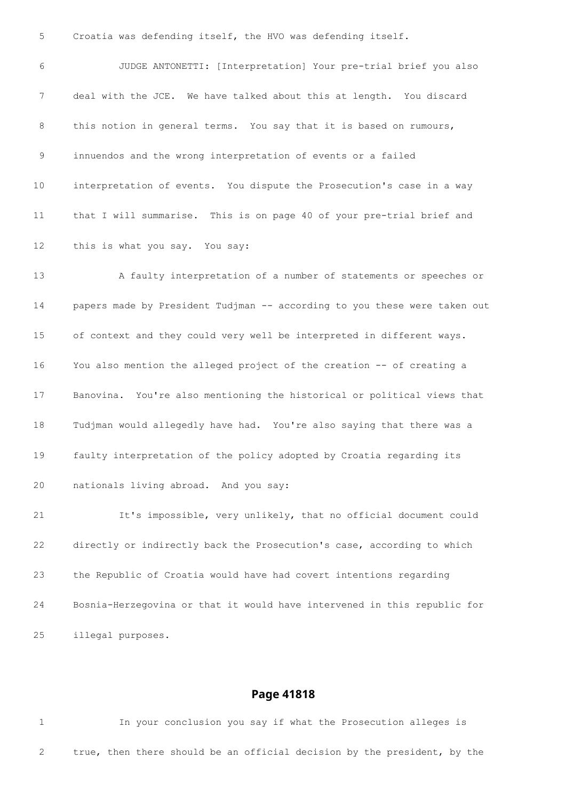Croatia was defending itself, the HVO was defending itself.

 JUDGE ANTONETTI: [Interpretation] Your pre-trial brief you also deal with the JCE. We have talked about this at length. You discard 8 this notion in general terms. You say that it is based on rumours, innuendos and the wrong interpretation of events or a failed interpretation of events. You dispute the Prosecution's case in a way that I will summarise. This is on page 40 of your pre-trial brief and this is what you say. You say: A faulty interpretation of a number of statements or speeches or papers made by President Tudjman -- according to you these were taken out of context and they could very well be interpreted in different ways. You also mention the alleged project of the creation -- of creating a Banovina. You're also mentioning the historical or political views that Tudjman would allegedly have had. You're also saying that there was a faulty interpretation of the policy adopted by Croatia regarding its nationals living abroad. And you say: It's impossible, very unlikely, that no official document could

 directly or indirectly back the Prosecution's case, according to which the Republic of Croatia would have had covert intentions regarding Bosnia-Herzegovina or that it would have intervened in this republic for illegal purposes.

#### **Page 41818**

 In your conclusion you say if what the Prosecution alleges is true, then there should be an official decision by the president, by the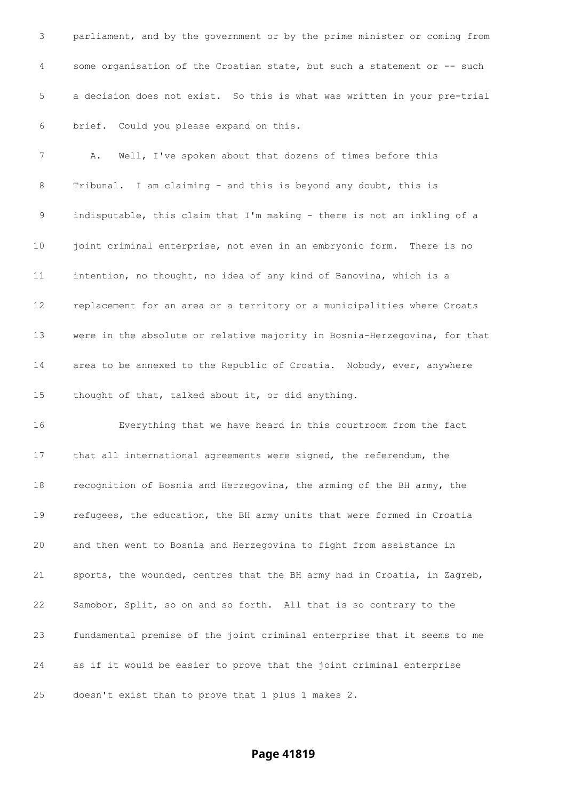parliament, and by the government or by the prime minister or coming from 4 some organisation of the Croatian state, but such a statement or -- such a decision does not exist. So this is what was written in your pre-trial brief. Could you please expand on this.

 A. Well, I've spoken about that dozens of times before this Tribunal. I am claiming - and this is beyond any doubt, this is indisputable, this claim that I'm making - there is not an inkling of a 10 joint criminal enterprise, not even in an embryonic form. There is no intention, no thought, no idea of any kind of Banovina, which is a replacement for an area or a territory or a municipalities where Croats were in the absolute or relative majority in Bosnia-Herzegovina, for that area to be annexed to the Republic of Croatia. Nobody, ever, anywhere thought of that, talked about it, or did anything.

 Everything that we have heard in this courtroom from the fact that all international agreements were signed, the referendum, the recognition of Bosnia and Herzegovina, the arming of the BH army, the refugees, the education, the BH army units that were formed in Croatia and then went to Bosnia and Herzegovina to fight from assistance in sports, the wounded, centres that the BH army had in Croatia, in Zagreb, Samobor, Split, so on and so forth. All that is so contrary to the fundamental premise of the joint criminal enterprise that it seems to me as if it would be easier to prove that the joint criminal enterprise doesn't exist than to prove that 1 plus 1 makes 2.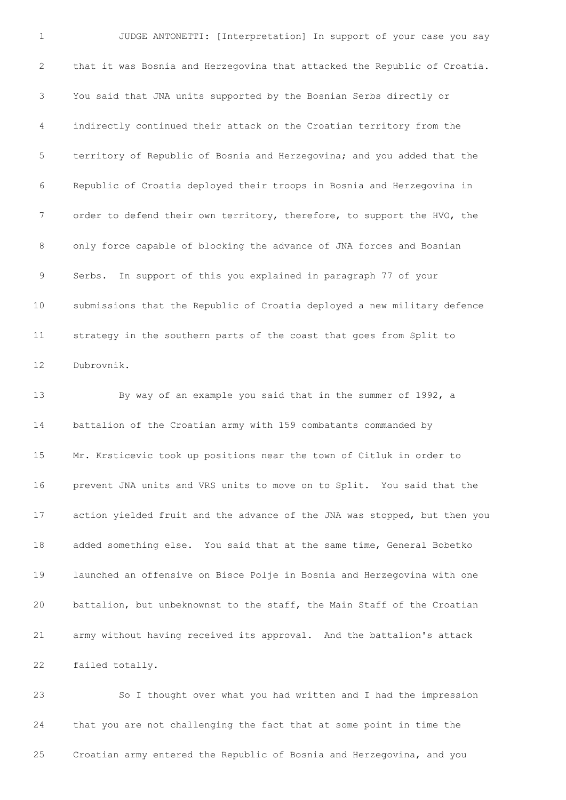JUDGE ANTONETTI: [Interpretation] In support of your case you say that it was Bosnia and Herzegovina that attacked the Republic of Croatia. You said that JNA units supported by the Bosnian Serbs directly or indirectly continued their attack on the Croatian territory from the territory of Republic of Bosnia and Herzegovina; and you added that the Republic of Croatia deployed their troops in Bosnia and Herzegovina in order to defend their own territory, therefore, to support the HVO, the only force capable of blocking the advance of JNA forces and Bosnian Serbs. In support of this you explained in paragraph 77 of your submissions that the Republic of Croatia deployed a new military defence strategy in the southern parts of the coast that goes from Split to Dubrovnik.

 By way of an example you said that in the summer of 1992, a battalion of the Croatian army with 159 combatants commanded by Mr. Krsticevic took up positions near the town of Citluk in order to prevent JNA units and VRS units to move on to Split. You said that the action yielded fruit and the advance of the JNA was stopped, but then you added something else. You said that at the same time, General Bobetko launched an offensive on Bisce Polje in Bosnia and Herzegovina with one battalion, but unbeknownst to the staff, the Main Staff of the Croatian army without having received its approval. And the battalion's attack failed totally.

 So I thought over what you had written and I had the impression that you are not challenging the fact that at some point in time the Croatian army entered the Republic of Bosnia and Herzegovina, and you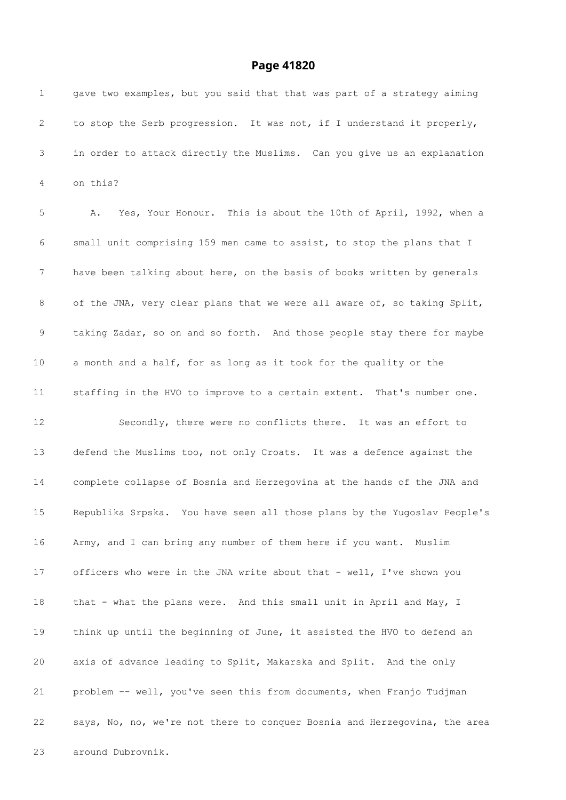| 1           | gave two examples, but you said that that was part of a strategy aiming   |
|-------------|---------------------------------------------------------------------------|
| 2           | to stop the Serb progression. It was not, if I understand it properly,    |
| 3           | in order to attack directly the Muslims. Can you give us an explanation   |
| 4           | on this?                                                                  |
| 5           | Yes, Your Honour. This is about the 10th of April, 1992, when a<br>Α.     |
| 6           | small unit comprising 159 men came to assist, to stop the plans that I    |
| 7           | have been talking about here, on the basis of books written by generals   |
| 8           | of the JNA, very clear plans that we were all aware of, so taking Split,  |
| $\mathsf 9$ | taking Zadar, so on and so forth. And those people stay there for maybe   |
| 10          | a month and a half, for as long as it took for the quality or the         |
| 11          | staffing in the HVO to improve to a certain extent. That's number one.    |
| 12          | Secondly, there were no conflicts there. It was an effort to              |
| 13          | defend the Muslims too, not only Croats. It was a defence against the     |
| 14          | complete collapse of Bosnia and Herzegovina at the hands of the JNA and   |
| 15          | Republika Srpska. You have seen all those plans by the Yugoslav People's  |
| 16          | Army, and I can bring any number of them here if you want. Muslim         |
| 17          | officers who were in the JNA write about that - well, I've shown you      |
| 18          | that - what the plans were. And this small unit in April and May, I       |
| 19          | think up until the beginning of June, it assisted the HVO to defend an    |
| 20          | axis of advance leading to Split, Makarska and Split. And the only        |
| 21          | problem -- well, you've seen this from documents, when Franjo Tudjman     |
| 22          | says, No, no, we're not there to conquer Bosnia and Herzegovina, the area |
| 23          | around Dubrovnik.                                                         |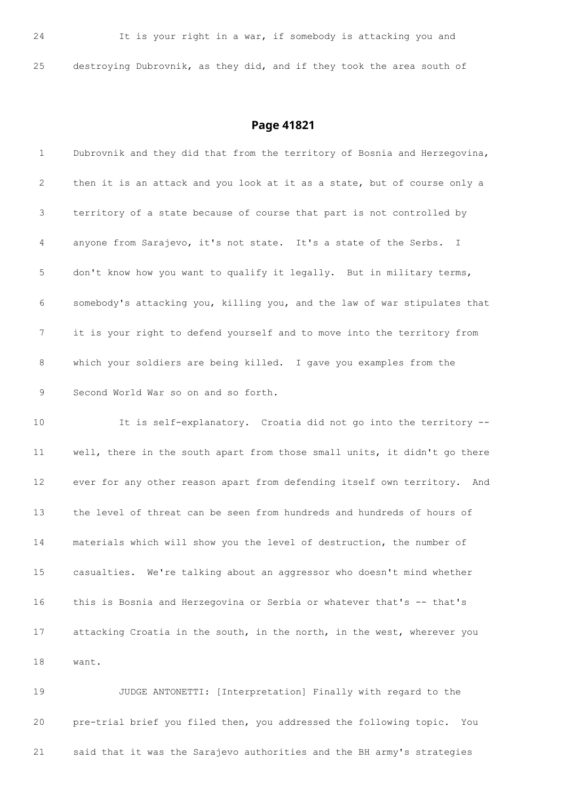destroying Dubrovnik, as they did, and if they took the area south of

#### **Page 41821**

 Dubrovnik and they did that from the territory of Bosnia and Herzegovina, then it is an attack and you look at it as a state, but of course only a territory of a state because of course that part is not controlled by anyone from Sarajevo, it's not state. It's a state of the Serbs. I don't know how you want to qualify it legally. But in military terms, somebody's attacking you, killing you, and the law of war stipulates that it is your right to defend yourself and to move into the territory from which your soldiers are being killed. I gave you examples from the Second World War so on and so forth. It is self-explanatory. Croatia did not go into the territory -- well, there in the south apart from those small units, it didn't go there ever for any other reason apart from defending itself own territory. And the level of threat can be seen from hundreds and hundreds of hours of materials which will show you the level of destruction, the number of casualties. We're talking about an aggressor who doesn't mind whether this is Bosnia and Herzegovina or Serbia or whatever that's -- that's attacking Croatia in the south, in the north, in the west, wherever you want.

 JUDGE ANTONETTI: [Interpretation] Finally with regard to the pre-trial brief you filed then, you addressed the following topic. You said that it was the Sarajevo authorities and the BH army's strategies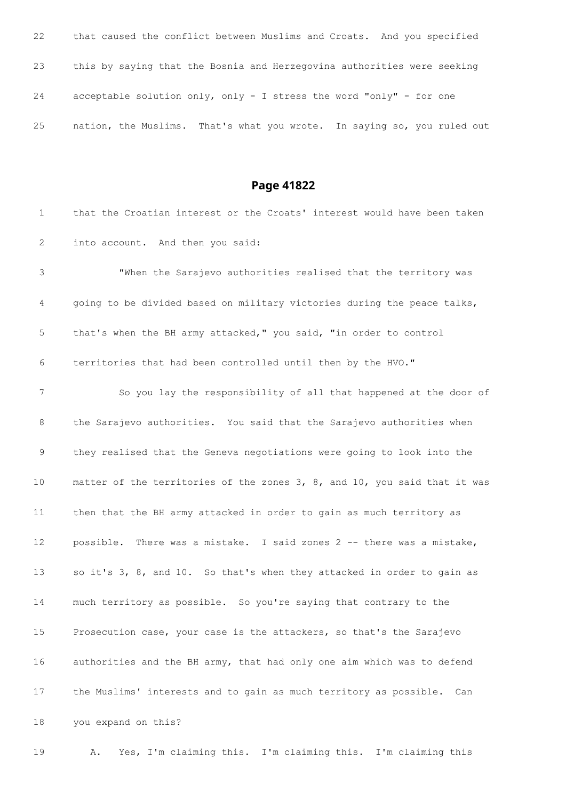| 22 | that caused the conflict between Muslims and Croats. And you specified  |
|----|-------------------------------------------------------------------------|
| 23 | this by saying that the Bosnia and Herzegovina authorities were seeking |
| 24 | acceptable solution only, only - I stress the word "only" - for one     |
| 25 | nation, the Muslims. That's what you wrote. In saying so, you ruled out |

| $\mathbf{1}$    | that the Croatian interest or the Croats' interest would have been taken  |
|-----------------|---------------------------------------------------------------------------|
| 2               | into account. And then you said:                                          |
| 3               | "When the Sarajevo authorities realised that the territory was            |
| 4               | going to be divided based on military victories during the peace talks,   |
| 5               | that's when the BH army attacked," you said, "in order to control         |
| 6               | territories that had been controlled until then by the HVO."              |
| 7               | So you lay the responsibility of all that happened at the door of         |
| 8               | the Sarajevo authorities. You said that the Sarajevo authorities when     |
| 9               | they realised that the Geneva negotiations were going to look into the    |
| 10 <sub>1</sub> | matter of the territories of the zones 3, 8, and 10, you said that it was |
| 11              | then that the BH army attacked in order to gain as much territory as      |
| 12              | possible. There was a mistake. I said zones 2 -- there was a mistake,     |
| 13              | so it's 3, 8, and 10. So that's when they attacked in order to gain as    |
| 14              | much territory as possible. So you're saying that contrary to the         |
| 15 <sub>1</sub> | Prosecution case, your case is the attackers, so that's the Sarajevo      |
| 16              | authorities and the BH army, that had only one aim which was to defend    |
| 17              | the Muslims' interests and to gain as much territory as possible.<br>Can  |
| 18              | you expand on this?                                                       |
| 19              | Yes, I'm claiming this. I'm claiming this. I'm claiming this<br>Α.        |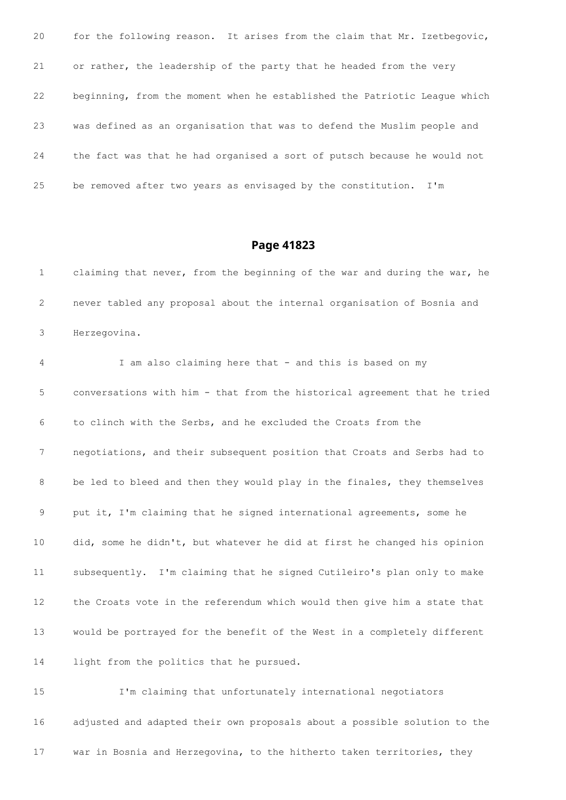| 20 | for the following reason. It arises from the claim that Mr. Izetbegovic,  |
|----|---------------------------------------------------------------------------|
| 21 | or rather, the leadership of the party that he headed from the very       |
| 22 | beginning, from the moment when he established the Patriotic League which |
| 23 | was defined as an organisation that was to defend the Muslim people and   |
| 24 | the fact was that he had organised a sort of putsch because he would not  |
| 25 | be removed after two years as envisaged by the constitution. I'm          |

 claiming that never, from the beginning of the war and during the war, he never tabled any proposal about the internal organisation of Bosnia and Herzegovina.

 I am also claiming here that - and this is based on my conversations with him - that from the historical agreement that he tried to clinch with the Serbs, and he excluded the Croats from the negotiations, and their subsequent position that Croats and Serbs had to 8 be led to bleed and then they would play in the finales, they themselves put it, I'm claiming that he signed international agreements, some he did, some he didn't, but whatever he did at first he changed his opinion subsequently. I'm claiming that he signed Cutileiro's plan only to make the Croats vote in the referendum which would then give him a state that would be portrayed for the benefit of the West in a completely different light from the politics that he pursued.

 I'm claiming that unfortunately international negotiators adjusted and adapted their own proposals about a possible solution to the war in Bosnia and Herzegovina, to the hitherto taken territories, they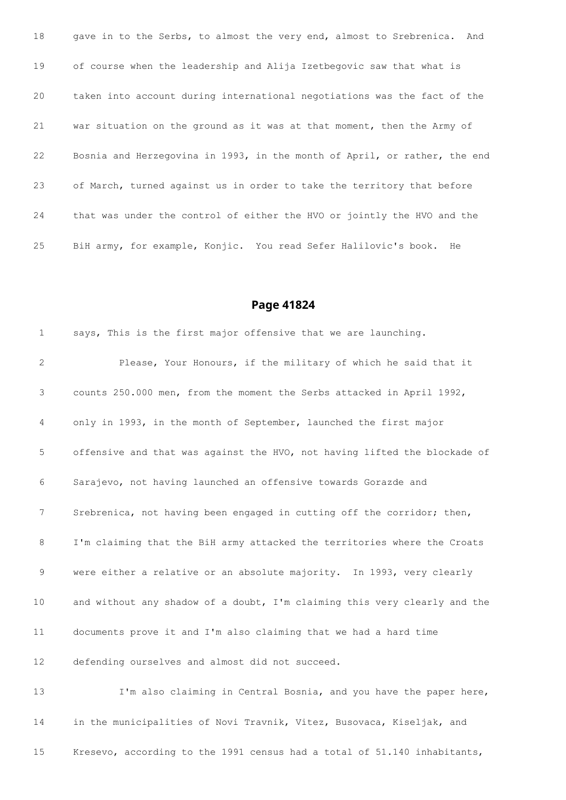18 gave in to the Serbs, to almost the very end, almost to Srebrenica. And of course when the leadership and Alija Izetbegovic saw that what is taken into account during international negotiations was the fact of the war situation on the ground as it was at that moment, then the Army of Bosnia and Herzegovina in 1993, in the month of April, or rather, the end of March, turned against us in order to take the territory that before that was under the control of either the HVO or jointly the HVO and the BiH army, for example, Konjic. You read Sefer Halilovic's book. He

#### **Page 41824**

 says, This is the first major offensive that we are launching. Please, Your Honours, if the military of which he said that it counts 250.000 men, from the moment the Serbs attacked in April 1992, only in 1993, in the month of September, launched the first major offensive and that was against the HVO, not having lifted the blockade of Sarajevo, not having launched an offensive towards Gorazde and Srebrenica, not having been engaged in cutting off the corridor; then, I'm claiming that the BiH army attacked the territories where the Croats were either a relative or an absolute majority. In 1993, very clearly 10 and without any shadow of a doubt, I'm claiming this very clearly and the documents prove it and I'm also claiming that we had a hard time defending ourselves and almost did not succeed.

 I'm also claiming in Central Bosnia, and you have the paper here, in the municipalities of Novi Travnik, Vitez, Busovaca, Kiseljak, and Kresevo, according to the 1991 census had a total of 51.140 inhabitants,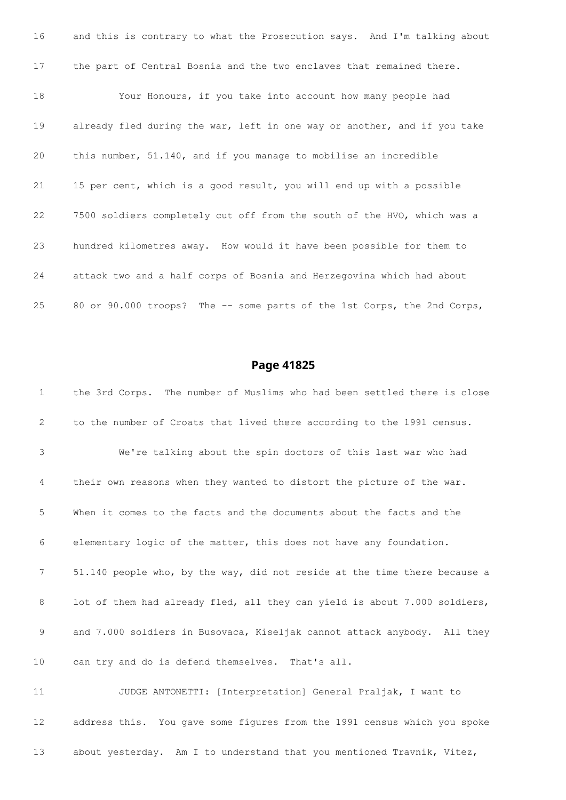and this is contrary to what the Prosecution says. And I'm talking about the part of Central Bosnia and the two enclaves that remained there. Your Honours, if you take into account how many people had already fled during the war, left in one way or another, and if you take this number, 51.140, and if you manage to mobilise an incredible 15 per cent, which is a good result, you will end up with a possible 7500 soldiers completely cut off from the south of the HVO, which was a hundred kilometres away. How would it have been possible for them to attack two and a half corps of Bosnia and Herzegovina which had about 80 or 90.000 troops? The -- some parts of the 1st Corps, the 2nd Corps,

#### **Page 41825**

 the 3rd Corps. The number of Muslims who had been settled there is close to the number of Croats that lived there according to the 1991 census. We're talking about the spin doctors of this last war who had their own reasons when they wanted to distort the picture of the war. When it comes to the facts and the documents about the facts and the elementary logic of the matter, this does not have any foundation. 51.140 people who, by the way, did not reside at the time there because a 8 lot of them had already fled, all they can yield is about 7.000 soldiers, and 7.000 soldiers in Busovaca, Kiseljak cannot attack anybody. All they can try and do is defend themselves. That's all. JUDGE ANTONETTI: [Interpretation] General Praljak, I want to address this. You gave some figures from the 1991 census which you spoke

about yesterday. Am I to understand that you mentioned Travnik, Vitez,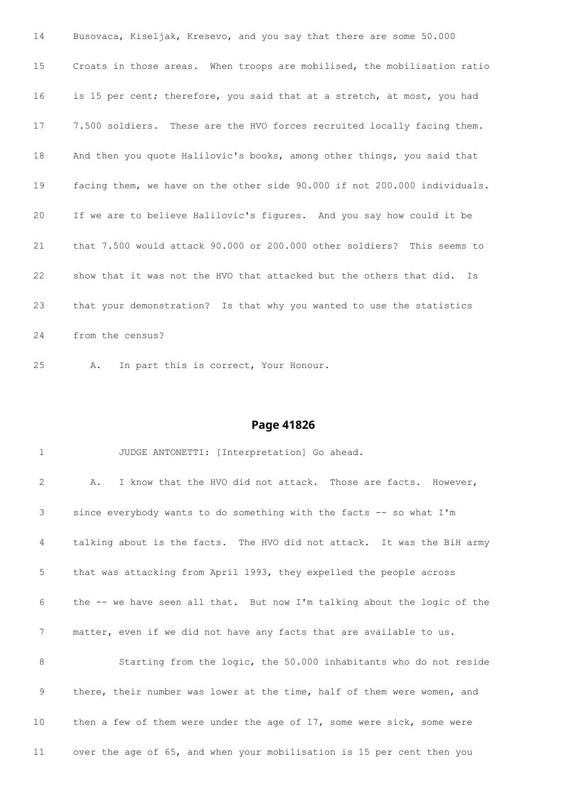Busovaca, Kiseljak, Kresevo, and you say that there are some 50.000 Croats in those areas. When troops are mobilised, the mobilisation ratio is 15 per cent; therefore, you said that at a stretch, at most, you had 7.500 soldiers. These are the HVO forces recruited locally facing them. And then you quote Halilovic's books, among other things, you said that facing them, we have on the other side 90.000 if not 200.000 individuals. If we are to believe Halilovic's figures. And you say how could it be that 7.500 would attack 90.000 or 200.000 other soldiers? This seems to show that it was not the HVO that attacked but the others that did. Is that your demonstration? Is that why you wanted to use the statistics from the census?

A. In part this is correct, Your Honour.

| $\mathbf{1}$ | JUDGE ANTONETTI: [Interpretation] Go ahead.                              |
|--------------|--------------------------------------------------------------------------|
| 2            | I know that the HVO did not attack. Those are facts. However,<br>Α.      |
| 3            | since everybody wants to do something with the facts -- so what I'm      |
| 4            | talking about is the facts. The HVO did not attack. It was the BiH army  |
| 5            | that was attacking from April 1993, they expelled the people across      |
| 6            | the -- we have seen all that. But now I'm talking about the logic of the |
| 7            | matter, even if we did not have any facts that are available to us.      |
| 8            | Starting from the logic, the 50.000 inhabitants who do not reside        |
| 9            | there, their number was lower at the time, half of them were women, and  |
| 10           | then a few of them were under the age of 17, some were sick, some were   |
| 11           | over the age of 65, and when your mobilisation is 15 per cent then you   |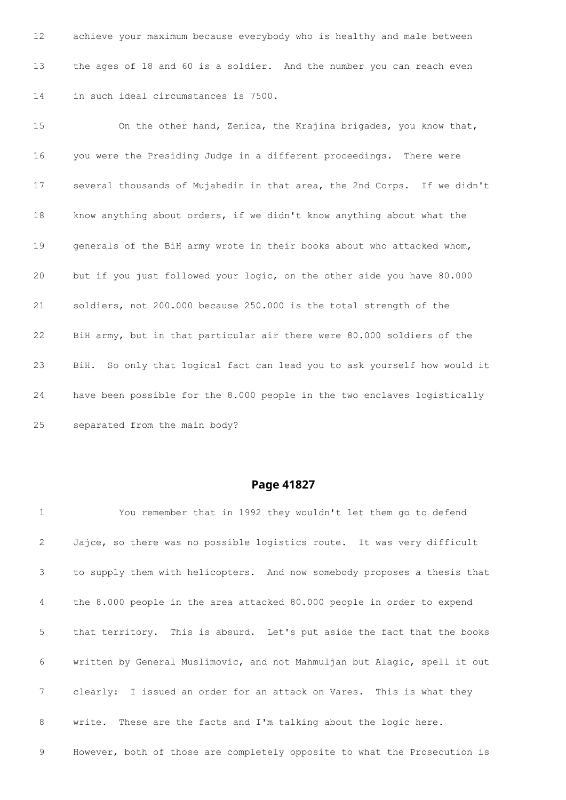achieve your maximum because everybody who is healthy and male between the ages of 18 and 60 is a soldier. And the number you can reach even in such ideal circumstances is 7500.

 On the other hand, Zenica, the Krajina brigades, you know that, you were the Presiding Judge in a different proceedings. There were several thousands of Mujahedin in that area, the 2nd Corps. If we didn't know anything about orders, if we didn't know anything about what the generals of the BiH army wrote in their books about who attacked whom, but if you just followed your logic, on the other side you have 80.000 soldiers, not 200.000 because 250.000 is the total strength of the BiH army, but in that particular air there were 80.000 soldiers of the BiH. So only that logical fact can lead you to ask yourself how would it have been possible for the 8.000 people in the two enclaves logistically separated from the main body?

| $\mathbf 1$     | You remember that in 1992 they wouldn't let them go to defend             |
|-----------------|---------------------------------------------------------------------------|
| $\mathbf{2}$    | Jajce, so there was no possible logistics route. It was very difficult    |
| 3 <sup>7</sup>  | to supply them with helicopters. And now somebody proposes a thesis that  |
| $4\overline{ }$ | the 8.000 people in the area attacked 80.000 people in order to expend    |
| 5 <sup>5</sup>  | that territory. This is absurd. Let's put aside the fact that the books   |
| 6               | written by General Muslimovic, and not Mahmuljan but Alagic, spell it out |
| $7\overline{ }$ | clearly: I issued an order for an attack on Vares. This is what they      |
| 8               | write. These are the facts and I'm talking about the logic here.          |
| 9               | However, both of those are completely opposite to what the Prosecution is |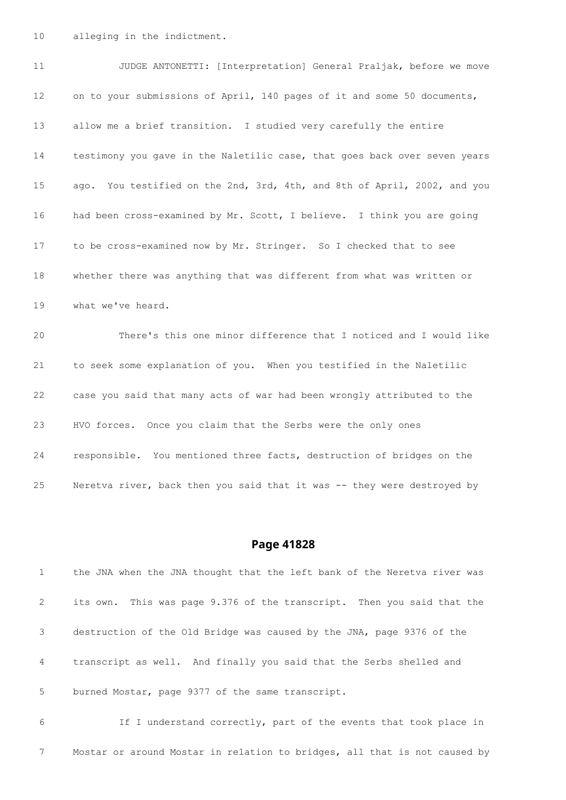alleging in the indictment.

11 JUDGE ANTONETTI: [Interpretation] General Praljak, before we move on to your submissions of April, 140 pages of it and some 50 documents, allow me a brief transition. I studied very carefully the entire testimony you gave in the Naletilic case, that goes back over seven years ago. You testified on the 2nd, 3rd, 4th, and 8th of April, 2002, and you had been cross-examined by Mr. Scott, I believe. I think you are going to be cross-examined now by Mr. Stringer. So I checked that to see whether there was anything that was different from what was written or what we've heard. There's this one minor difference that I noticed and I would like to seek some explanation of you. When you testified in the Naletilic case you said that many acts of war had been wrongly attributed to the HVO forces. Once you claim that the Serbs were the only ones responsible. You mentioned three facts, destruction of bridges on the

Neretva river, back then you said that it was -- they were destroyed by

#### **Page 41828**

 the JNA when the JNA thought that the left bank of the Neretva river was its own. This was page 9.376 of the transcript. Then you said that the destruction of the Old Bridge was caused by the JNA, page 9376 of the transcript as well. And finally you said that the Serbs shelled and burned Mostar, page 9377 of the same transcript.

 If I understand correctly, part of the events that took place in Mostar or around Mostar in relation to bridges, all that is not caused by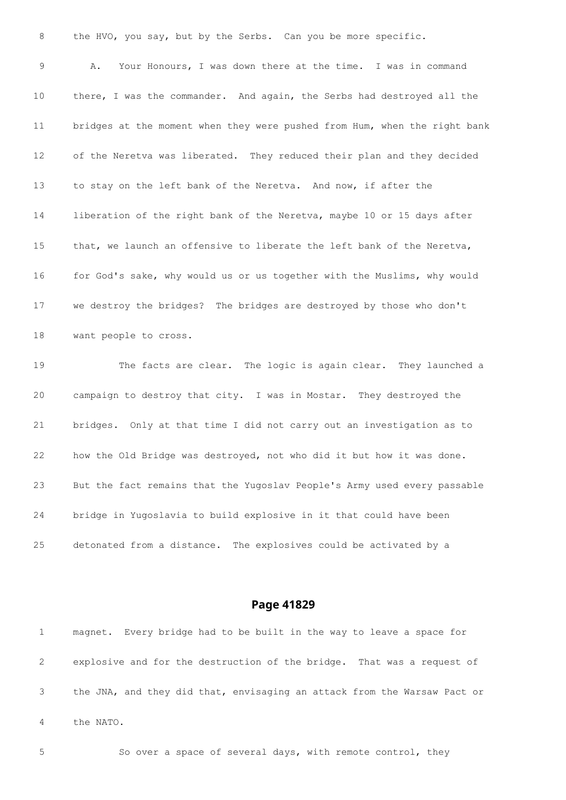| 8                 | the HVO, you say, but by the Serbs. Can you be more specific.             |
|-------------------|---------------------------------------------------------------------------|
| 9                 | Your Honours, I was down there at the time. I was in command<br>Α.        |
| 10                | there, I was the commander. And again, the Serbs had destroyed all the    |
| 11                | bridges at the moment when they were pushed from Hum, when the right bank |
| $12 \overline{ }$ | of the Neretva was liberated. They reduced their plan and they decided    |
| 13                | to stay on the left bank of the Neretva. And now, if after the            |
| 14                | liberation of the right bank of the Neretva, maybe 10 or 15 days after    |
| 15                | that, we launch an offensive to liberate the left bank of the Neretva,    |
| 16                | for God's sake, why would us or us together with the Muslims, why would   |
| 17                | we destroy the bridges? The bridges are destroyed by those who don't      |
| 18                | want people to cross.                                                     |
| 19                | The facts are clear. The logic is again clear. They launched a            |
| 20                | campaign to destroy that city. I was in Mostar. They destroyed the        |
| 21                | bridges. Only at that time I did not carry out an investigation as to     |
| 22                | how the Old Bridge was destroyed, not who did it but how it was done.     |
| 23                | But the fact remains that the Yugoslav People's Army used every passable  |
| 24                | bridge in Yugoslavia to build explosive in it that could have been        |
| 25                | detonated from a distance. The explosives could be activated by a         |

 magnet. Every bridge had to be built in the way to leave a space for explosive and for the destruction of the bridge. That was a request of the JNA, and they did that, envisaging an attack from the Warsaw Pact or the NATO.

So over a space of several days, with remote control, they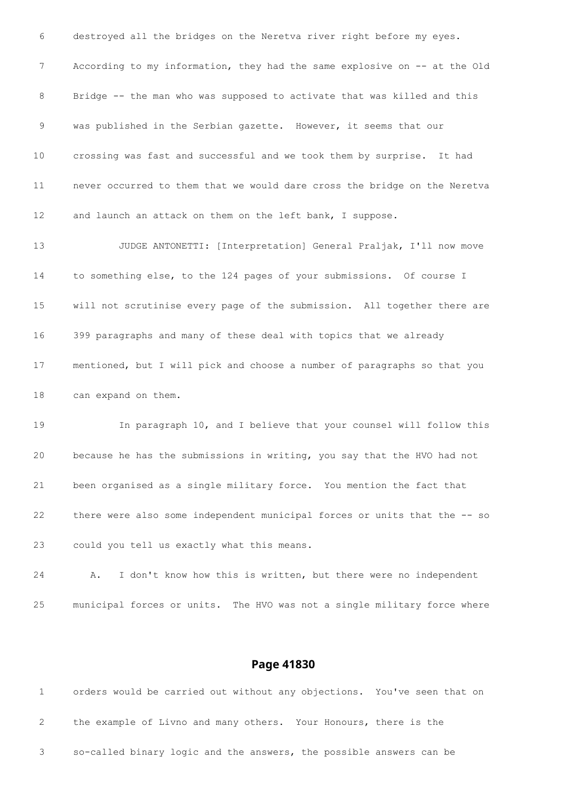destroyed all the bridges on the Neretva river right before my eyes. According to my information, they had the same explosive on -- at the Old 8 Bridge -- the man who was supposed to activate that was killed and this was published in the Serbian gazette. However, it seems that our crossing was fast and successful and we took them by surprise. It had never occurred to them that we would dare cross the bridge on the Neretva and launch an attack on them on the left bank, I suppose. JUDGE ANTONETTI: [Interpretation] General Praljak, I'll now move to something else, to the 124 pages of your submissions. Of course I will not scrutinise every page of the submission. All together there are 399 paragraphs and many of these deal with topics that we already mentioned, but I will pick and choose a number of paragraphs so that you can expand on them. In paragraph 10, and I believe that your counsel will follow this

 because he has the submissions in writing, you say that the HVO had not been organised as a single military force. You mention the fact that there were also some independent municipal forces or units that the -- so could you tell us exactly what this means.

 A. I don't know how this is written, but there were no independent municipal forces or units. The HVO was not a single military force where

| orders would be carried out without any objections. You've seen that on |  |
|-------------------------------------------------------------------------|--|
| the example of Livno and many others. Your Honours, there is the        |  |
| so-called binary logic and the answers, the possible answers can be     |  |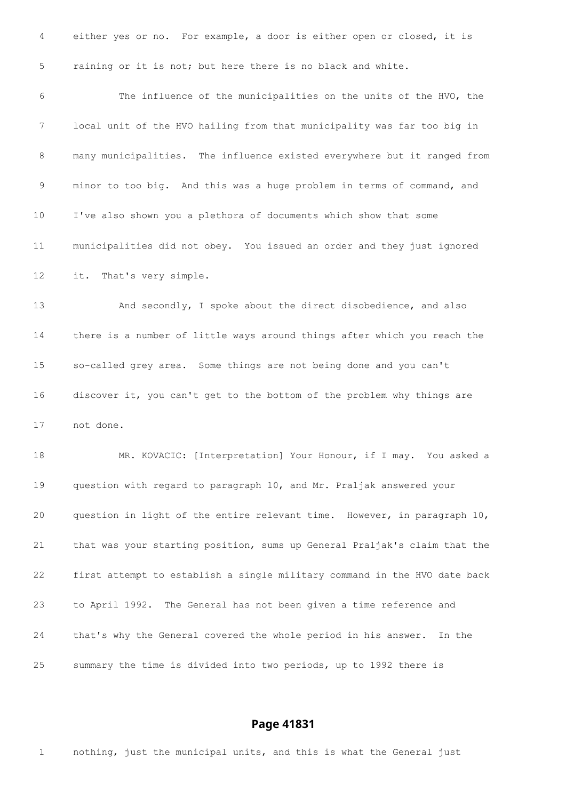either yes or no. For example, a door is either open or closed, it is raining or it is not; but here there is no black and white.

 The influence of the municipalities on the units of the HVO, the local unit of the HVO hailing from that municipality was far too big in many municipalities. The influence existed everywhere but it ranged from minor to too big. And this was a huge problem in terms of command, and I've also shown you a plethora of documents which show that some municipalities did not obey. You issued an order and they just ignored it. That's very simple.

 And secondly, I spoke about the direct disobedience, and also there is a number of little ways around things after which you reach the so-called grey area. Some things are not being done and you can't discover it, you can't get to the bottom of the problem why things are not done.

18 MR. KOVACIC: [Interpretation] Your Honour, if I may. You asked a question with regard to paragraph 10, and Mr. Praljak answered your question in light of the entire relevant time. However, in paragraph 10, that was your starting position, sums up General Praljak's claim that the first attempt to establish a single military command in the HVO date back to April 1992. The General has not been given a time reference and that's why the General covered the whole period in his answer. In the summary the time is divided into two periods, up to 1992 there is

#### **Page 41831**

nothing, just the municipal units, and this is what the General just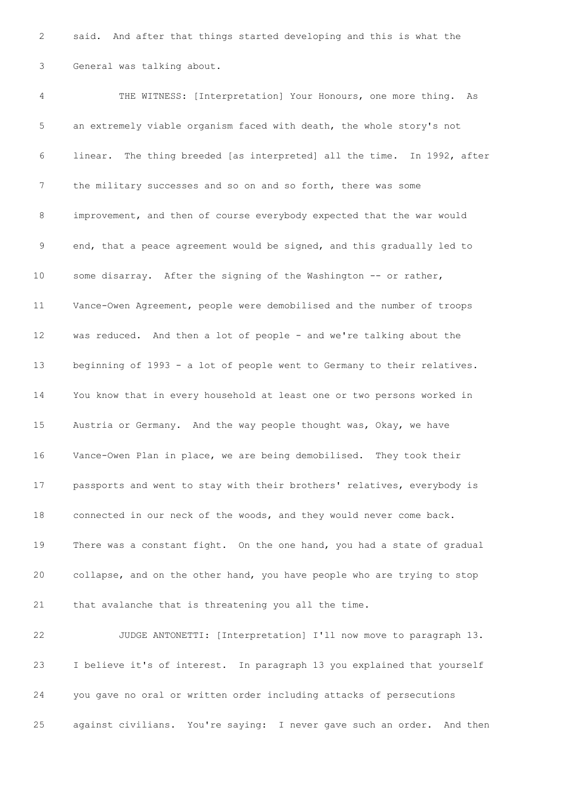said. And after that things started developing and this is what the General was talking about.

 THE WITNESS: [Interpretation] Your Honours, one more thing. As an extremely viable organism faced with death, the whole story's not linear. The thing breeded [as interpreted] all the time. In 1992, after the military successes and so on and so forth, there was some improvement, and then of course everybody expected that the war would end, that a peace agreement would be signed, and this gradually led to 10 some disarray. After the signing of the Washington -- or rather, Vance-Owen Agreement, people were demobilised and the number of troops was reduced. And then a lot of people - and we're talking about the beginning of 1993 - a lot of people went to Germany to their relatives. You know that in every household at least one or two persons worked in Austria or Germany. And the way people thought was, Okay, we have Vance-Owen Plan in place, we are being demobilised. They took their passports and went to stay with their brothers' relatives, everybody is connected in our neck of the woods, and they would never come back. There was a constant fight. On the one hand, you had a state of gradual collapse, and on the other hand, you have people who are trying to stop that avalanche that is threatening you all the time.

 JUDGE ANTONETTI: [Interpretation] I'll now move to paragraph 13. I believe it's of interest. In paragraph 13 you explained that yourself you gave no oral or written order including attacks of persecutions against civilians. You're saying: I never gave such an order. And then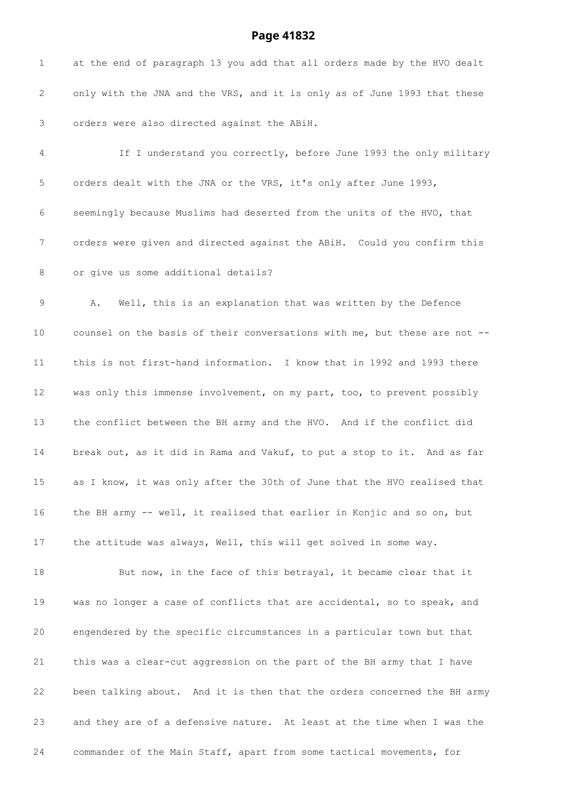at the end of paragraph 13 you add that all orders made by the HVO dealt only with the JNA and the VRS, and it is only as of June 1993 that these orders were also directed against the ABiH. If I understand you correctly, before June 1993 the only military orders dealt with the JNA or the VRS, it's only after June 1993, seemingly because Muslims had deserted from the units of the HVO, that orders were given and directed against the ABiH. Could you confirm this or give us some additional details? A. Well, this is an explanation that was written by the Defence counsel on the basis of their conversations with me, but these are not -- this is not first-hand information. I know that in 1992 and 1993 there was only this immense involvement, on my part, too, to prevent possibly the conflict between the BH army and the HVO. And if the conflict did break out, as it did in Rama and Vakuf, to put a stop to it. And as far as I know, it was only after the 30th of June that the HVO realised that the BH army -- well, it realised that earlier in Konjic and so on, but the attitude was always, Well, this will get solved in some way. 18 But now, in the face of this betrayal, it became clear that it was no longer a case of conflicts that are accidental, so to speak, and engendered by the specific circumstances in a particular town but that this was a clear-cut aggression on the part of the BH army that I have been talking about. And it is then that the orders concerned the BH army and they are of a defensive nature. At least at the time when I was the commander of the Main Staff, apart from some tactical movements, for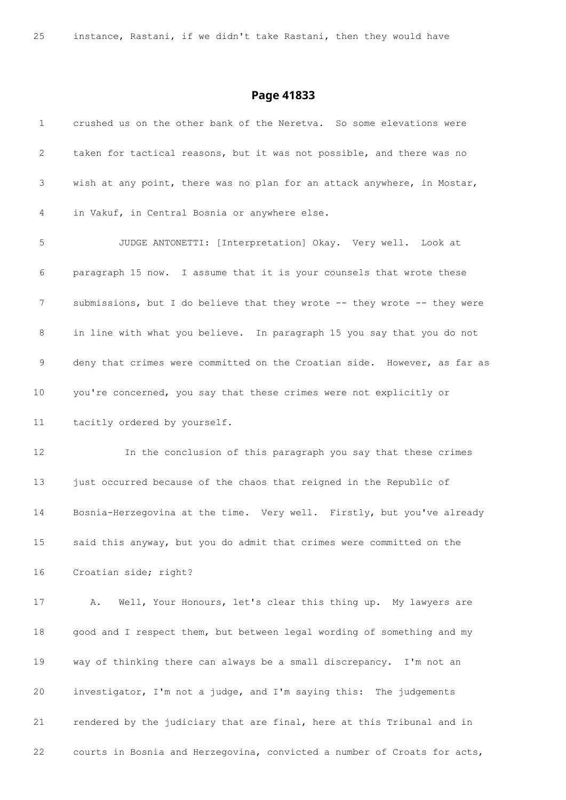| $\mathbf 1$ | crushed us on the other bank of the Neretva. So some elevations were     |
|-------------|--------------------------------------------------------------------------|
| 2           | taken for tactical reasons, but it was not possible, and there was no    |
| 3           | wish at any point, there was no plan for an attack anywhere, in Mostar,  |
| 4           | in Vakuf, in Central Bosnia or anywhere else.                            |
| 5           | JUDGE ANTONETTI: [Interpretation] Okay. Very well. Look at               |
| 6           | paragraph 15 now. I assume that it is your counsels that wrote these     |
| 7           | submissions, but I do believe that they wrote -- they wrote -- they were |
| 8           | in line with what you believe. In paragraph 15 you say that you do not   |
| 9           | deny that crimes were committed on the Croatian side. However, as far as |
| 10          | you're concerned, you say that these crimes were not explicitly or       |
| 11          | tacitly ordered by yourself.                                             |
| 12          | In the conclusion of this paragraph you say that these crimes            |
| 13          | just occurred because of the chaos that reigned in the Republic of       |
| 14          | Bosnia-Herzegovina at the time. Very well. Firstly, but you've already   |
| 15          | said this anyway, but you do admit that crimes were committed on the     |
| 16          | Croatian side; right?                                                    |
| 17          | Well, Your Honours, let's clear this thing up. My lawyers are<br>Α.      |
| 18          | good and I respect them, but between legal wording of something and my   |
| 19          | way of thinking there can always be a small discrepancy. I'm not an      |
| 20          | investigator, I'm not a judge, and I'm saying this: The judgements       |
| 21          | rendered by the judiciary that are final, here at this Tribunal and in   |
| 22          | courts in Bosnia and Herzegovina, convicted a number of Croats for acts, |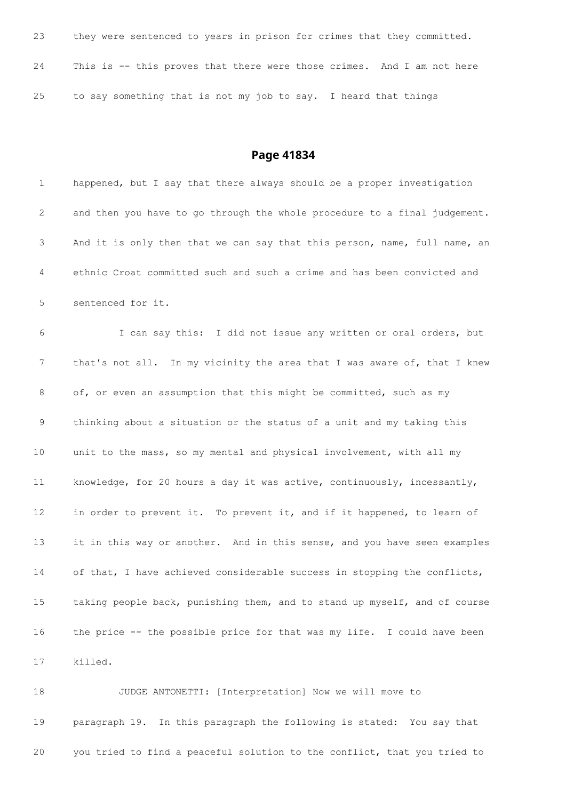| 23 | they were sentenced to years in prison for crimes that they committed. |
|----|------------------------------------------------------------------------|
| 24 | This is -- this proves that there were those crimes. And I am not here |
| 25 | to say something that is not my job to say. I heard that things        |

| $\mathbf 1$     | happened, but I say that there always should be a proper investigation    |
|-----------------|---------------------------------------------------------------------------|
| 2               | and then you have to go through the whole procedure to a final judgement. |
| 3               | And it is only then that we can say that this person, name, full name, an |
| 4               | ethnic Croat committed such and such a crime and has been convicted and   |
| 5               | sentenced for it.                                                         |
| 6               | I can say this: I did not issue any written or oral orders, but           |
| 7               | that's not all. In my vicinity the area that I was aware of, that I knew  |
| 8               | of, or even an assumption that this might be committed, such as my        |
| 9               | thinking about a situation or the status of a unit and my taking this     |
| 10              | unit to the mass, so my mental and physical involvement, with all my      |
| 11              | knowledge, for 20 hours a day it was active, continuously, incessantly,   |
| 12 <sup>°</sup> | in order to prevent it. To prevent it, and if it happened, to learn of    |
| 13              | it in this way or another. And in this sense, and you have seen examples  |
| 14              | of that, I have achieved considerable success in stopping the conflicts,  |
| 15              | taking people back, punishing them, and to stand up myself, and of course |
| 16              | the price -- the possible price for that was my life. I could have been   |
| 17              | killed.                                                                   |
| 18              | JUDGE ANTONETTI: [Interpretation] Now we will move to                     |

 paragraph 19. In this paragraph the following is stated: You say that you tried to find a peaceful solution to the conflict, that you tried to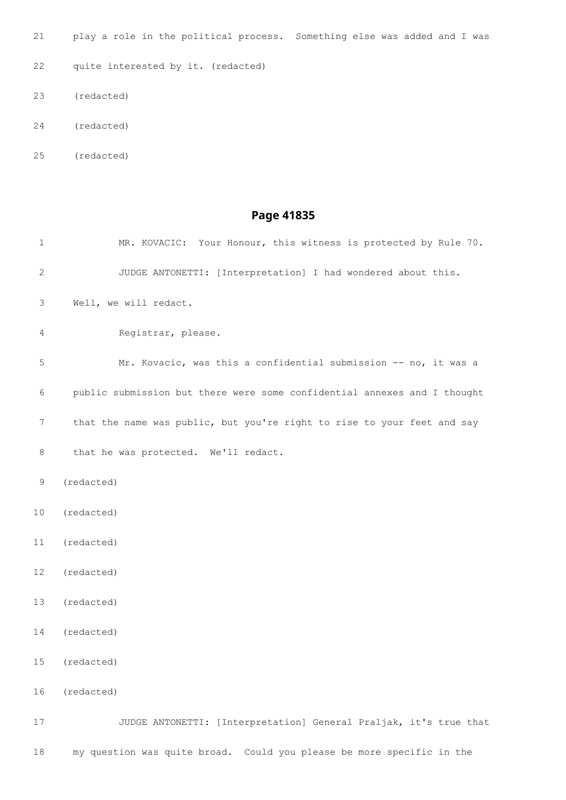play a role in the political process. Something else was added and I was

quite interested by it. (redacted)

- (redacted)
- (redacted)
- (redacted)

## **Page 41835**

| $\mathbf{1}$    | MR. KOVACIC: Your Honour, this witness is protected by Rule 70.          |
|-----------------|--------------------------------------------------------------------------|
| 2               | JUDGE ANTONETTI: [Interpretation] I had wondered about this.             |
| 3               | Well, we will redact.                                                    |
| 4               | Registrar, please.                                                       |
| 5               | Mr. Kovacic, was this a confidential submission -- no, it was a          |
| 6               | public submission but there were some confidential annexes and I thought |
| 7               | that the name was public, but you're right to rise to your feet and say  |
| 8               | that he was protected. We'll redact.                                     |
| 9               | (redacted)                                                               |
| 10              | (redacted)                                                               |
| 11              | (redacted)                                                               |
| 12              | (redacted)                                                               |
| 13              | (redacted)                                                               |
| 14              | (redacted)                                                               |
| 15 <sub>1</sub> | (redacted)                                                               |
| 16              | (redacted)                                                               |
| 17              | JUDGE ANTONETTI: [Interpretation] General Praljak, it's true that        |

my question was quite broad. Could you please be more specific in the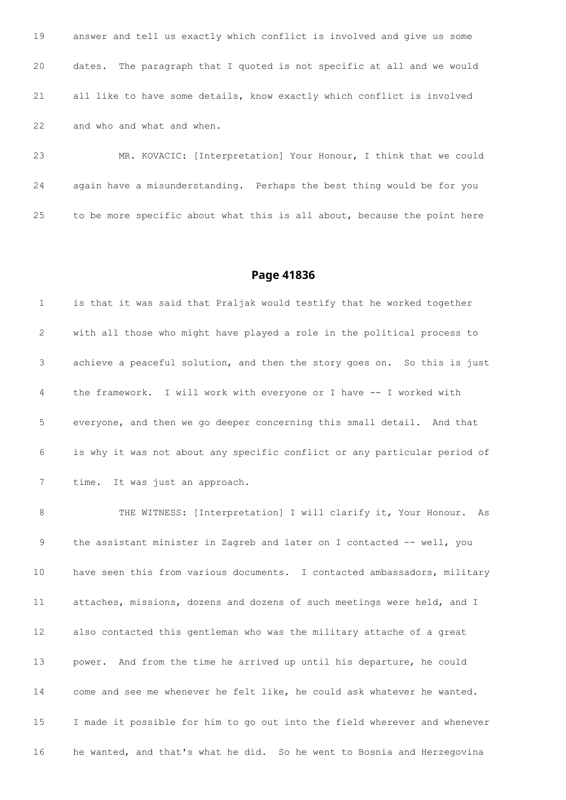answer and tell us exactly which conflict is involved and give us some dates. The paragraph that I quoted is not specific at all and we would all like to have some details, know exactly which conflict is involved and who and what and when.

 MR. KOVACIC: [Interpretation] Your Honour, I think that we could again have a misunderstanding. Perhaps the best thing would be for you to be more specific about what this is all about, because the point here

#### **Page 41836**

 is that it was said that Praljak would testify that he worked together with all those who might have played a role in the political process to achieve a peaceful solution, and then the story goes on. So this is just the framework. I will work with everyone or I have -- I worked with everyone, and then we go deeper concerning this small detail. And that is why it was not about any specific conflict or any particular period of time. It was just an approach.

8 THE WITNESS: [Interpretation] I will clarify it, Your Honour. As 9 the assistant minister in Zagreb and later on I contacted -- well, you have seen this from various documents. I contacted ambassadors, military attaches, missions, dozens and dozens of such meetings were held, and I also contacted this gentleman who was the military attache of a great power. And from the time he arrived up until his departure, he could come and see me whenever he felt like, he could ask whatever he wanted. I made it possible for him to go out into the field wherever and whenever he wanted, and that's what he did. So he went to Bosnia and Herzegovina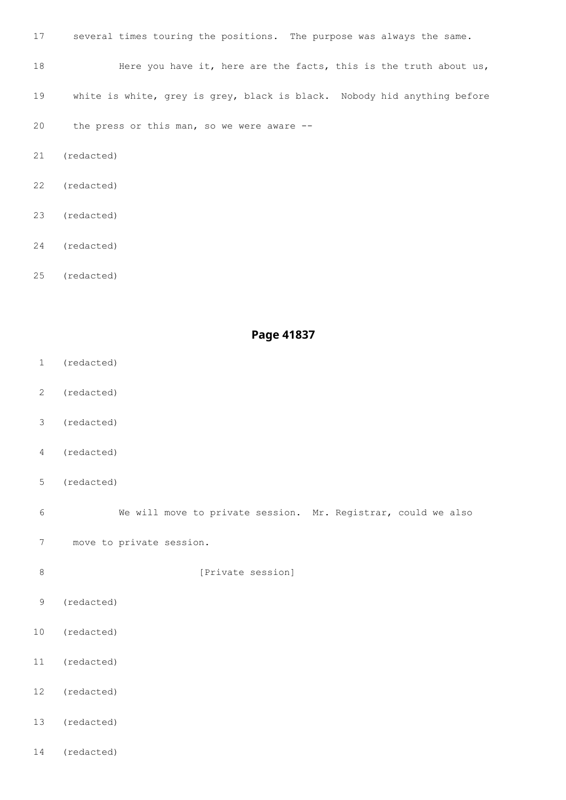- several times touring the positions. The purpose was always the same. 18 Here you have it, here are the facts, this is the truth about us, white is white, grey is grey, black is black. Nobody hid anything before the press or this man, so we were aware -- (redacted)
- (redacted)
- (redacted)
- (redacted)

(redacted)

### **Page 41837**

- (redacted)
- (redacted)
- (redacted)
- (redacted)
- (redacted)

We will move to private session. Mr. Registrar, could we also

- move to private session.
- 8 [Private session]
- (redacted)
- (redacted)
- (redacted)
- (redacted)
- (redacted)
- (redacted)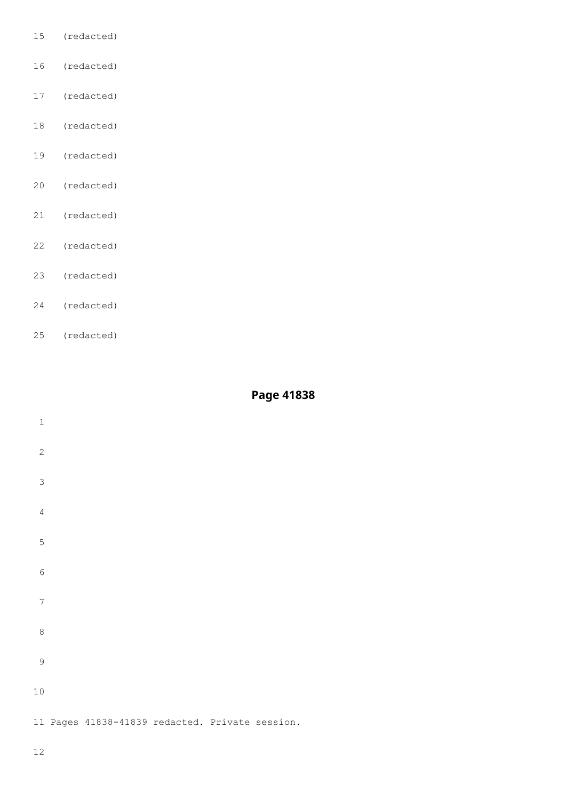- (redacted)
- (redacted)
- (redacted)
- (redacted)
- (redacted)
- (redacted)
- (redacted)
- (redacted)
- (redacted)
- (redacted)
- (redacted)

| $\,1\,$          |                                                 |  |  |  |
|------------------|-------------------------------------------------|--|--|--|
| $\overline{c}$   |                                                 |  |  |  |
| $\mathfrak{Z}$   |                                                 |  |  |  |
| $\sqrt{4}$       |                                                 |  |  |  |
| $\mathsf S$      |                                                 |  |  |  |
| $\epsilon$       |                                                 |  |  |  |
| $\boldsymbol{7}$ |                                                 |  |  |  |
| $\,8\,$          |                                                 |  |  |  |
| $\overline{9}$   |                                                 |  |  |  |
| 10               |                                                 |  |  |  |
|                  | 11 Pages 41838-41839 redacted. Private session. |  |  |  |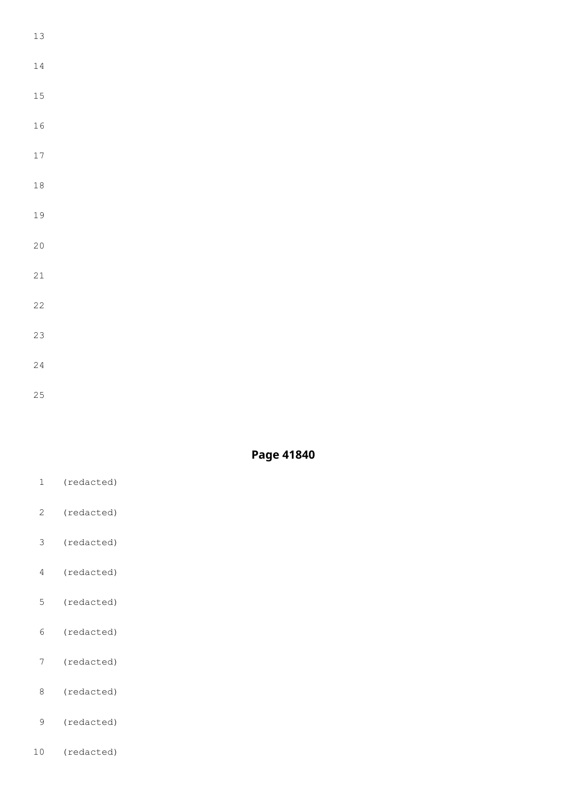| 13              |  |  |  |
|-----------------|--|--|--|
| 14              |  |  |  |
| 15              |  |  |  |
| 16              |  |  |  |
| 17              |  |  |  |
| 18              |  |  |  |
| 19              |  |  |  |
| 20              |  |  |  |
| 21              |  |  |  |
| $\overline{22}$ |  |  |  |
| 23              |  |  |  |
| 24              |  |  |  |

- (redacted)
- (redacted)
- (redacted)
- (redacted)
- (redacted)
- (redacted)
- (redacted)
- (redacted)
- (redacted)
- (redacted)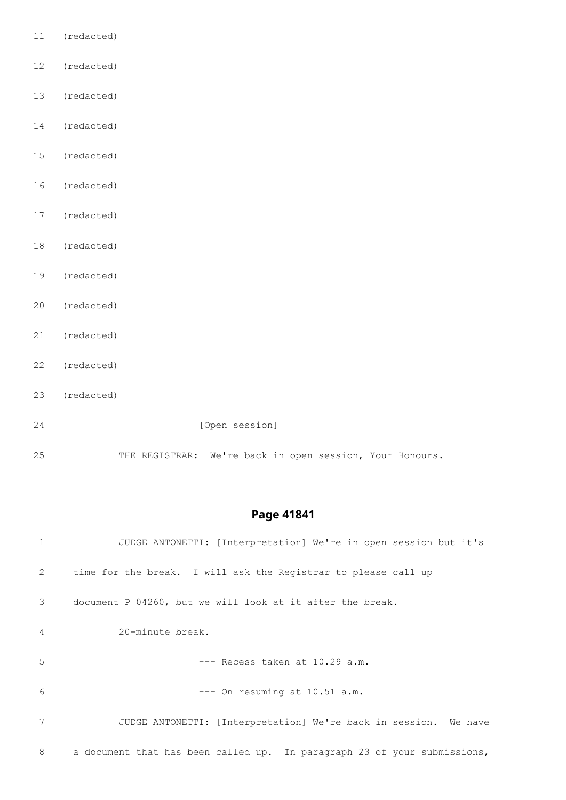- (redacted)
- (redacted)
- (redacted)
- (redacted)
- (redacted)
- (redacted)
- (redacted)
- (redacted)
- (redacted)
- (redacted)
- (redacted)
- (redacted)
- (redacted)
- 24 [Open session]

THE REGISTRAR: We're back in open session, Your Honours.

| $\mathbf{1}$ | JUDGE ANTONETTI: [Interpretation] We're in open session but it's         |
|--------------|--------------------------------------------------------------------------|
| 2            | time for the break. I will ask the Registrar to please call up           |
| 3            | document P 04260, but we will look at it after the break.                |
| 4            | 20-minute break.                                                         |
| 5            | $---$ Recess taken at 10.29 a.m.                                         |
| 6            | $---$ On resuming at $10.51$ a.m.                                        |
| 7            | JUDGE ANTONETTI: [Interpretation] We're back in session. We have         |
| 8            | a document that has been called up. In paragraph 23 of your submissions, |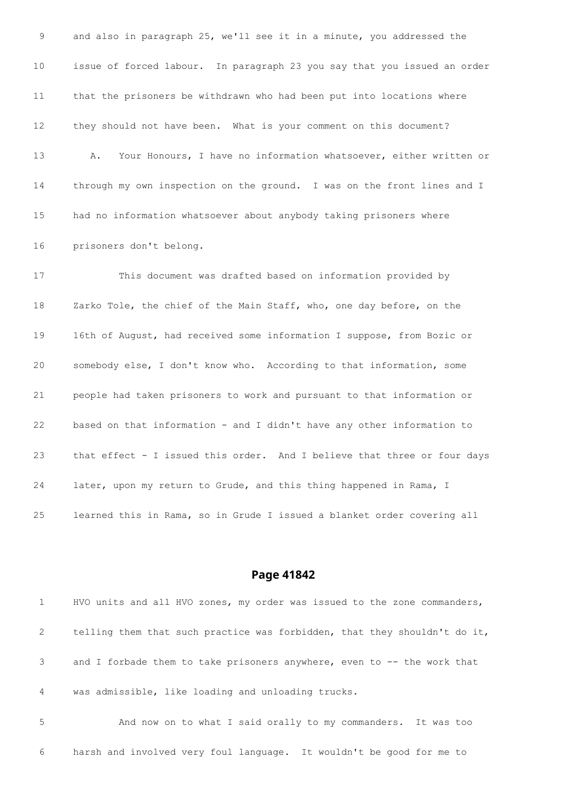and also in paragraph 25, we'll see it in a minute, you addressed the issue of forced labour. In paragraph 23 you say that you issued an order that the prisoners be withdrawn who had been put into locations where they should not have been. What is your comment on this document? A. Your Honours, I have no information whatsoever, either written or through my own inspection on the ground. I was on the front lines and I had no information whatsoever about anybody taking prisoners where prisoners don't belong.

 This document was drafted based on information provided by Zarko Tole, the chief of the Main Staff, who, one day before, on the 16th of August, had received some information I suppose, from Bozic or somebody else, I don't know who. According to that information, some people had taken prisoners to work and pursuant to that information or based on that information - and I didn't have any other information to that effect - I issued this order. And I believe that three or four days later, upon my return to Grude, and this thing happened in Rama, I learned this in Rama, so in Grude I issued a blanket order covering all

#### **Page 41842**

 HVO units and all HVO zones, my order was issued to the zone commanders, telling them that such practice was forbidden, that they shouldn't do it, and I forbade them to take prisoners anywhere, even to -- the work that was admissible, like loading and unloading trucks. And now on to what I said orally to my commanders. It was too

harsh and involved very foul language. It wouldn't be good for me to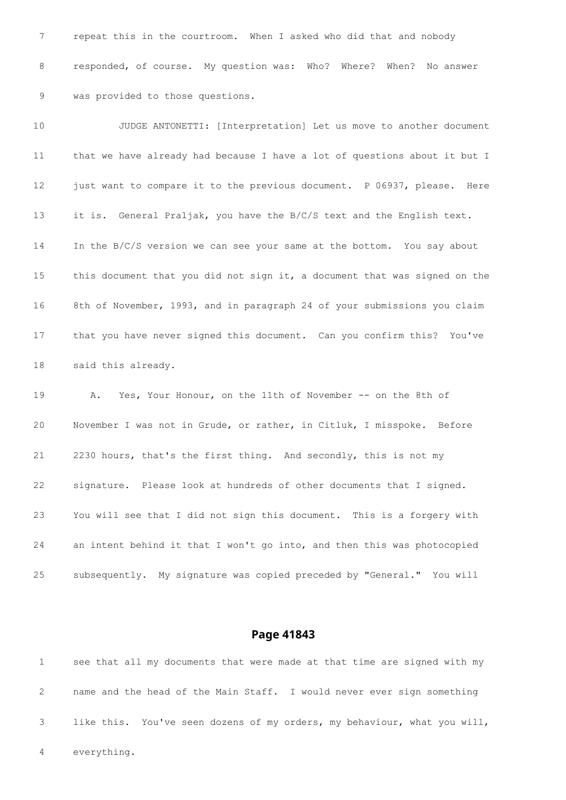repeat this in the courtroom. When I asked who did that and nobody responded, of course. My question was: Who? Where? When? No answer was provided to those questions.

 JUDGE ANTONETTI: [Interpretation] Let us move to another document that we have already had because I have a lot of questions about it but I 12 just want to compare it to the previous document. P 06937, please. Here it is. General Praljak, you have the B/C/S text and the English text. In the B/C/S version we can see your same at the bottom. You say about this document that you did not sign it, a document that was signed on the 8th of November, 1993, and in paragraph 24 of your submissions you claim that you have never signed this document. Can you confirm this? You've said this already. A. Yes, Your Honour, on the 11th of November -- on the 8th of

 November I was not in Grude, or rather, in Citluk, I misspoke. Before 2230 hours, that's the first thing. And secondly, this is not my signature. Please look at hundreds of other documents that I signed. You will see that I did not sign this document. This is a forgery with an intent behind it that I won't go into, and then this was photocopied subsequently. My signature was copied preceded by "General." You will

## **Page 41843**

 see that all my documents that were made at that time are signed with my name and the head of the Main Staff. I would never ever sign something like this. You've seen dozens of my orders, my behaviour, what you will, everything.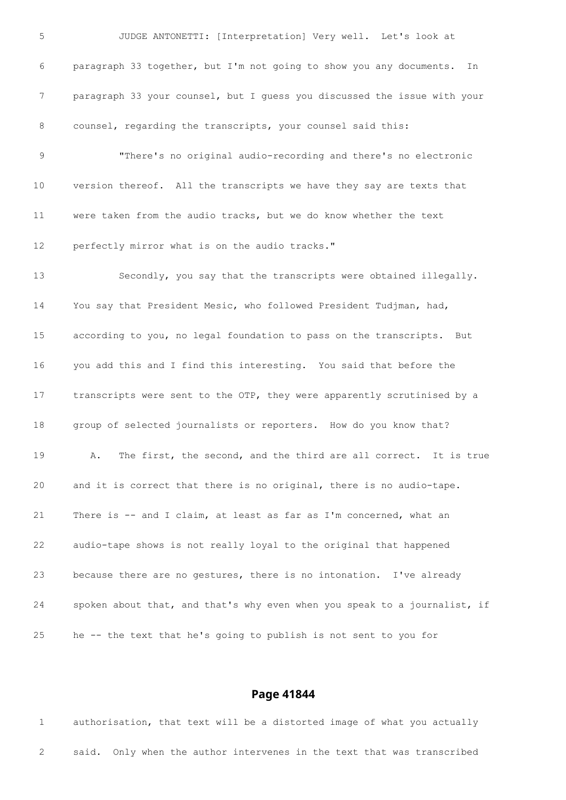JUDGE ANTONETTI: [Interpretation] Very well. Let's look at paragraph 33 together, but I'm not going to show you any documents. In paragraph 33 your counsel, but I guess you discussed the issue with your 8 counsel, regarding the transcripts, your counsel said this: "There's no original audio-recording and there's no electronic version thereof. All the transcripts we have they say are texts that were taken from the audio tracks, but we do know whether the text perfectly mirror what is on the audio tracks." Secondly, you say that the transcripts were obtained illegally. You say that President Mesic, who followed President Tudjman, had, according to you, no legal foundation to pass on the transcripts. But you add this and I find this interesting. You said that before the transcripts were sent to the OTP, they were apparently scrutinised by a group of selected journalists or reporters. How do you know that? A. The first, the second, and the third are all correct. It is true and it is correct that there is no original, there is no audio-tape. There is -- and I claim, at least as far as I'm concerned, what an audio-tape shows is not really loyal to the original that happened because there are no gestures, there is no intonation. I've already spoken about that, and that's why even when you speak to a journalist, if he -- the text that he's going to publish is not sent to you for

## **Page 41844**

 authorisation, that text will be a distorted image of what you actually said. Only when the author intervenes in the text that was transcribed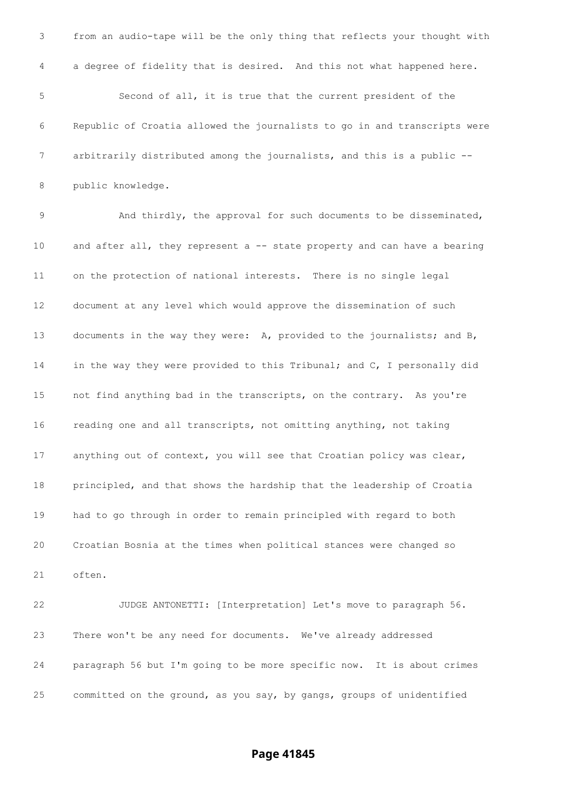from an audio-tape will be the only thing that reflects your thought with a degree of fidelity that is desired. And this not what happened here. Second of all, it is true that the current president of the Republic of Croatia allowed the journalists to go in and transcripts were arbitrarily distributed among the journalists, and this is a public -- public knowledge. And thirdly, the approval for such documents to be disseminated, 10 and after all, they represent a -- state property and can have a bearing on the protection of national interests. There is no single legal document at any level which would approve the dissemination of such documents in the way they were: A, provided to the journalists; and B, in the way they were provided to this Tribunal; and C, I personally did not find anything bad in the transcripts, on the contrary. As you're reading one and all transcripts, not omitting anything, not taking anything out of context, you will see that Croatian policy was clear, principled, and that shows the hardship that the leadership of Croatia had to go through in order to remain principled with regard to both Croatian Bosnia at the times when political stances were changed so often. JUDGE ANTONETTI: [Interpretation] Let's move to paragraph 56. There won't be any need for documents. We've already addressed paragraph 56 but I'm going to be more specific now. It is about crimes committed on the ground, as you say, by gangs, groups of unidentified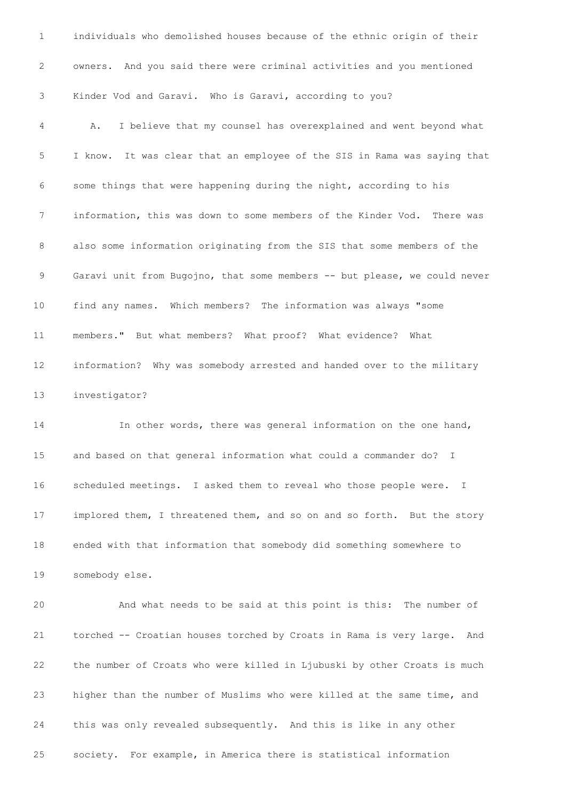owners. And you said there were criminal activities and you mentioned Kinder Vod and Garavi. Who is Garavi, according to you? A. I believe that my counsel has overexplained and went beyond what I know. It was clear that an employee of the SIS in Rama was saying that some things that were happening during the night, according to his information, this was down to some members of the Kinder Vod. There was also some information originating from the SIS that some members of the Garavi unit from Bugojno, that some members -- but please, we could never find any names. Which members? The information was always "some members." But what members? What proof? What evidence? What information? Why was somebody arrested and handed over to the military investigator? In other words, there was general information on the one hand, and based on that general information what could a commander do? I scheduled meetings. I asked them to reveal who those people were. I implored them, I threatened them, and so on and so forth. But the story ended with that information that somebody did something somewhere to somebody else. And what needs to be said at this point is this: The number of torched -- Croatian houses torched by Croats in Rama is very large. And the number of Croats who were killed in Ljubuski by other Croats is much higher than the number of Muslims who were killed at the same time, and this was only revealed subsequently. And this is like in any other society. For example, in America there is statistical information

individuals who demolished houses because of the ethnic origin of their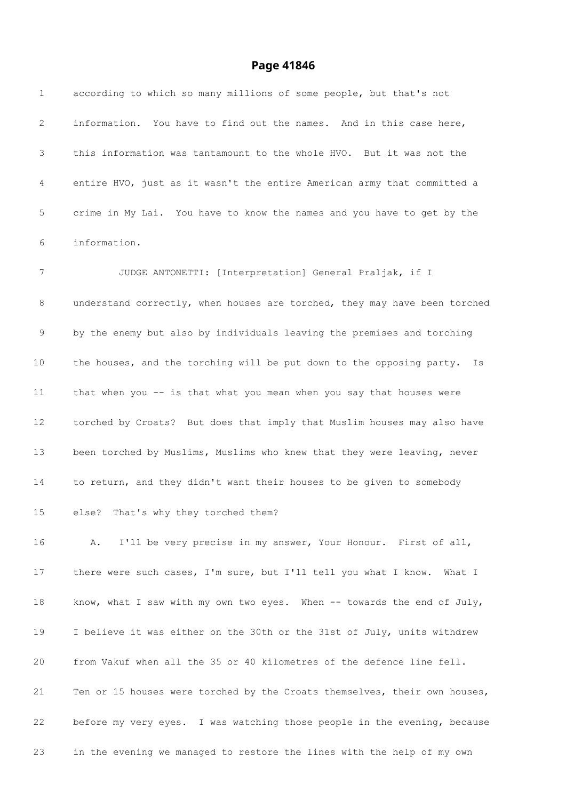| 1  | according to which so many millions of some people, but that's not         |
|----|----------------------------------------------------------------------------|
| 2  | information. You have to find out the names. And in this case here,        |
| 3  | this information was tantamount to the whole HVO. But it was not the       |
| 4  | entire HVO, just as it wasn't the entire American army that committed a    |
| 5  | crime in My Lai. You have to know the names and you have to get by the     |
| 6  | information.                                                               |
| 7  | JUDGE ANTONETTI: [Interpretation] General Praljak, if I                    |
| 8  | understand correctly, when houses are torched, they may have been torched  |
| 9  | by the enemy but also by individuals leaving the premises and torching     |
| 10 | the houses, and the torching will be put down to the opposing party.<br>Is |
| 11 | that when you -- is that what you mean when you say that houses were       |
| 12 | torched by Croats? But does that imply that Muslim houses may also have    |
| 13 | been torched by Muslims, Muslims who knew that they were leaving, never    |
| 14 | to return, and they didn't want their houses to be given to somebody       |
| 15 | else? That's why they torched them?                                        |
| 16 | I'll be very precise in my answer, Your Honour. First of all,<br>Α.        |
| 17 | there were such cases, I'm sure, but I'll tell you what I know. What I     |
| 18 | know, what I saw with my own two eyes. When -- towards the end of July,    |
| 19 | I believe it was either on the 30th or the 31st of July, units withdrew    |
| 20 | from Vakuf when all the 35 or 40 kilometres of the defence line fell.      |
| 21 | Ten or 15 houses were torched by the Croats themselves, their own houses,  |
| 22 | before my very eyes. I was watching those people in the evening, because   |
| 23 | in the evening we managed to restore the lines with the help of my own     |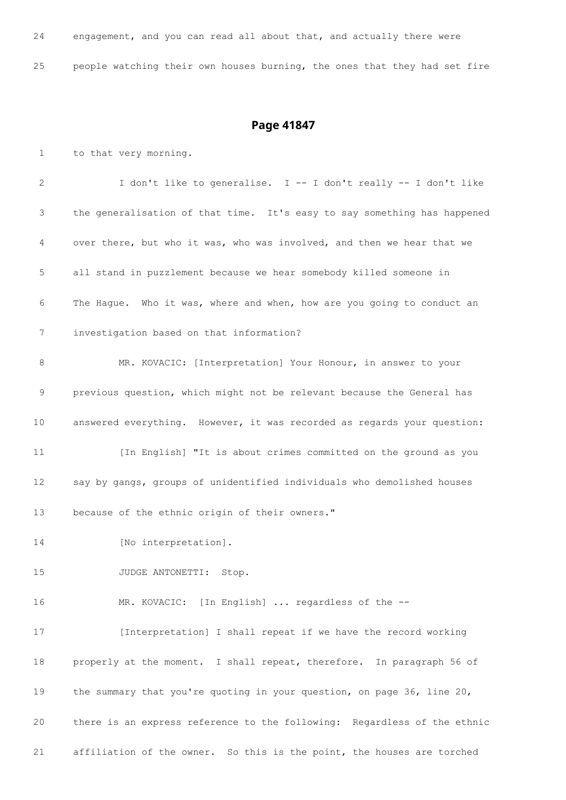| 24 | engagement, and you can read all about that, and actually there were      |  |  |  |  |  |  |  |
|----|---------------------------------------------------------------------------|--|--|--|--|--|--|--|
| 25 | people watching their own houses burning, the ones that they had set fire |  |  |  |  |  |  |  |

## **Page 41847**

 to that very morning. I don't like to generalise. I -- I don't really -- I don't like the generalisation of that time. It's easy to say something has happened over there, but who it was, who was involved, and then we hear that we all stand in puzzlement because we hear somebody killed someone in The Hague. Who it was, where and when, how are you going to conduct an investigation based on that information? MR. KOVACIC: [Interpretation] Your Honour, in answer to your previous question, which might not be relevant because the General has answered everything. However, it was recorded as regards your question: [In English] "It is about crimes committed on the ground as you say by gangs, groups of unidentified individuals who demolished houses because of the ethnic origin of their owners." 14 [No interpretation]. 15 JUDGE ANTONETTI: Stop. MR. KOVACIC: [In English] ... regardless of the -- 17 [Interpretation] I shall repeat if we have the record working properly at the moment. I shall repeat, therefore. In paragraph 56 of the summary that you're quoting in your question, on page 36, line 20, there is an express reference to the following: Regardless of the ethnic affiliation of the owner. So this is the point, the houses are torched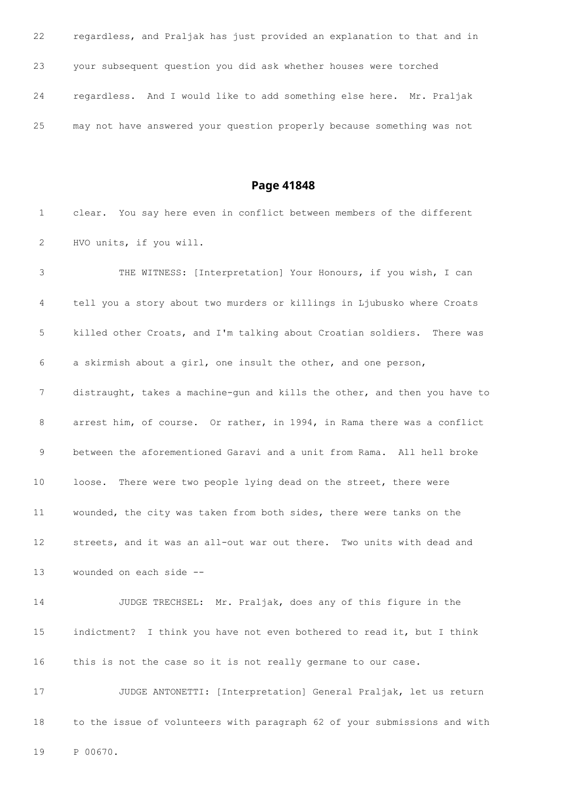regardless, and Praljak has just provided an explanation to that and in your subsequent question you did ask whether houses were torched regardless. And I would like to add something else here. Mr. Praljak may not have answered your question properly because something was not

**Page 41848**

 clear. You say here even in conflict between members of the different HVO units, if you will.

 THE WITNESS: [Interpretation] Your Honours, if you wish, I can tell you a story about two murders or killings in Ljubusko where Croats killed other Croats, and I'm talking about Croatian soldiers. There was a skirmish about a girl, one insult the other, and one person, distraught, takes a machine-gun and kills the other, and then you have to arrest him, of course. Or rather, in 1994, in Rama there was a conflict between the aforementioned Garavi and a unit from Rama. All hell broke 10 loose. There were two people lying dead on the street, there were wounded, the city was taken from both sides, there were tanks on the streets, and it was an all-out war out there. Two units with dead and wounded on each side -- JUDGE TRECHSEL: Mr. Praljak, does any of this figure in the indictment? I think you have not even bothered to read it, but I think this is not the case so it is not really germane to our case. JUDGE ANTONETTI: [Interpretation] General Praljak, let us return

to the issue of volunteers with paragraph 62 of your submissions and with

P 00670.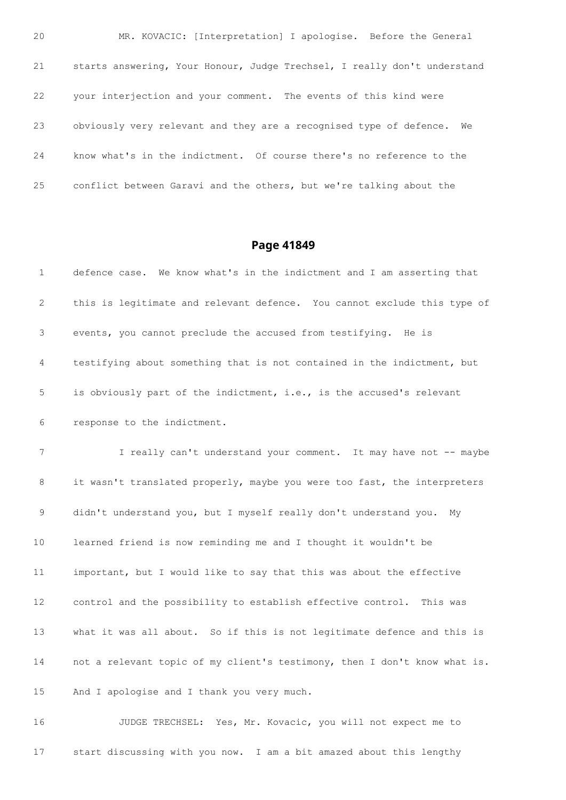MR. KOVACIC: [Interpretation] I apologise. Before the General starts answering, Your Honour, Judge Trechsel, I really don't understand your interjection and your comment. The events of this kind were obviously very relevant and they are a recognised type of defence. We know what's in the indictment. Of course there's no reference to the conflict between Garavi and the others, but we're talking about the

## **Page 41849**

| 1              | defence case. We know what's in the indictment and I am asserting that    |
|----------------|---------------------------------------------------------------------------|
| 2              | this is legitimate and relevant defence. You cannot exclude this type of  |
| 3              | events, you cannot preclude the accused from testifying. He is            |
| 4              | testifying about something that is not contained in the indictment, but   |
| 5              | is obviously part of the indictment, i.e., is the accused's relevant      |
| 6              | response to the indictment.                                               |
| $\overline{7}$ | I really can't understand your comment. It may have not -- maybe          |
| 8              | it wasn't translated properly, maybe you were too fast, the interpreters  |
| 9              | didn't understand you, but I myself really don't understand you.<br>Mv    |
| 10             | learned friend is now reminding me and I thought it wouldn't be           |
| 11             | important, but I would like to say that this was about the effective      |
| 12             | control and the possibility to establish effective control. This was      |
| 13             | what it was all about. So if this is not legitimate defence and this is   |
| 14             | not a relevant topic of my client's testimony, then I don't know what is. |
| 15             | And I apologise and I thank you very much.                                |
|                |                                                                           |

 JUDGE TRECHSEL: Yes, Mr. Kovacic, you will not expect me to start discussing with you now. I am a bit amazed about this lengthy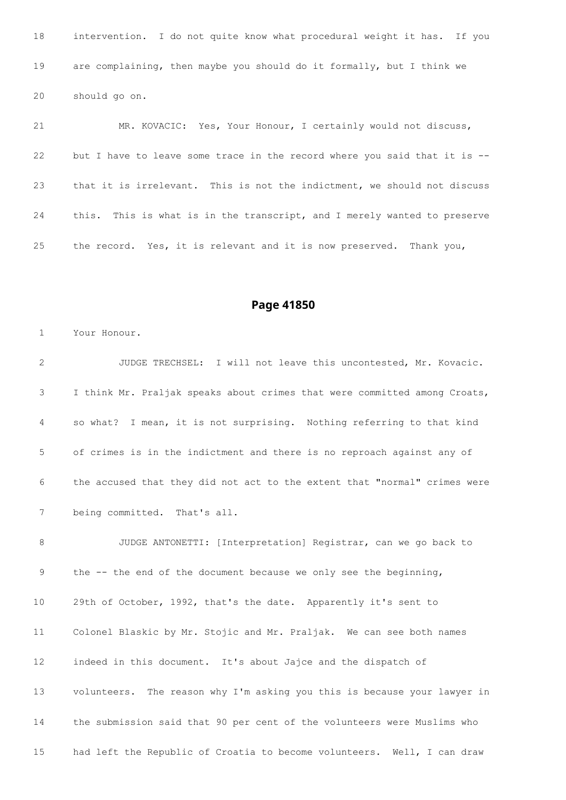intervention. I do not quite know what procedural weight it has. If you are complaining, then maybe you should do it formally, but I think we should go on.

 MR. KOVACIC: Yes, Your Honour, I certainly would not discuss, but I have to leave some trace in the record where you said that it is -- that it is irrelevant. This is not the indictment, we should not discuss this. This is what is in the transcript, and I merely wanted to preserve the record. Yes, it is relevant and it is now preserved. Thank you,

**Page 41850**

Your Honour.

 JUDGE TRECHSEL: I will not leave this uncontested, Mr. Kovacic. I think Mr. Praljak speaks about crimes that were committed among Croats, so what? I mean, it is not surprising. Nothing referring to that kind of crimes is in the indictment and there is no reproach against any of the accused that they did not act to the extent that "normal" crimes were being committed. That's all.

 JUDGE ANTONETTI: [Interpretation] Registrar, can we go back to the -- the end of the document because we only see the beginning, 29th of October, 1992, that's the date. Apparently it's sent to Colonel Blaskic by Mr. Stojic and Mr. Praljak. We can see both names indeed in this document. It's about Jajce and the dispatch of volunteers. The reason why I'm asking you this is because your lawyer in the submission said that 90 per cent of the volunteers were Muslims who had left the Republic of Croatia to become volunteers. Well, I can draw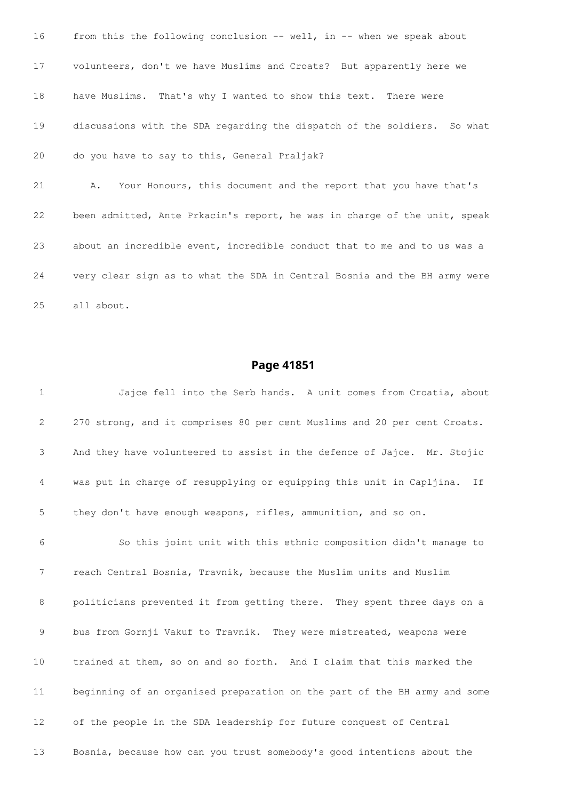from this the following conclusion -- well, in -- when we speak about volunteers, don't we have Muslims and Croats? But apparently here we have Muslims. That's why I wanted to show this text. There were discussions with the SDA regarding the dispatch of the soldiers. So what do you have to say to this, General Praljak? A. Your Honours, this document and the report that you have that's been admitted, Ante Prkacin's report, he was in charge of the unit, speak about an incredible event, incredible conduct that to me and to us was a very clear sign as to what the SDA in Central Bosnia and the BH army were all about.

#### **Page 41851**

 Jajce fell into the Serb hands. A unit comes from Croatia, about 270 strong, and it comprises 80 per cent Muslims and 20 per cent Croats. And they have volunteered to assist in the defence of Jajce. Mr. Stojic was put in charge of resupplying or equipping this unit in Capljina. If they don't have enough weapons, rifles, ammunition, and so on. So this joint unit with this ethnic composition didn't manage to reach Central Bosnia, Travnik, because the Muslim units and Muslim politicians prevented it from getting there. They spent three days on a bus from Gornji Vakuf to Travnik. They were mistreated, weapons were trained at them, so on and so forth. And I claim that this marked the beginning of an organised preparation on the part of the BH army and some of the people in the SDA leadership for future conquest of Central Bosnia, because how can you trust somebody's good intentions about the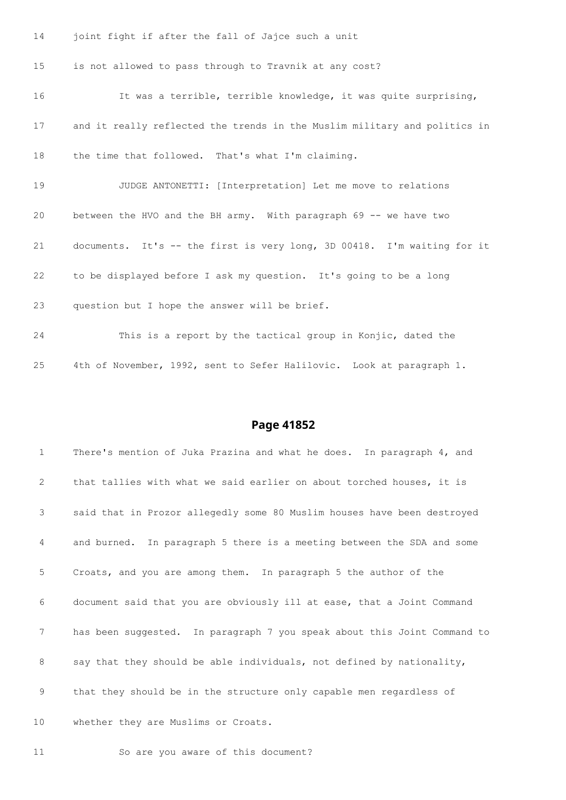joint fight if after the fall of Jajce such a unit

is not allowed to pass through to Travnik at any cost?

 It was a terrible, terrible knowledge, it was quite surprising, and it really reflected the trends in the Muslim military and politics in the time that followed. That's what I'm claiming. JUDGE ANTONETTI: [Interpretation] Let me move to relations between the HVO and the BH army. With paragraph 69 -- we have two documents. It's -- the first is very long, 3D 00418. I'm waiting for it to be displayed before I ask my question. It's going to be a long question but I hope the answer will be brief. This is a report by the tactical group in Konjic, dated the

4th of November, 1992, sent to Sefer Halilovic. Look at paragraph 1.

#### **Page 41852**

 There's mention of Juka Prazina and what he does. In paragraph 4, and that tallies with what we said earlier on about torched houses, it is said that in Prozor allegedly some 80 Muslim houses have been destroyed and burned. In paragraph 5 there is a meeting between the SDA and some Croats, and you are among them. In paragraph 5 the author of the document said that you are obviously ill at ease, that a Joint Command has been suggested. In paragraph 7 you speak about this Joint Command to say that they should be able individuals, not defined by nationality, that they should be in the structure only capable men regardless of 10 whether they are Muslims or Croats.

So are you aware of this document?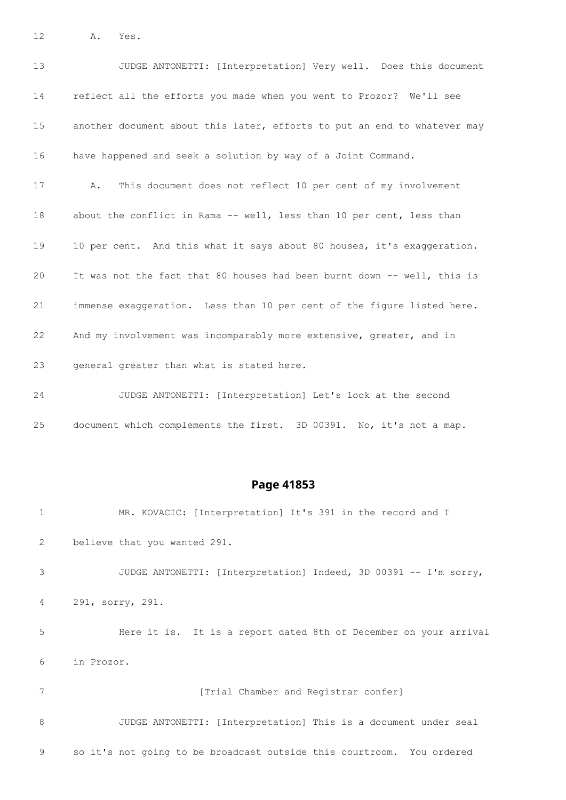A. Yes.

| 13 | JUDGE ANTONETTI: [Interpretation] Very well. Does this document          |
|----|--------------------------------------------------------------------------|
| 14 | reflect all the efforts you made when you went to Prozor? We'll see      |
| 15 | another document about this later, efforts to put an end to whatever may |
| 16 | have happened and seek a solution by way of a Joint Command.             |
| 17 | This document does not reflect 10 per cent of my involvement<br>Α.       |
| 18 | about the conflict in Rama -- well, less than 10 per cent, less than     |
| 19 | 10 per cent. And this what it says about 80 houses, it's exaggeration.   |
| 20 | It was not the fact that 80 houses had been burnt down -- well, this is  |
| 21 | immense exaggeration. Less than 10 per cent of the figure listed here.   |
| 22 | And my involvement was incomparably more extensive, greater, and in      |
| 23 | general greater than what is stated here.                                |
| 24 | JUDGE ANTONETTI: [Interpretation] Let's look at the second               |

document which complements the first. 3D 00391. No, it's not a map.

## **Page 41853**

 MR. KOVACIC: [Interpretation] It's 391 in the record and I believe that you wanted 291. JUDGE ANTONETTI: [Interpretation] Indeed, 3D 00391 -- I'm sorry, 291, sorry, 291. Here it is. It is a report dated 8th of December on your arrival in Prozor. *Trial Chamber and Registrar confer*  JUDGE ANTONETTI: [Interpretation] This is a document under seal so it's not going to be broadcast outside this courtroom. You ordered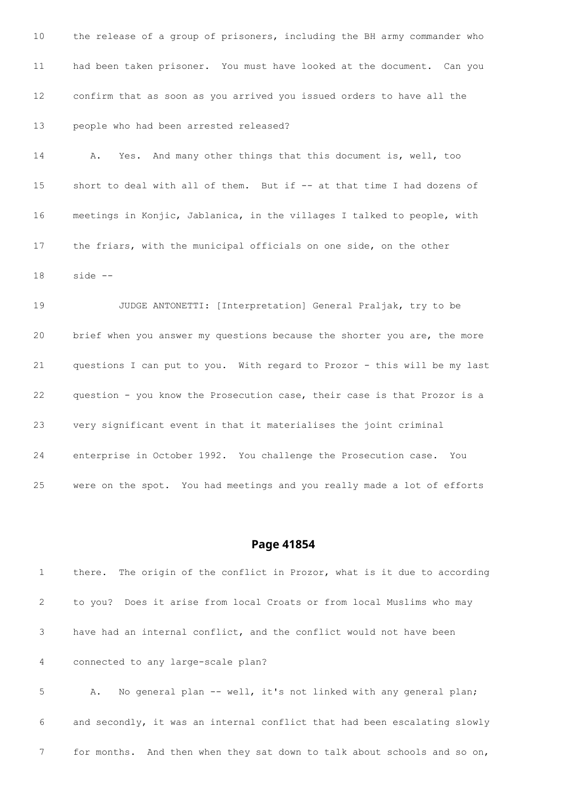the release of a group of prisoners, including the BH army commander who had been taken prisoner. You must have looked at the document. Can you confirm that as soon as you arrived you issued orders to have all the people who had been arrested released?

 A. Yes. And many other things that this document is, well, too short to deal with all of them. But if -- at that time I had dozens of meetings in Konjic, Jablanica, in the villages I talked to people, with the friars, with the municipal officials on one side, on the other side --

 JUDGE ANTONETTI: [Interpretation] General Praljak, try to be brief when you answer my questions because the shorter you are, the more questions I can put to you. With regard to Prozor - this will be my last question - you know the Prosecution case, their case is that Prozor is a very significant event in that it materialises the joint criminal enterprise in October 1992. You challenge the Prosecution case. You were on the spot. You had meetings and you really made a lot of efforts

#### **Page 41854**

 there. The origin of the conflict in Prozor, what is it due to according to you? Does it arise from local Croats or from local Muslims who may have had an internal conflict, and the conflict would not have been connected to any large-scale plan? 5 A. No general plan -- well, it's not linked with any general plan; and secondly, it was an internal conflict that had been escalating slowly

for months. And then when they sat down to talk about schools and so on,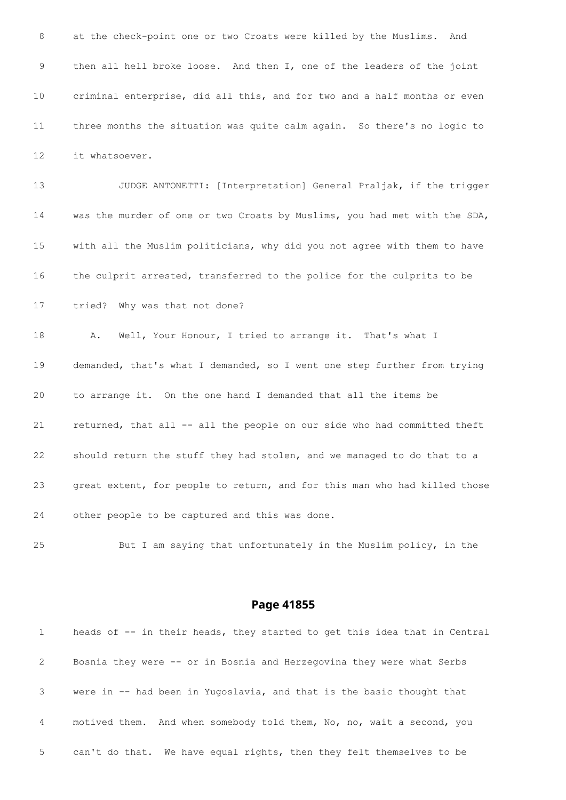at the check-point one or two Croats were killed by the Muslims. And then all hell broke loose. And then I, one of the leaders of the joint criminal enterprise, did all this, and for two and a half months or even three months the situation was quite calm again. So there's no logic to it whatsoever.

 JUDGE ANTONETTI: [Interpretation] General Praljak, if the trigger was the murder of one or two Croats by Muslims, you had met with the SDA, with all the Muslim politicians, why did you not agree with them to have the culprit arrested, transferred to the police for the culprits to be tried? Why was that not done?

 A. Well, Your Honour, I tried to arrange it. That's what I demanded, that's what I demanded, so I went one step further from trying to arrange it. On the one hand I demanded that all the items be returned, that all -- all the people on our side who had committed theft should return the stuff they had stolen, and we managed to do that to a great extent, for people to return, and for this man who had killed those other people to be captured and this was done.

But I am saying that unfortunately in the Muslim policy, in the

| 1           | heads of -- in their heads, they started to get this idea that in Central |
|-------------|---------------------------------------------------------------------------|
| 2           | Bosnia they were -- or in Bosnia and Herzegovina they were what Serbs     |
| $3^{\circ}$ | were in -- had been in Yugoslavia, and that is the basic thought that     |
| 4           | motived them. And when somebody told them, No, no, wait a second, you     |
| 5           | can't do that. We have equal rights, then they felt themselves to be      |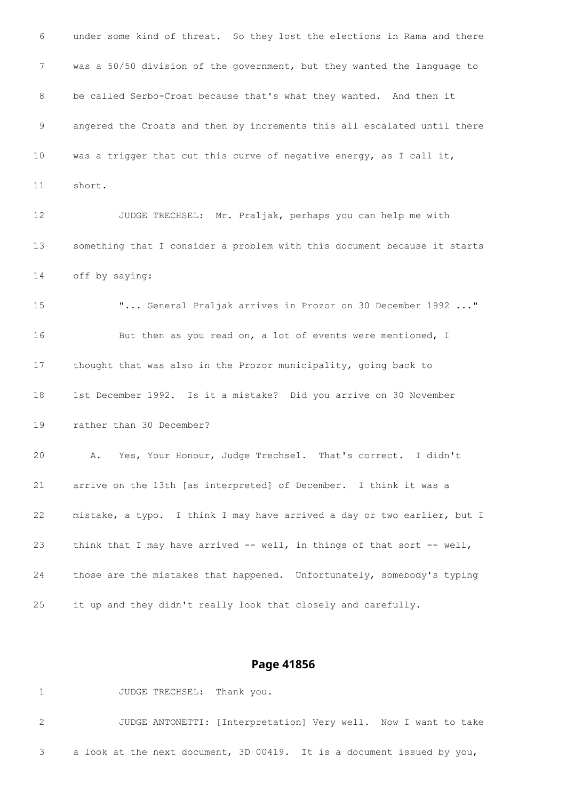under some kind of threat. So they lost the elections in Rama and there was a 50/50 division of the government, but they wanted the language to be called Serbo-Croat because that's what they wanted. And then it angered the Croats and then by increments this all escalated until there was a trigger that cut this curve of negative energy, as I call it, short. JUDGE TRECHSEL: Mr. Praljak, perhaps you can help me with something that I consider a problem with this document because it starts off by saying: "... General Praljak arrives in Prozor on 30 December 1992 ..." 16 But then as you read on, a lot of events were mentioned, I thought that was also in the Prozor municipality, going back to 1st December 1992. Is it a mistake? Did you arrive on 30 November rather than 30 December? A. Yes, Your Honour, Judge Trechsel. That's correct. I didn't arrive on the 13th [as interpreted] of December. I think it was a mistake, a typo. I think I may have arrived a day or two earlier, but I think that I may have arrived -- well, in things of that sort -- well, those are the mistakes that happened. Unfortunately, somebody's typing it up and they didn't really look that closely and carefully.

### **Page 41856**

1 JUDGE TRECHSEL: Thank you. JUDGE ANTONETTI: [Interpretation] Very well. Now I want to take a look at the next document, 3D 00419. It is a document issued by you,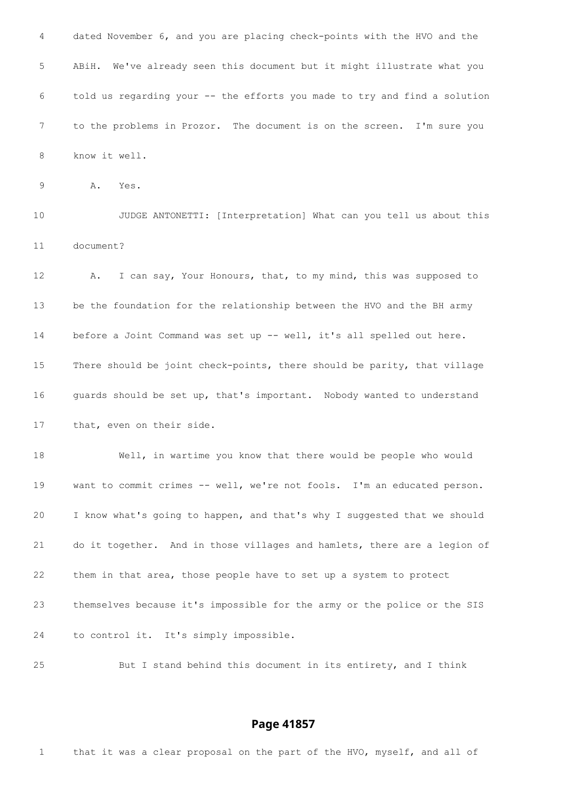dated November 6, and you are placing check-points with the HVO and the ABiH. We've already seen this document but it might illustrate what you told us regarding your -- the efforts you made to try and find a solution to the problems in Prozor. The document is on the screen. I'm sure you know it well. A. Yes. JUDGE ANTONETTI: [Interpretation] What can you tell us about this document? A. I can say, Your Honours, that, to my mind, this was supposed to be the foundation for the relationship between the HVO and the BH army 14 before a Joint Command was set up -- well, it's all spelled out here. There should be joint check-points, there should be parity, that village guards should be set up, that's important. Nobody wanted to understand that, even on their side. Well, in wartime you know that there would be people who would want to commit crimes -- well, we're not fools. I'm an educated person. I know what's going to happen, and that's why I suggested that we should do it together. And in those villages and hamlets, there are a legion of them in that area, those people have to set up a system to protect themselves because it's impossible for the army or the police or the SIS to control it. It's simply impossible. But I stand behind this document in its entirety, and I think

### **Page 41857**

that it was a clear proposal on the part of the HVO, myself, and all of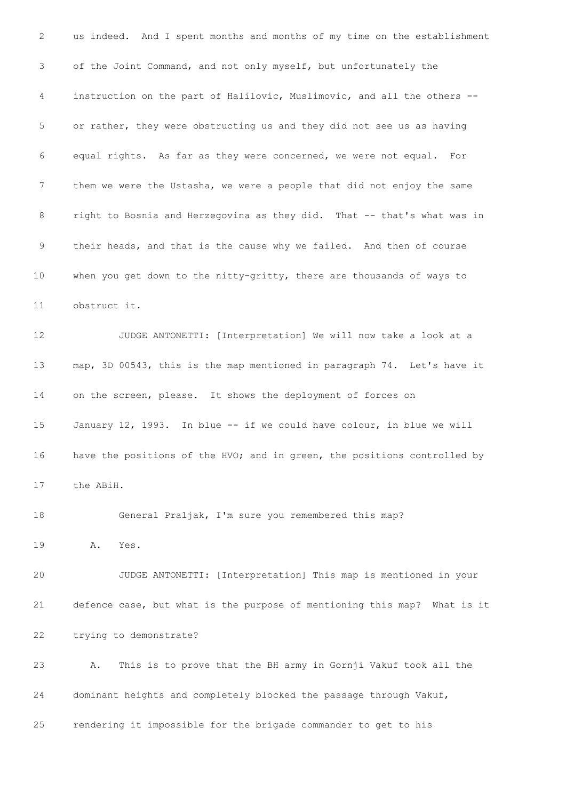us indeed. And I spent months and months of my time on the establishment of the Joint Command, and not only myself, but unfortunately the instruction on the part of Halilovic, Muslimovic, and all the others -- or rather, they were obstructing us and they did not see us as having equal rights. As far as they were concerned, we were not equal. For them we were the Ustasha, we were a people that did not enjoy the same 8 right to Bosnia and Herzegovina as they did. That -- that's what was in their heads, and that is the cause why we failed. And then of course when you get down to the nitty-gritty, there are thousands of ways to obstruct it. JUDGE ANTONETTI: [Interpretation] We will now take a look at a map, 3D 00543, this is the map mentioned in paragraph 74. Let's have it on the screen, please. It shows the deployment of forces on January 12, 1993. In blue -- if we could have colour, in blue we will 16 have the positions of the HVO; and in green, the positions controlled by the ABiH. General Praljak, I'm sure you remembered this map? A. Yes. JUDGE ANTONETTI: [Interpretation] This map is mentioned in your defence case, but what is the purpose of mentioning this map? What is it trying to demonstrate? A. This is to prove that the BH army in Gornji Vakuf took all the dominant heights and completely blocked the passage through Vakuf, rendering it impossible for the brigade commander to get to his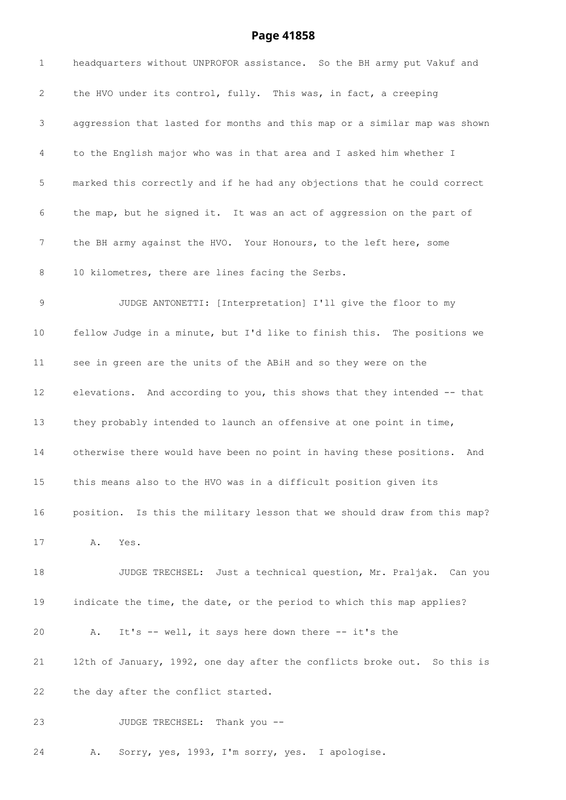# **Page 41858**

| $\mathbf 1$  | headquarters without UNPROFOR assistance. So the BH army put Vakuf and     |
|--------------|----------------------------------------------------------------------------|
| $\mathbf{2}$ | the HVO under its control, fully. This was, in fact, a creeping            |
| 3            | aggression that lasted for months and this map or a similar map was shown  |
| 4            | to the English major who was in that area and I asked him whether I        |
| 5            | marked this correctly and if he had any objections that he could correct   |
| 6            | the map, but he signed it. It was an act of aggression on the part of      |
| 7            | the BH army against the HVO. Your Honours, to the left here, some          |
| 8            | 10 kilometres, there are lines facing the Serbs.                           |
| 9            | JUDGE ANTONETTI: [Interpretation] I'll give the floor to my                |
| 10           | fellow Judge in a minute, but I'd like to finish this. The positions we    |
| 11           | see in green are the units of the ABiH and so they were on the             |
| 12           | elevations. And according to you, this shows that they intended -- that    |
| 13           | they probably intended to launch an offensive at one point in time,        |
| 14           | otherwise there would have been no point in having these positions.<br>And |
| 15           | this means also to the HVO was in a difficult position given its           |
| 16           | position. Is this the military lesson that we should draw from this map?   |
| 17           | Α.<br>Yes.                                                                 |
| 18           | JUDGE TRECHSEL: Just a technical question, Mr. Praljak. Can you            |
| 19           | indicate the time, the date, or the period to which this map applies?      |
| 20           | It's -- well, it says here down there -- it's the<br>Α.                    |
| 21           | 12th of January, 1992, one day after the conflicts broke out. So this is   |
| 22           | the day after the conflict started.                                        |
| 23           | Thank you --<br>JUDGE TRECHSEL:                                            |

A. Sorry, yes, 1993, I'm sorry, yes. I apologise.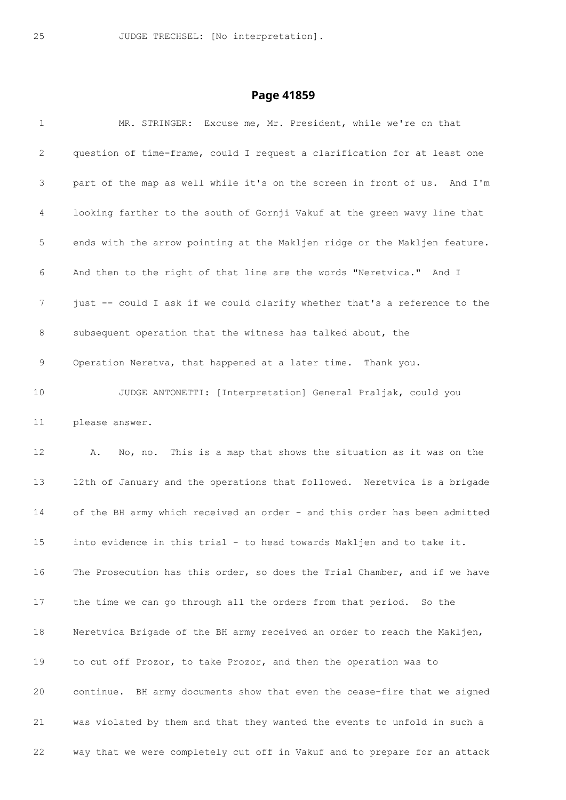| $\mathbf{1}$ | MR. STRINGER: Excuse me, Mr. President, while we're on that               |
|--------------|---------------------------------------------------------------------------|
| 2            | question of time-frame, could I request a clarification for at least one  |
| 3            | part of the map as well while it's on the screen in front of us. And I'm  |
| 4            | looking farther to the south of Gornji Vakuf at the green wavy line that  |
| 5            | ends with the arrow pointing at the Makljen ridge or the Makljen feature. |
| 6            | And then to the right of that line are the words "Neretvica." And I       |
| 7            | just -- could I ask if we could clarify whether that's a reference to the |
| 8            | subsequent operation that the witness has talked about, the               |
| 9            | Operation Neretva, that happened at a later time. Thank you.              |
| 10           | JUDGE ANTONETTI: [Interpretation] General Praljak, could you              |
| 11           | please answer.                                                            |
| 12           | No, no. This is a map that shows the situation as it was on the<br>A.     |
| 13           | 12th of January and the operations that followed. Neretvica is a brigade  |
| 14           | of the BH army which received an order - and this order has been admitted |
| 15           | into evidence in this trial - to head towards Makljen and to take it.     |
| 16           | The Prosecution has this order, so does the Trial Chamber, and if we have |
| 17           | the time we can go through all the orders from that period. So the        |
| 18           | Neretvica Brigade of the BH army received an order to reach the Makljen,  |
| 19           | to cut off Prozor, to take Prozor, and then the operation was to          |
| 20           | continue. BH army documents show that even the cease-fire that we signed  |
| 21           | was violated by them and that they wanted the events to unfold in such a  |
| 22           | way that we were completely cut off in Vakuf and to prepare for an attack |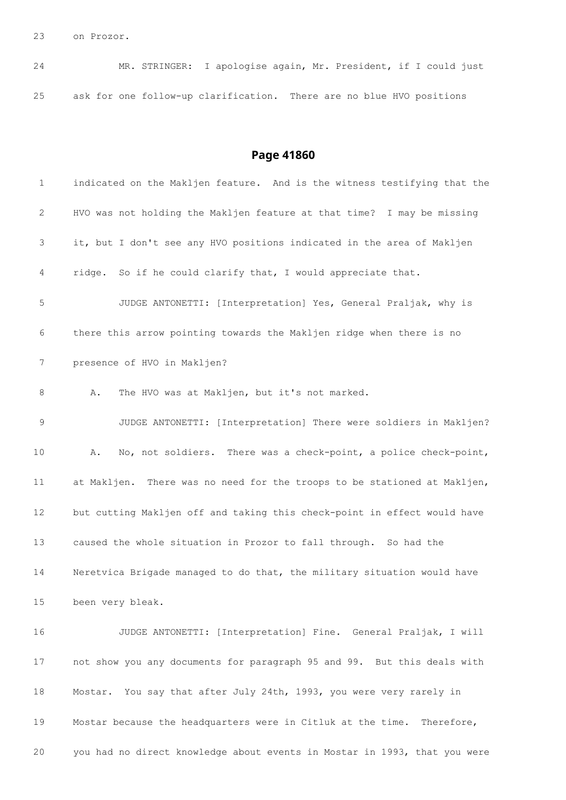on Prozor.

| 24 |  | MR. STRINGER: I apologise again, Mr. President, if I could just      |  |  |  |
|----|--|----------------------------------------------------------------------|--|--|--|
| 25 |  | ask for one follow-up clarification. There are no blue HVO positions |  |  |  |

| $\mathbf 1$     | indicated on the Makljen feature. And is the witness testifying that the  |
|-----------------|---------------------------------------------------------------------------|
| 2               | HVO was not holding the Makljen feature at that time? I may be missing    |
| 3               | it, but I don't see any HVO positions indicated in the area of Makljen    |
| 4               | ridge. So if he could clarify that, I would appreciate that.              |
| 5               | JUDGE ANTONETTI: [Interpretation] Yes, General Praljak, why is            |
| 6               | there this arrow pointing towards the Makljen ridge when there is no      |
| $\overline{7}$  | presence of HVO in Makljen?                                               |
| 8               | The HVO was at Makljen, but it's not marked.<br>Α.                        |
| 9               | JUDGE ANTONETTI: [Interpretation] There were soldiers in Makljen?         |
| $10 \,$         | No, not soldiers. There was a check-point, a police check-point,<br>Α.    |
| 11              | at Makljen. There was no need for the troops to be stationed at Makljen,  |
| 12              | but cutting Makljen off and taking this check-point in effect would have  |
| 13              | caused the whole situation in Prozor to fall through. So had the          |
| 14              | Neretvica Brigade managed to do that, the military situation would have   |
| 15 <sub>1</sub> | been very bleak.                                                          |
| 16              | JUDGE ANTONETTI: [Interpretation] Fine. General Praljak, I will           |
| 17              | not show you any documents for paragraph 95 and 99. But this deals with   |
| 18              | Mostar. You say that after July 24th, 1993, you were very rarely in       |
| 19              | Mostar because the headquarters were in Citluk at the time. Therefore,    |
| 20              | you had no direct knowledge about events in Mostar in 1993, that you were |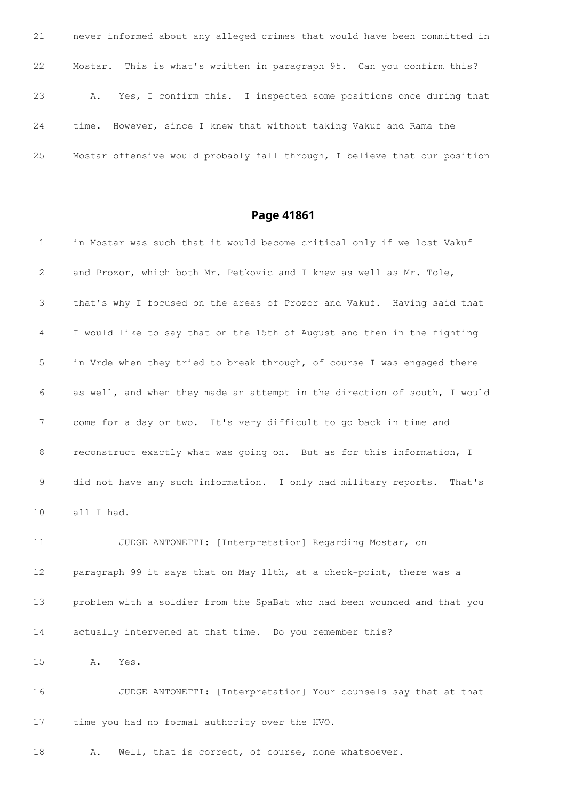never informed about any alleged crimes that would have been committed in Mostar. This is what's written in paragraph 95. Can you confirm this? A. Yes, I confirm this. I inspected some positions once during that time. However, since I knew that without taking Vakuf and Rama the Mostar offensive would probably fall through, I believe that our position

## **Page 41861**

 in Mostar was such that it would become critical only if we lost Vakuf and Prozor, which both Mr. Petkovic and I knew as well as Mr. Tole, that's why I focused on the areas of Prozor and Vakuf. Having said that I would like to say that on the 15th of August and then in the fighting in Vrde when they tried to break through, of course I was engaged there as well, and when they made an attempt in the direction of south, I would come for a day or two. It's very difficult to go back in time and reconstruct exactly what was going on. But as for this information, I did not have any such information. I only had military reports. That's all I had. JUDGE ANTONETTI: [Interpretation] Regarding Mostar, on paragraph 99 it says that on May 11th, at a check-point, there was a problem with a soldier from the SpaBat who had been wounded and that you actually intervened at that time. Do you remember this?

A. Yes.

 JUDGE ANTONETTI: [Interpretation] Your counsels say that at that time you had no formal authority over the HVO.

A. Well, that is correct, of course, none whatsoever.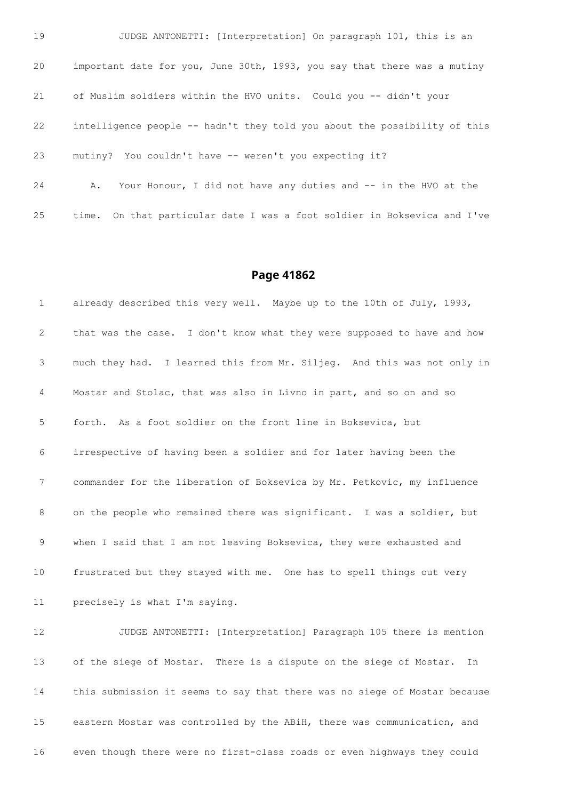JUDGE ANTONETTI: [Interpretation] On paragraph 101, this is an important date for you, June 30th, 1993, you say that there was a mutiny of Muslim soldiers within the HVO units. Could you -- didn't your intelligence people -- hadn't they told you about the possibility of this mutiny? You couldn't have -- weren't you expecting it? A. Your Honour, I did not have any duties and -- in the HVO at the

time. On that particular date I was a foot soldier in Boksevica and I've

already described this very well. Maybe up to the 10th of July, 1993,

#### **Page 41862**

 that was the case. I don't know what they were supposed to have and how much they had. I learned this from Mr. Siljeg. And this was not only in Mostar and Stolac, that was also in Livno in part, and so on and so forth. As a foot soldier on the front line in Boksevica, but irrespective of having been a soldier and for later having been the commander for the liberation of Boksevica by Mr. Petkovic, my influence 8 on the people who remained there was significant. I was a soldier, but 9 when I said that I am not leaving Boksevica, they were exhausted and frustrated but they stayed with me. One has to spell things out very precisely is what I'm saying. JUDGE ANTONETTI: [Interpretation] Paragraph 105 there is mention of the siege of Mostar. There is a dispute on the siege of Mostar. In this submission it seems to say that there was no siege of Mostar because eastern Mostar was controlled by the ABiH, there was communication, and even though there were no first-class roads or even highways they could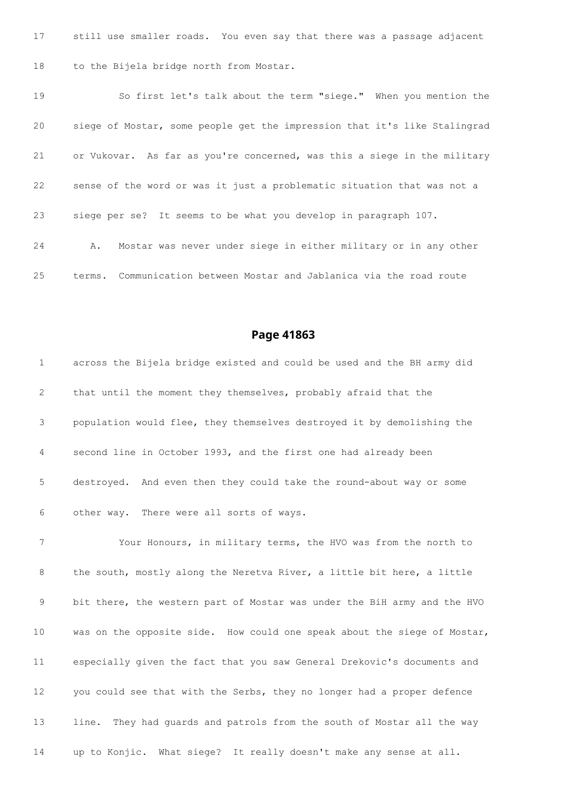still use smaller roads. You even say that there was a passage adjacent to the Bijela bridge north from Mostar.

 So first let's talk about the term "siege." When you mention the siege of Mostar, some people get the impression that it's like Stalingrad or Vukovar. As far as you're concerned, was this a siege in the military sense of the word or was it just a problematic situation that was not a siege per se? It seems to be what you develop in paragraph 107. A. Mostar was never under siege in either military or in any other terms. Communication between Mostar and Jablanica via the road route

### **Page 41863**

 across the Bijela bridge existed and could be used and the BH army did that until the moment they themselves, probably afraid that the population would flee, they themselves destroyed it by demolishing the second line in October 1993, and the first one had already been destroyed. And even then they could take the round-about way or some other way. There were all sorts of ways.

 Your Honours, in military terms, the HVO was from the north to 8 the south, mostly along the Neretva River, a little bit here, a little bit there, the western part of Mostar was under the BiH army and the HVO was on the opposite side. How could one speak about the siege of Mostar, especially given the fact that you saw General Drekovic's documents and you could see that with the Serbs, they no longer had a proper defence line. They had guards and patrols from the south of Mostar all the way up to Konjic. What siege? It really doesn't make any sense at all.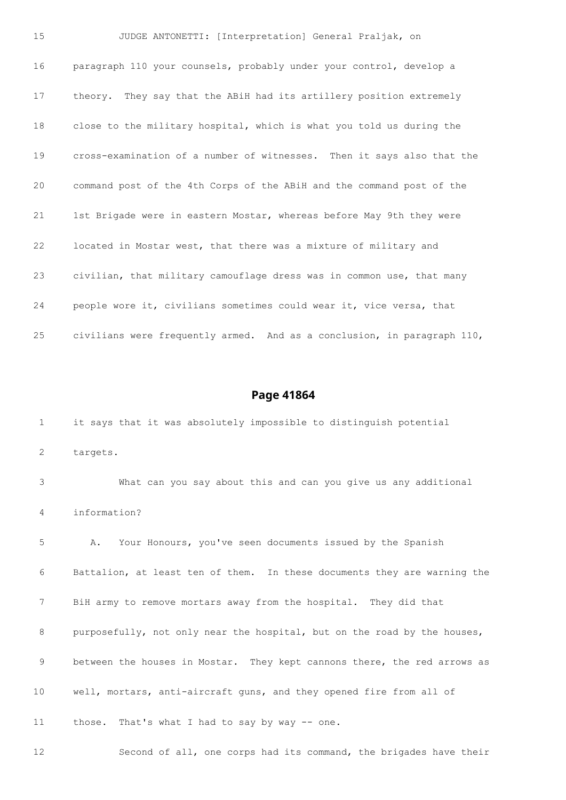JUDGE ANTONETTI: [Interpretation] General Praljak, on paragraph 110 your counsels, probably under your control, develop a theory. They say that the ABiH had its artillery position extremely close to the military hospital, which is what you told us during the cross-examination of a number of witnesses. Then it says also that the command post of the 4th Corps of the ABiH and the command post of the 1st Brigade were in eastern Mostar, whereas before May 9th they were located in Mostar west, that there was a mixture of military and civilian, that military camouflage dress was in common use, that many people wore it, civilians sometimes could wear it, vice versa, that civilians were frequently armed. And as a conclusion, in paragraph 110,

| $\mathbf 1$ | it says that it was absolutely impossible to distinguish potential       |
|-------------|--------------------------------------------------------------------------|
| 2           | targets.                                                                 |
| 3           | What can you say about this and can you give us any additional           |
| 4           | information?                                                             |
| 5           | Your Honours, you've seen documents issued by the Spanish<br>Α.          |
| 6           | Battalion, at least ten of them. In these documents they are warning the |
| 7           | BiH army to remove mortars away from the hospital. They did that         |
| 8           | purposefully, not only near the hospital, but on the road by the houses, |
| 9           | between the houses in Mostar. They kept cannons there, the red arrows as |
| 10          | well, mortars, anti-aircraft guns, and they opened fire from all of      |
| 11          | those. That's what I had to say by way -- one.                           |
| 12          | Second of all, one corps had its command, the brigades have their        |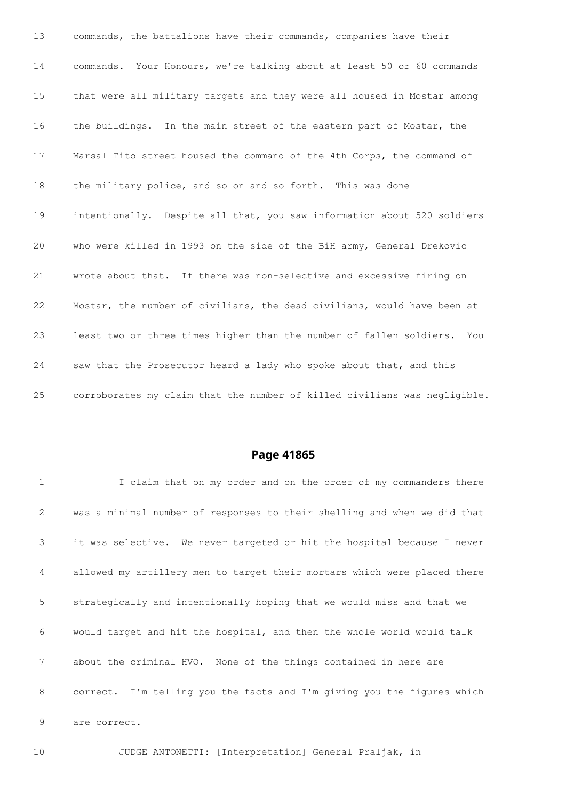commands, the battalions have their commands, companies have their commands. Your Honours, we're talking about at least 50 or 60 commands that were all military targets and they were all housed in Mostar among the buildings. In the main street of the eastern part of Mostar, the Marsal Tito street housed the command of the 4th Corps, the command of the military police, and so on and so forth. This was done intentionally. Despite all that, you saw information about 520 soldiers who were killed in 1993 on the side of the BiH army, General Drekovic wrote about that. If there was non-selective and excessive firing on Mostar, the number of civilians, the dead civilians, would have been at least two or three times higher than the number of fallen soldiers. You saw that the Prosecutor heard a lady who spoke about that, and this corroborates my claim that the number of killed civilians was negligible.

## **Page 41865**

| $\mathbf{1}$    | I claim that on my order and on the order of my commanders there         |
|-----------------|--------------------------------------------------------------------------|
| 2               | was a minimal number of responses to their shelling and when we did that |
| 3               | it was selective. We never targeted or hit the hospital because I never  |
| 4               | allowed my artillery men to target their mortars which were placed there |
| 5               | strategically and intentionally hoping that we would miss and that we    |
| 6               | would target and hit the hospital, and then the whole world would talk   |
| $7\overline{ }$ | about the criminal HVO. None of the things contained in here are         |
| 8               | correct. I'm telling you the facts and I'm giving you the figures which  |
| 9               | are correct.                                                             |
|                 |                                                                          |

JUDGE ANTONETTI: [Interpretation] General Praljak, in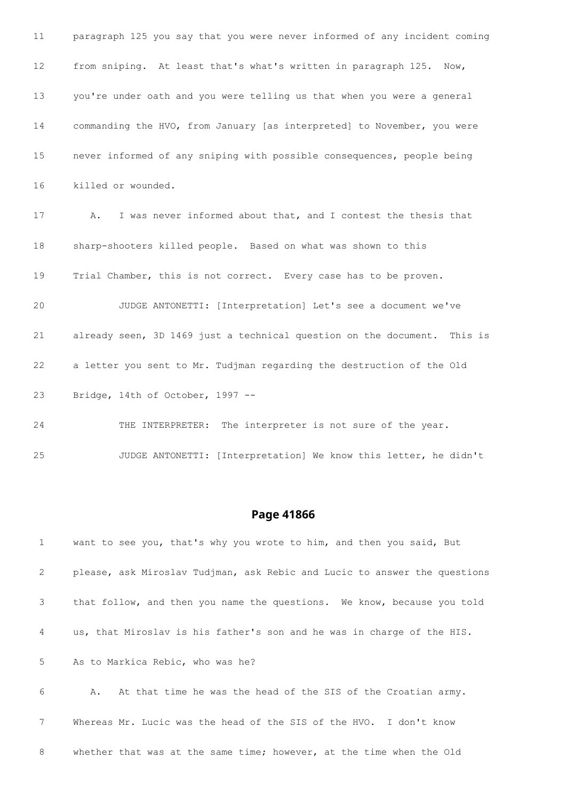| 11 | paragraph 125 you say that you were never informed of any incident coming |
|----|---------------------------------------------------------------------------|
| 12 | from sniping. At least that's what's written in paragraph 125.<br>Now,    |
| 13 | you're under oath and you were telling us that when you were a general    |
| 14 | commanding the HVO, from January [as interpreted] to November, you were   |
| 15 | never informed of any sniping with possible consequences, people being    |
| 16 | killed or wounded.                                                        |
| 17 | I was never informed about that, and I contest the thesis that<br>Α.      |
| 18 | sharp-shooters killed people. Based on what was shown to this             |
| 19 | Trial Chamber, this is not correct. Every case has to be proven.          |
| 20 | JUDGE ANTONETTI: [Interpretation] Let's see a document we've              |
| 21 | already seen, 3D 1469 just a technical question on the document. This is  |
| 22 | a letter you sent to Mr. Tudjman regarding the destruction of the Old     |
| 23 | Bridge, 14th of October, 1997 --                                          |
| 24 | THE INTERPRETER: The interpreter is not sure of the year.                 |

JUDGE ANTONETTI: [Interpretation] We know this letter, he didn't

## **Page 41866**

 want to see you, that's why you wrote to him, and then you said, But please, ask Miroslav Tudjman, ask Rebic and Lucic to answer the questions that follow, and then you name the questions. We know, because you told us, that Miroslav is his father's son and he was in charge of the HIS. As to Markica Rebic, who was he?

 A. At that time he was the head of the SIS of the Croatian army. Whereas Mr. Lucic was the head of the SIS of the HVO. I don't know whether that was at the same time; however, at the time when the Old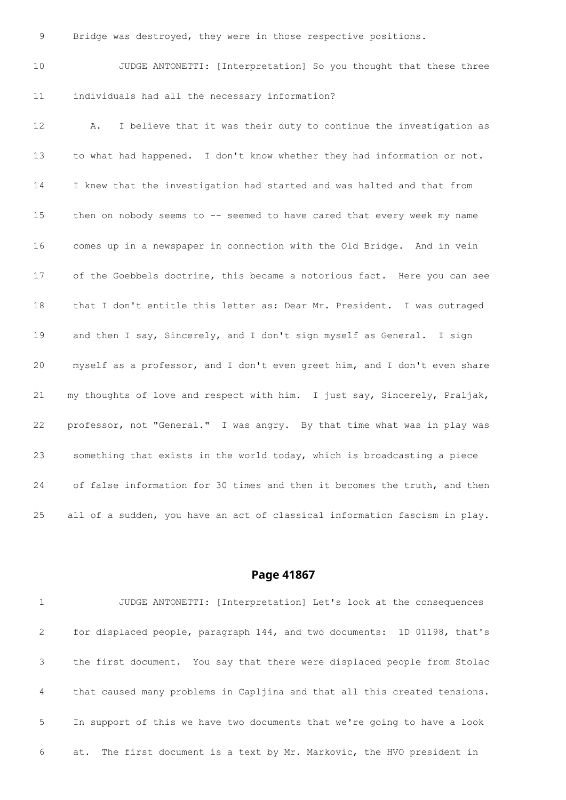Bridge was destroyed, they were in those respective positions.

 JUDGE ANTONETTI: [Interpretation] So you thought that these three individuals had all the necessary information?

 A. I believe that it was their duty to continue the investigation as to what had happened. I don't know whether they had information or not. I knew that the investigation had started and was halted and that from 15 then on nobody seems to -- seemed to have cared that every week my name comes up in a newspaper in connection with the Old Bridge. And in vein of the Goebbels doctrine, this became a notorious fact. Here you can see that I don't entitle this letter as: Dear Mr. President. I was outraged and then I say, Sincerely, and I don't sign myself as General. I sign myself as a professor, and I don't even greet him, and I don't even share my thoughts of love and respect with him. I just say, Sincerely, Praljak, professor, not "General." I was angry. By that time what was in play was something that exists in the world today, which is broadcasting a piece of false information for 30 times and then it becomes the truth, and then all of a sudden, you have an act of classical information fascism in play.

### **Page 41867**

 JUDGE ANTONETTI: [Interpretation] Let's look at the consequences for displaced people, paragraph 144, and two documents: 1D 01198, that's the first document. You say that there were displaced people from Stolac that caused many problems in Capljina and that all this created tensions. In support of this we have two documents that we're going to have a look at. The first document is a text by Mr. Markovic, the HVO president in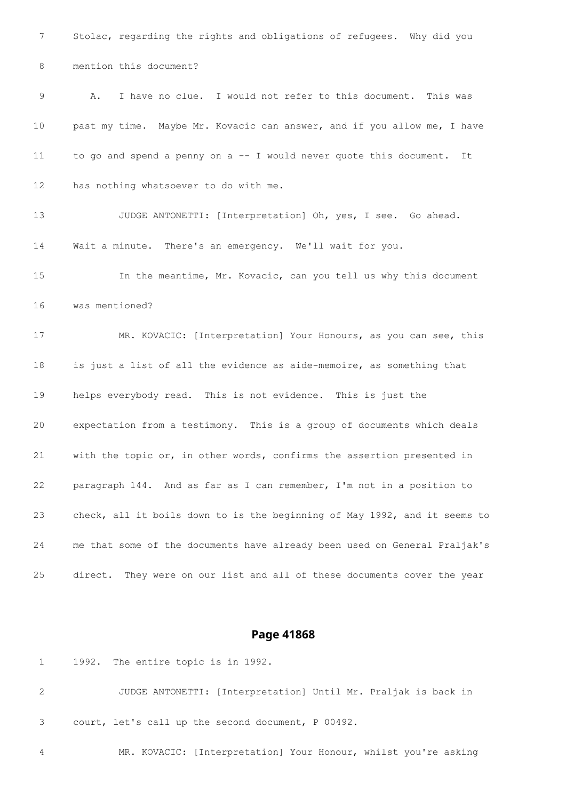Stolac, regarding the rights and obligations of refugees. Why did you mention this document? A. I have no clue. I would not refer to this document. This was past my time. Maybe Mr. Kovacic can answer, and if you allow me, I have to go and spend a penny on a -- I would never quote this document. It has nothing whatsoever to do with me. JUDGE ANTONETTI: [Interpretation] Oh, yes, I see. Go ahead. Wait a minute. There's an emergency. We'll wait for you. In the meantime, Mr. Kovacic, can you tell us why this document was mentioned? MR. KOVACIC: [Interpretation] Your Honours, as you can see, this is just a list of all the evidence as aide-memoire, as something that helps everybody read. This is not evidence. This is just the expectation from a testimony. This is a group of documents which deals with the topic or, in other words, confirms the assertion presented in paragraph 144. And as far as I can remember, I'm not in a position to check, all it boils down to is the beginning of May 1992, and it seems to me that some of the documents have already been used on General Praljak's direct. They were on our list and all of these documents cover the year

#### **Page 41868**

1992. The entire topic is in 1992.

 JUDGE ANTONETTI: [Interpretation] Until Mr. Praljak is back in court, let's call up the second document, P 00492.

MR. KOVACIC: [Interpretation] Your Honour, whilst you're asking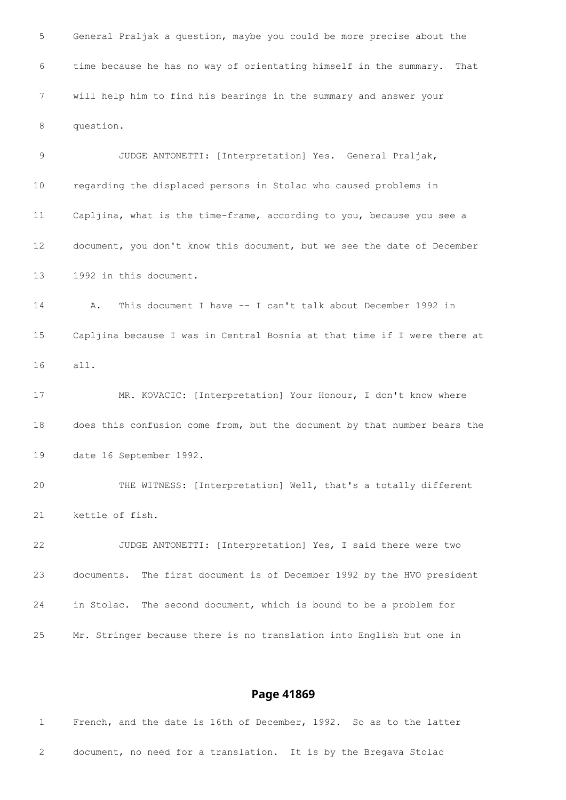General Praljak a question, maybe you could be more precise about the time because he has no way of orientating himself in the summary. That will help him to find his bearings in the summary and answer your question. JUDGE ANTONETTI: [Interpretation] Yes. General Praljak, regarding the displaced persons in Stolac who caused problems in Capljina, what is the time-frame, according to you, because you see a document, you don't know this document, but we see the date of December 1992 in this document. A. This document I have -- I can't talk about December 1992 in Capljina because I was in Central Bosnia at that time if I were there at all. MR. KOVACIC: [Interpretation] Your Honour, I don't know where does this confusion come from, but the document by that number bears the date 16 September 1992. THE WITNESS: [Interpretation] Well, that's a totally different kettle of fish. JUDGE ANTONETTI: [Interpretation] Yes, I said there were two documents. The first document is of December 1992 by the HVO president in Stolac. The second document, which is bound to be a problem for Mr. Stringer because there is no translation into English but one in

| $1 - 1$                        | French, and the date is 16th of December, 1992. So as to the latter |  |  |  |  |  |  |  |  |
|--------------------------------|---------------------------------------------------------------------|--|--|--|--|--|--|--|--|
|                                |                                                                     |  |  |  |  |  |  |  |  |
| $2 \left( \frac{1}{2} \right)$ | document, no need for a translation. It is by the Bregava Stolac    |  |  |  |  |  |  |  |  |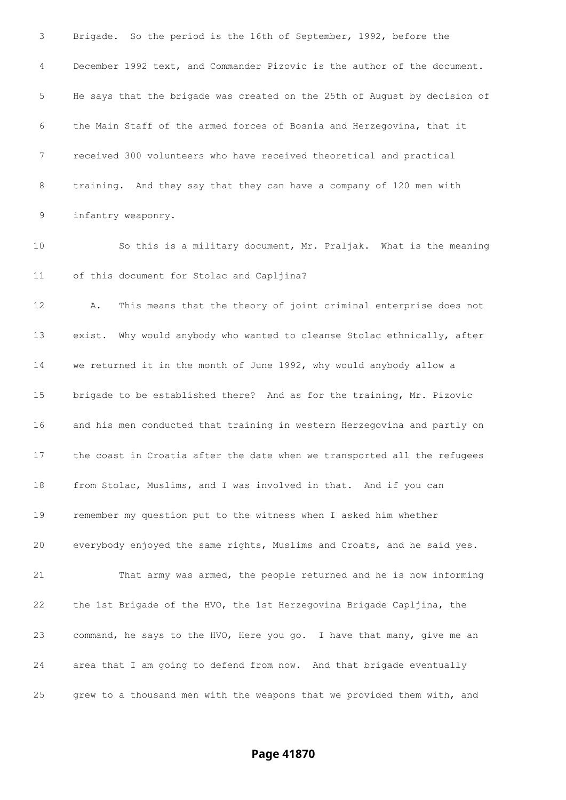Brigade. So the period is the 16th of September, 1992, before the December 1992 text, and Commander Pizovic is the author of the document. He says that the brigade was created on the 25th of August by decision of the Main Staff of the armed forces of Bosnia and Herzegovina, that it received 300 volunteers who have received theoretical and practical training. And they say that they can have a company of 120 men with infantry weaponry. So this is a military document, Mr. Praljak. What is the meaning of this document for Stolac and Capljina? A. This means that the theory of joint criminal enterprise does not exist. Why would anybody who wanted to cleanse Stolac ethnically, after we returned it in the month of June 1992, why would anybody allow a brigade to be established there? And as for the training, Mr. Pizovic and his men conducted that training in western Herzegovina and partly on the coast in Croatia after the date when we transported all the refugees from Stolac, Muslims, and I was involved in that. And if you can remember my question put to the witness when I asked him whether everybody enjoyed the same rights, Muslims and Croats, and he said yes. That army was armed, the people returned and he is now informing the 1st Brigade of the HVO, the 1st Herzegovina Brigade Capljina, the command, he says to the HVO, Here you go. I have that many, give me an area that I am going to defend from now. And that brigade eventually grew to a thousand men with the weapons that we provided them with, and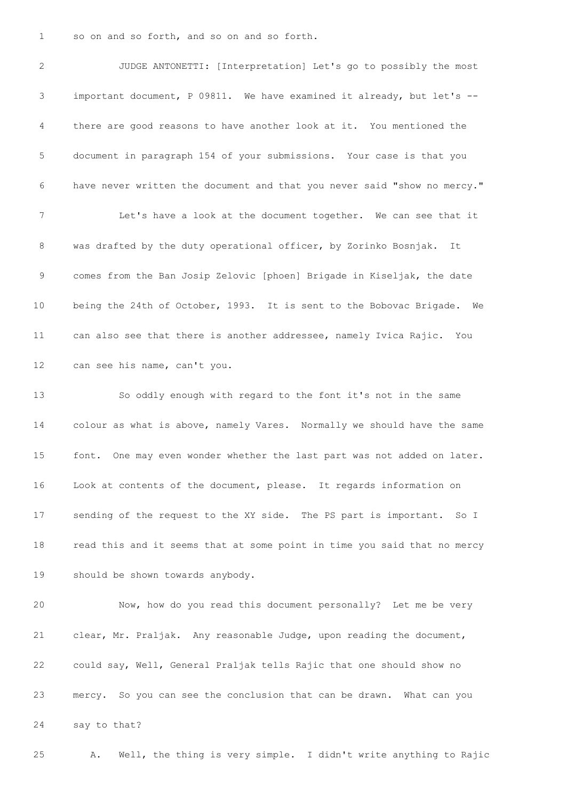so on and so forth, and so on and so forth.

 JUDGE ANTONETTI: [Interpretation] Let's go to possibly the most important document, P 09811. We have examined it already, but let's -- there are good reasons to have another look at it. You mentioned the document in paragraph 154 of your submissions. Your case is that you have never written the document and that you never said "show no mercy." Let's have a look at the document together. We can see that it was drafted by the duty operational officer, by Zorinko Bosnjak. It comes from the Ban Josip Zelovic [phoen] Brigade in Kiseljak, the date being the 24th of October, 1993. It is sent to the Bobovac Brigade. We can also see that there is another addressee, namely Ivica Rajic. You can see his name, can't you. So oddly enough with regard to the font it's not in the same colour as what is above, namely Vares. Normally we should have the same font. One may even wonder whether the last part was not added on later. Look at contents of the document, please. It regards information on sending of the request to the XY side. The PS part is important. So I read this and it seems that at some point in time you said that no mercy should be shown towards anybody. Now, how do you read this document personally? Let me be very clear, Mr. Praljak. Any reasonable Judge, upon reading the document,

 could say, Well, General Praljak tells Rajic that one should show no mercy. So you can see the conclusion that can be drawn. What can you say to that?

A. Well, the thing is very simple. I didn't write anything to Rajic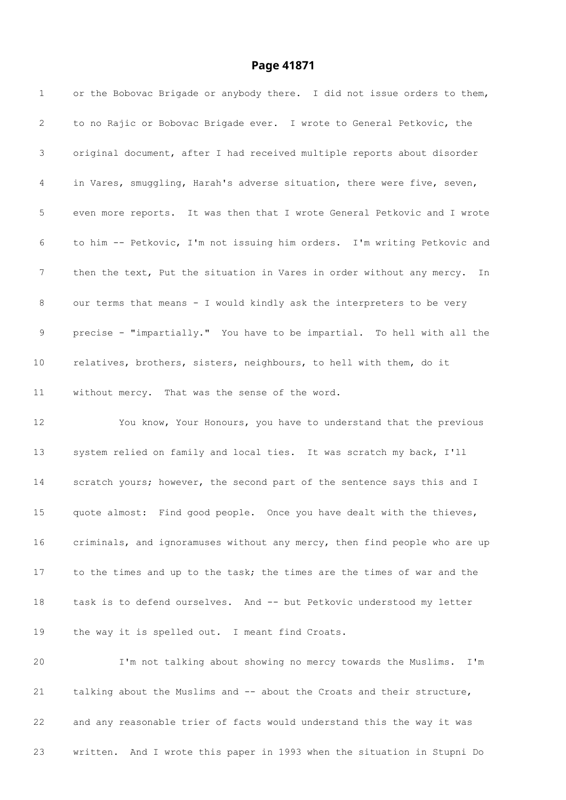# **Page 41871**

| $\mathbf{1}$  | or the Bobovac Brigade or anybody there. I did not issue orders to them,  |
|---------------|---------------------------------------------------------------------------|
| 2             | to no Rajic or Bobovac Brigade ever. I wrote to General Petkovic, the     |
| 3             | original document, after I had received multiple reports about disorder   |
| 4             | in Vares, smuggling, Harah's adverse situation, there were five, seven,   |
| 5             | even more reports. It was then that I wrote General Petkovic and I wrote  |
| 6             | to him -- Petkovic, I'm not issuing him orders. I'm writing Petkovic and  |
| 7             | then the text, Put the situation in Vares in order without any mercy. In  |
| 8             | our terms that means - I would kindly ask the interpreters to be very     |
| $\mathcal{G}$ | precise - "impartially." You have to be impartial. To hell with all the   |
| $10 \,$       | relatives, brothers, sisters, neighbours, to hell with them, do it        |
| 11            | without mercy. That was the sense of the word.                            |
| 12            | You know, Your Honours, you have to understand that the previous          |
| 13            | system relied on family and local ties. It was scratch my back, I'll      |
| 14            | scratch yours; however, the second part of the sentence says this and I   |
| 15            | quote almost: Find good people. Once you have dealt with the thieves,     |
| 16            | criminals, and ignoramuses without any mercy, then find people who are up |
| 17            | to the times and up to the task; the times are the times of war and the   |
| 18            | task is to defend ourselves. And -- but Petkovic understood my letter     |
| 19            | the way it is spelled out. I meant find Croats.                           |
| 20            | I'm not talking about showing no mercy towards the Muslims. I'm           |
| 21            | talking about the Muslims and -- about the Croats and their structure,    |
| 22            | and any reasonable trier of facts would understand this the way it was    |
|               |                                                                           |

written. And I wrote this paper in 1993 when the situation in Stupni Do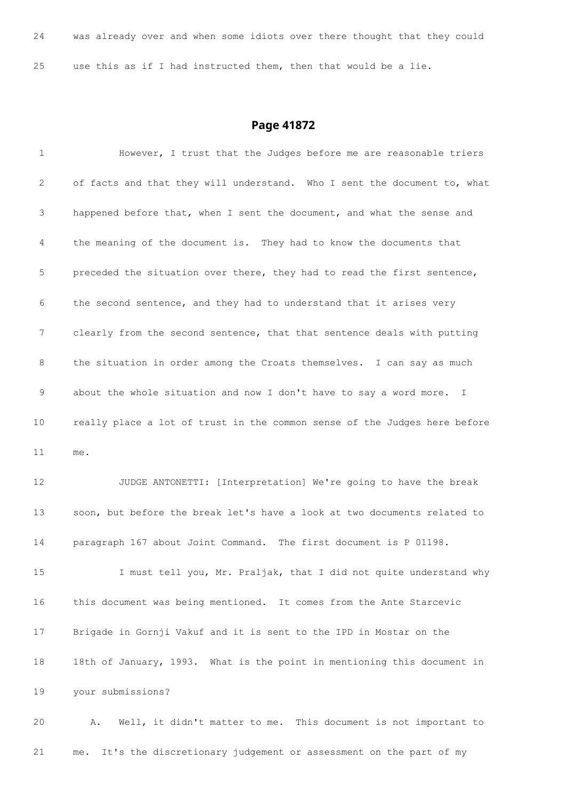| 24 |  |  |  |  | was already over and when some idiots over there thought that they could |  |  |  |  |
|----|--|--|--|--|--------------------------------------------------------------------------|--|--|--|--|
|    |  |  |  |  |                                                                          |  |  |  |  |
| 25 |  |  |  |  | use this as if I had instructed them, then that would be a lie.          |  |  |  |  |

# **Page 41872**

| 1  | However, I trust that the Judges before me are reasonable triers          |
|----|---------------------------------------------------------------------------|
| 2  | of facts and that they will understand. Who I sent the document to, what  |
| 3  | happened before that, when I sent the document, and what the sense and    |
| 4  | the meaning of the document is. They had to know the documents that       |
| 5  | preceded the situation over there, they had to read the first sentence,   |
| 6  | the second sentence, and they had to understand that it arises very       |
| 7  | clearly from the second sentence, that that sentence deals with putting   |
| 8  | the situation in order among the Croats themselves. I can say as much     |
| 9  | about the whole situation and now I don't have to say a word more. I      |
| 10 | really place a lot of trust in the common sense of the Judges here before |
| 11 | me.                                                                       |
| 12 | JUDGE ANTONETTI: [Interpretation] We're going to have the break           |
| 13 | soon, but before the break let's have a look at two documents related to  |
| 14 |                                                                           |
|    | paragraph 167 about Joint Command. The first document is P 01198.         |
| 15 | I must tell you, Mr. Praljak, that I did not quite understand why         |
| 16 | this document was being mentioned. It comes from the Ante Starcevic       |
| 17 | Brigade in Gornji Vakuf and it is sent to the IPD in Mostar on the        |
| 18 | 18th of January, 1993. What is the point in mentioning this document in   |
| 19 | your submissions?                                                         |

me. It's the discretionary judgement or assessment on the part of my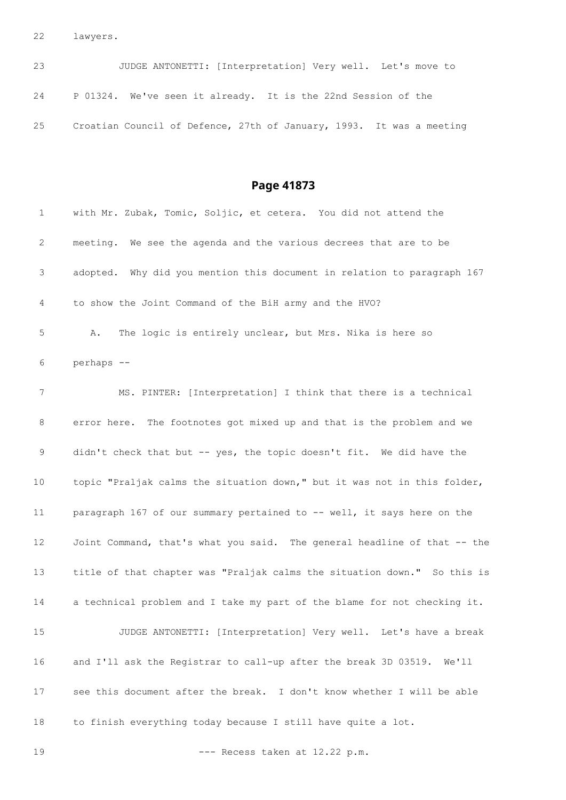lawyers.

| 23 | JUDGE ANTONETTI: [Interpretation] Very well. Let's move to           |  |
|----|----------------------------------------------------------------------|--|
|    | 24 P 01324. We've seen it already. It is the 22nd Session of the     |  |
| 25 | Croatian Council of Defence, 27th of January, 1993. It was a meeting |  |

| 1  | with Mr. Zubak, Tomic, Soljic, et cetera. You did not attend the         |
|----|--------------------------------------------------------------------------|
| 2  | meeting. We see the agenda and the various decrees that are to be        |
| 3  | adopted. Why did you mention this document in relation to paragraph 167  |
| 4  | to show the Joint Command of the BiH army and the HVO?                   |
| 5  | The logic is entirely unclear, but Mrs. Nika is here so<br>Α.            |
| 6  | perhaps --                                                               |
| 7  | MS. PINTER: [Interpretation] I think that there is a technical           |
| 8  | error here. The footnotes got mixed up and that is the problem and we    |
| 9  | didn't check that but -- yes, the topic doesn't fit. We did have the     |
| 10 | topic "Praljak calms the situation down," but it was not in this folder, |
| 11 | paragraph 167 of our summary pertained to -- well, it says here on the   |
| 12 | Joint Command, that's what you said. The general headline of that -- the |
| 13 | title of that chapter was "Praljak calms the situation down." So this is |
| 14 | a technical problem and I take my part of the blame for not checking it. |
| 15 | JUDGE ANTONETTI: [Interpretation] Very well. Let's have a break          |
| 16 | and I'll ask the Registrar to call-up after the break 3D 03519. We'll    |
| 17 | see this document after the break. I don't know whether I will be able   |
| 18 | to finish everything today because I still have quite a lot.             |
| 19 | --- Recess taken at 12.22 p.m.                                           |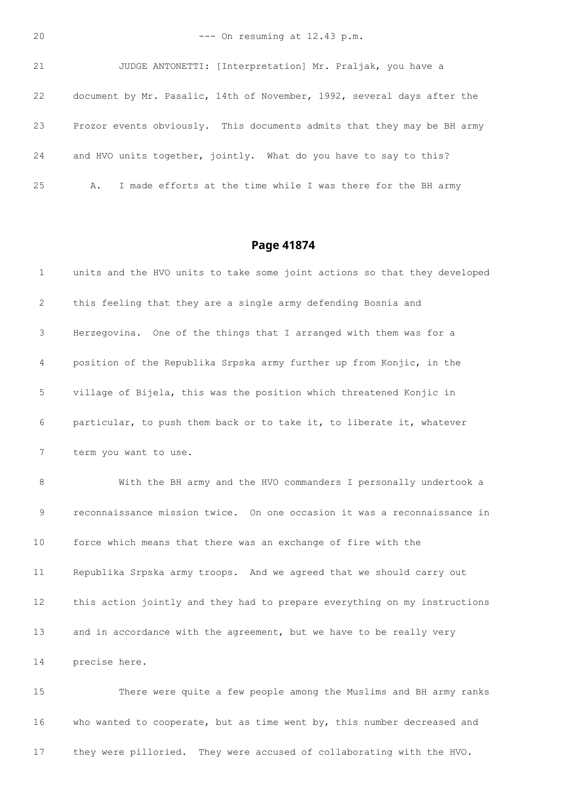```
20 --- On resuming at 12.43 p.m.
```

| 21 | JUDGE ANTONETTI: [Interpretation] Mr. Praljak, you have a               |
|----|-------------------------------------------------------------------------|
| 22 | document by Mr. Pasalic, 14th of November, 1992, several days after the |
| 23 | Prozor events obviously. This documents admits that they may be BH army |
| 24 | and HVO units together, jointly. What do you have to say to this?       |
| 25 | I made efforts at the time while I was there for the BH army            |

## **Page 41874**

| 1           | units and the HVO units to take some joint actions so that they developed |
|-------------|---------------------------------------------------------------------------|
| 2           | this feeling that they are a single army defending Bosnia and             |
| 3           | Herzegovina. One of the things that I arranged with them was for a        |
| 4           | position of the Republika Srpska army further up from Konjic, in the      |
| 5           | village of Bijela, this was the position which threatened Konjic in       |
| 6           | particular, to push them back or to take it, to liberate it, whatever     |
| 7           | term you want to use.                                                     |
| 8           | With the BH army and the HVO commanders I personally undertook a          |
| $\mathsf 9$ | reconnaissance mission twice. On one occasion it was a reconnaissance in  |
| 10          | force which means that there was an exchange of fire with the             |
| 11          | Republika Srpska army troops. And we agreed that we should carry out      |
| 12          | this action jointly and they had to prepare everything on my instructions |
| 13          | and in accordance with the agreement, but we have to be really very       |
| 14          | precise here.                                                             |
| 1.5         | There were quite a few people among the Muslims and BH army ranks         |

 There were quite a few people among the Muslims and BH army ranks who wanted to cooperate, but as time went by, this number decreased and they were pilloried. They were accused of collaborating with the HVO.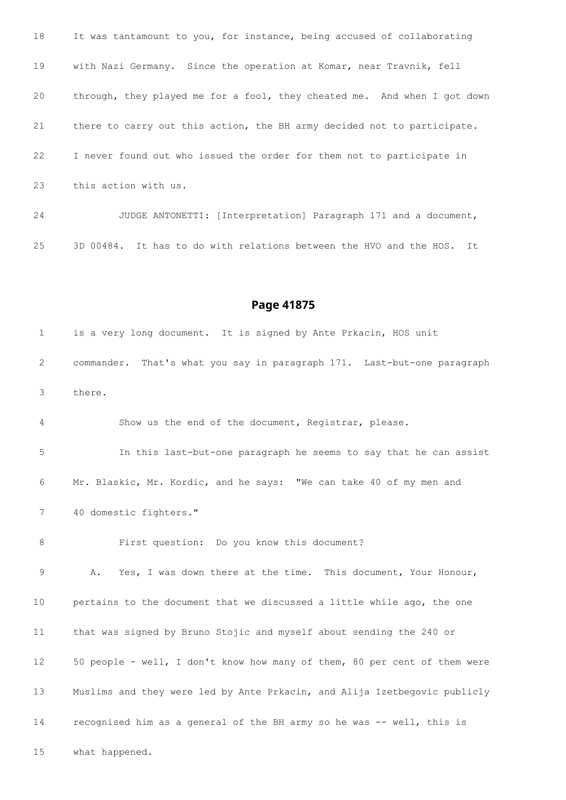It was tantamount to you, for instance, being accused of collaborating with Nazi Germany. Since the operation at Komar, near Travnik, fell through, they played me for a fool, they cheated me. And when I got down there to carry out this action, the BH army decided not to participate. I never found out who issued the order for them not to participate in this action with us. JUDGE ANTONETTI: [Interpretation] Paragraph 171 and a document,

3D 00484. It has to do with relations between the HVO and the HOS. It

### **Page 41875**

 is a very long document. It is signed by Ante Prkacin, HOS unit commander. That's what you say in paragraph 171. Last-but-one paragraph there. Show us the end of the document, Registrar, please. In this last-but-one paragraph he seems to say that he can assist

 Mr. Blaskic, Mr. Kordic, and he says: "We can take 40 of my men and 40 domestic fighters."

First question: Do you know this document?

 A. Yes, I was down there at the time. This document, Your Honour, pertains to the document that we discussed a little while ago, the one that was signed by Bruno Stojic and myself about sending the 240 or 50 people - well, I don't know how many of them, 80 per cent of them were Muslims and they were led by Ante Prkacin, and Alija Izetbegovic publicly recognised him as a general of the BH army so he was -- well, this is

what happened.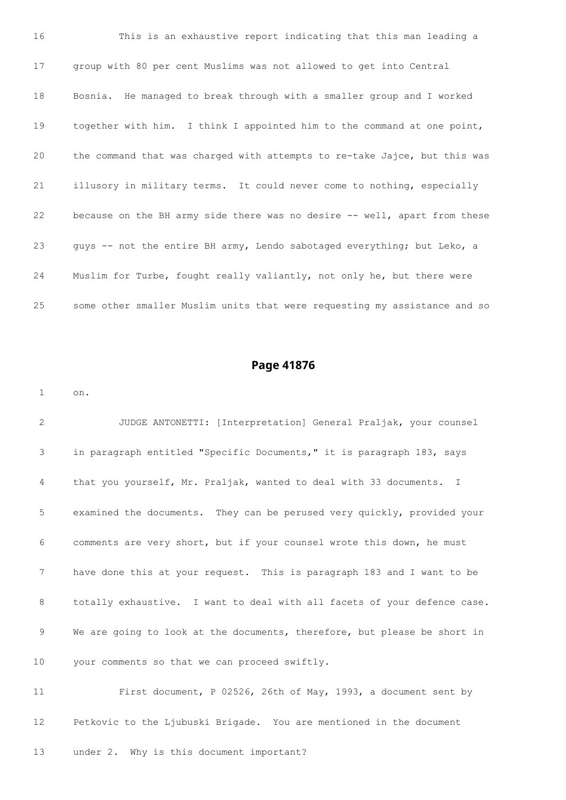This is an exhaustive report indicating that this man leading a group with 80 per cent Muslims was not allowed to get into Central Bosnia. He managed to break through with a smaller group and I worked together with him. I think I appointed him to the command at one point, the command that was charged with attempts to re-take Jajce, but this was illusory in military terms. It could never come to nothing, especially because on the BH army side there was no desire -- well, apart from these guys -- not the entire BH army, Lendo sabotaged everything; but Leko, a Muslim for Turbe, fought really valiantly, not only he, but there were some other smaller Muslim units that were requesting my assistance and so

### **Page 41876**

on.

 JUDGE ANTONETTI: [Interpretation] General Praljak, your counsel in paragraph entitled "Specific Documents," it is paragraph 183, says that you yourself, Mr. Praljak, wanted to deal with 33 documents. I examined the documents. They can be perused very quickly, provided your comments are very short, but if your counsel wrote this down, he must have done this at your request. This is paragraph 183 and I want to be totally exhaustive. I want to deal with all facets of your defence case. 9 We are going to look at the documents, therefore, but please be short in your comments so that we can proceed swiftly.

 First document, P 02526, 26th of May, 1993, a document sent by Petkovic to the Ljubuski Brigade. You are mentioned in the document

under 2. Why is this document important?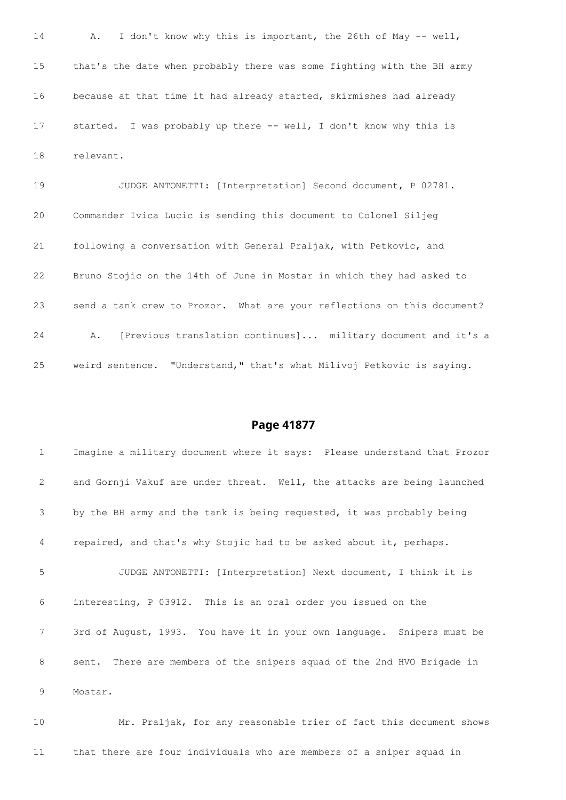A. I don't know why this is important, the 26th of May -- well, that's the date when probably there was some fighting with the BH army because at that time it had already started, skirmishes had already started. I was probably up there -- well, I don't know why this is relevant.

 JUDGE ANTONETTI: [Interpretation] Second document, P 02781. Commander Ivica Lucic is sending this document to Colonel Siljeg following a conversation with General Praljak, with Petkovic, and Bruno Stojic on the 14th of June in Mostar in which they had asked to send a tank crew to Prozor. What are your reflections on this document? A. [Previous translation continues]... military document and it's a weird sentence. "Understand," that's what Milivoj Petkovic is saying.

## **Page 41877**

 Imagine a military document where it says: Please understand that Prozor and Gornji Vakuf are under threat. Well, the attacks are being launched by the BH army and the tank is being requested, it was probably being repaired, and that's why Stojic had to be asked about it, perhaps. JUDGE ANTONETTI: [Interpretation] Next document, I think it is interesting, P 03912. This is an oral order you issued on the 3rd of August, 1993. You have it in your own language. Snipers must be sent. There are members of the snipers squad of the 2nd HVO Brigade in Mostar.

 Mr. Praljak, for any reasonable trier of fact this document shows that there are four individuals who are members of a sniper squad in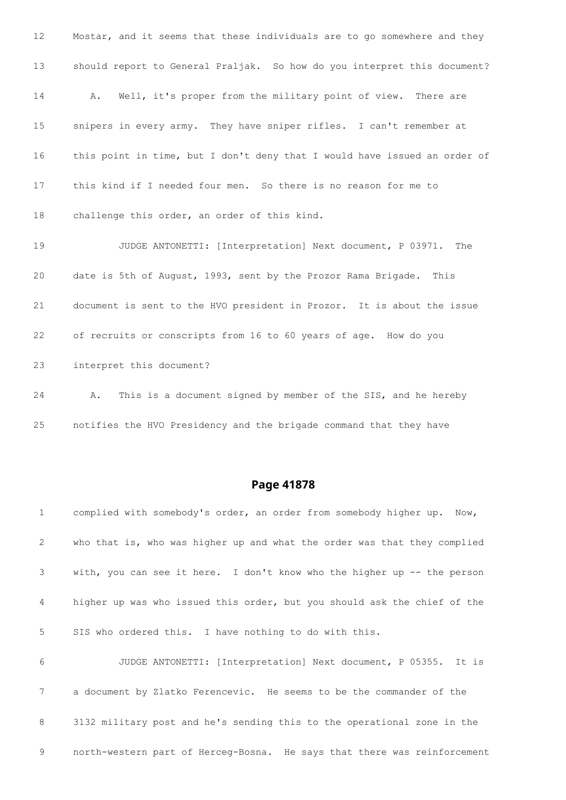Mostar, and it seems that these individuals are to go somewhere and they should report to General Praljak. So how do you interpret this document? A. Well, it's proper from the military point of view. There are snipers in every army. They have sniper rifles. I can't remember at this point in time, but I don't deny that I would have issued an order of this kind if I needed four men. So there is no reason for me to challenge this order, an order of this kind. JUDGE ANTONETTI: [Interpretation] Next document, P 03971. The date is 5th of August, 1993, sent by the Prozor Rama Brigade. This document is sent to the HVO president in Prozor. It is about the issue of recruits or conscripts from 16 to 60 years of age. How do you interpret this document?

 A. This is a document signed by member of the SIS, and he hereby notifies the HVO Presidency and the brigade command that they have

| 1               | complied with somebody's order, an order from somebody higher up. Now,   |
|-----------------|--------------------------------------------------------------------------|
| $\overline{2}$  | who that is, who was higher up and what the order was that they complied |
| 3               | with, you can see it here. I don't know who the higher up -- the person  |
| $4\overline{ }$ | higher up was who issued this order, but you should ask the chief of the |
| 5               | SIS who ordered this. I have nothing to do with this.                    |
| 6               | JUDGE ANTONETTI: [Interpretation] Next document, P 05355. It is          |
| $7\phantom{.0}$ | a document by Zlatko Ferencevic. He seems to be the commander of the     |
| 8               | 3132 military post and he's sending this to the operational zone in the  |
| 9               | north-western part of Herceg-Bosna. He says that there was reinforcement |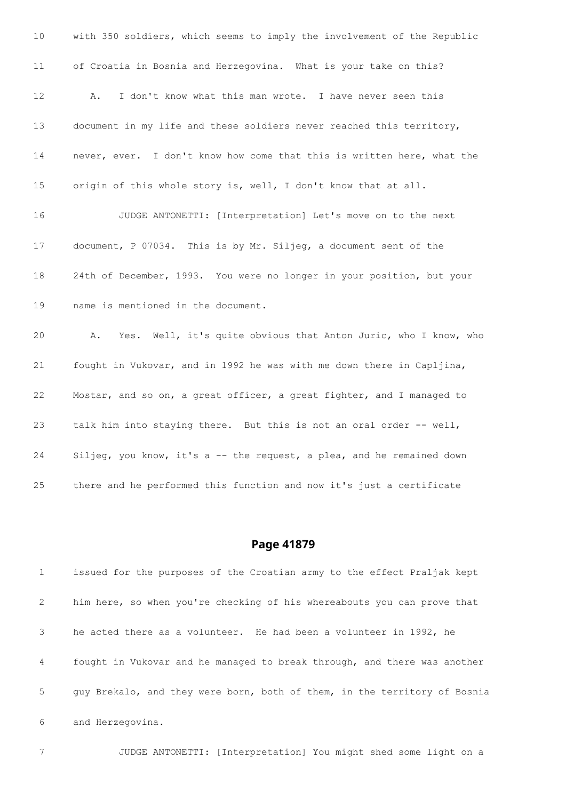| 10              | with 350 soldiers, which seems to imply the involvement of the Republic |
|-----------------|-------------------------------------------------------------------------|
| 11              | of Croatia in Bosnia and Herzegovina. What is your take on this?        |
| 12 <sup>°</sup> | I don't know what this man wrote. I have never seen this<br>Α.          |
| 13              | document in my life and these soldiers never reached this territory,    |
| 14              | never, ever. I don't know how come that this is written here, what the  |
| 15              | origin of this whole story is, well, I don't know that at all.          |
| 16              | JUDGE ANTONETTI: [Interpretation] Let's move on to the next             |
| 17              | document, P 07034. This is by Mr. Siljeq, a document sent of the        |
| 18              | 24th of December, 1993. You were no longer in your position, but your   |
| 19              | name is mentioned in the document.                                      |
| 20              | Yes. Well, it's quite obvious that Anton Juric, who I know, who<br>Α.   |
| 21              | fought in Vukovar, and in 1992 he was with me down there in Capljina,   |
| 22              | Mostar, and so on, a great officer, a great fighter, and I managed to   |
| 23              | talk him into staying there. But this is not an oral order -- well,     |
| 24              | Siljeg, you know, it's a -- the request, a plea, and he remained down   |
| 25              | there and he performed this function and now it's just a certificate    |

 issued for the purposes of the Croatian army to the effect Praljak kept him here, so when you're checking of his whereabouts you can prove that he acted there as a volunteer. He had been a volunteer in 1992, he fought in Vukovar and he managed to break through, and there was another guy Brekalo, and they were born, both of them, in the territory of Bosnia and Herzegovina.

JUDGE ANTONETTI: [Interpretation] You might shed some light on a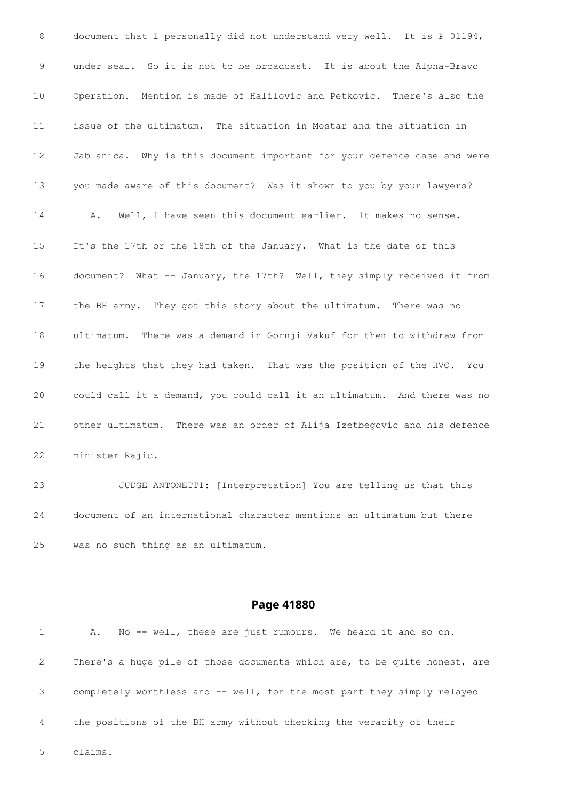document that I personally did not understand very well. It is P 01194, under seal. So it is not to be broadcast. It is about the Alpha-Bravo Operation. Mention is made of Halilovic and Petkovic. There's also the issue of the ultimatum. The situation in Mostar and the situation in Jablanica. Why is this document important for your defence case and were you made aware of this document? Was it shown to you by your lawyers? A. Well, I have seen this document earlier. It makes no sense. It's the 17th or the 18th of the January. What is the date of this document? What -- January, the 17th? Well, they simply received it from the BH army. They got this story about the ultimatum. There was no ultimatum. There was a demand in Gornji Vakuf for them to withdraw from the heights that they had taken. That was the position of the HVO. You could call it a demand, you could call it an ultimatum. And there was no other ultimatum. There was an order of Alija Izetbegovic and his defence minister Rajic. JUDGE ANTONETTI: [Interpretation] You are telling us that this

 document of an international character mentions an ultimatum but there was no such thing as an ultimatum.

## **Page 41880**

|   | A. No -- well, these are just rumours. We heard it and so on.             |
|---|---------------------------------------------------------------------------|
| 2 | There's a huge pile of those documents which are, to be quite honest, are |
| 3 | completely worthless and -- well, for the most part they simply relayed   |
| 4 | the positions of the BH army without checking the veracity of their       |

claims.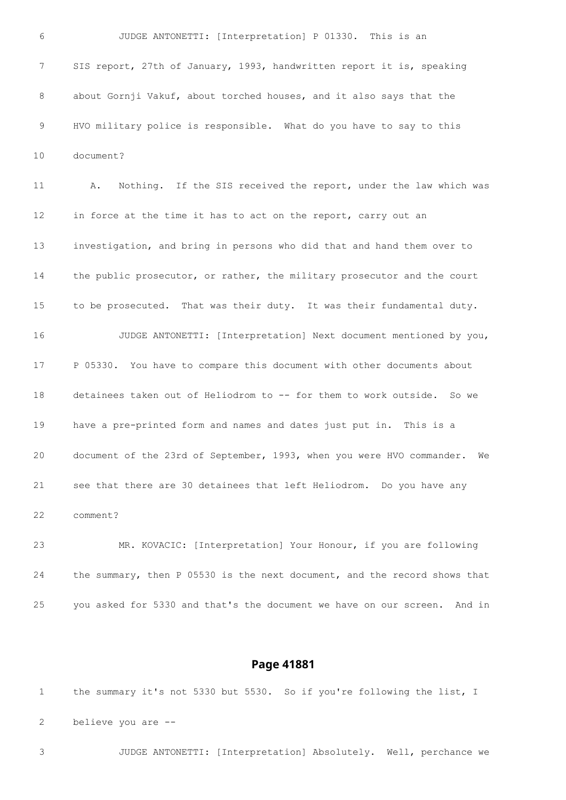JUDGE ANTONETTI: [Interpretation] P 01330. This is an SIS report, 27th of January, 1993, handwritten report it is, speaking about Gornji Vakuf, about torched houses, and it also says that the HVO military police is responsible. What do you have to say to this document? A. Nothing. If the SIS received the report, under the law which was in force at the time it has to act on the report, carry out an investigation, and bring in persons who did that and hand them over to the public prosecutor, or rather, the military prosecutor and the court to be prosecuted. That was their duty. It was their fundamental duty. JUDGE ANTONETTI: [Interpretation] Next document mentioned by you, P 05330. You have to compare this document with other documents about 18 detainees taken out of Heliodrom to -- for them to work outside. So we have a pre-printed form and names and dates just put in. This is a document of the 23rd of September, 1993, when you were HVO commander. We see that there are 30 detainees that left Heliodrom. Do you have any comment? MR. KOVACIC: [Interpretation] Your Honour, if you are following the summary, then P 05530 is the next document, and the record shows that you asked for 5330 and that's the document we have on our screen. And in

### **Page 41881**

 the summary it's not 5330 but 5530. So if you're following the list, I believe you are --

JUDGE ANTONETTI: [Interpretation] Absolutely. Well, perchance we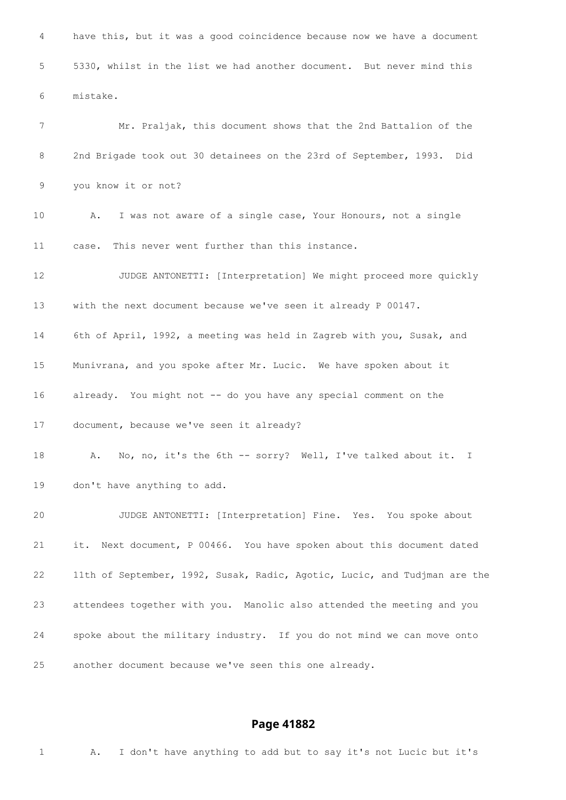have this, but it was a good coincidence because now we have a document 5330, whilst in the list we had another document. But never mind this mistake. Mr. Praljak, this document shows that the 2nd Battalion of the 2nd Brigade took out 30 detainees on the 23rd of September, 1993. Did you know it or not? A. I was not aware of a single case, Your Honours, not a single case. This never went further than this instance. JUDGE ANTONETTI: [Interpretation] We might proceed more quickly with the next document because we've seen it already P 00147. 6th of April, 1992, a meeting was held in Zagreb with you, Susak, and Munivrana, and you spoke after Mr. Lucic. We have spoken about it already. You might not -- do you have any special comment on the document, because we've seen it already? A. No, no, it's the 6th -- sorry? Well, I've talked about it. I don't have anything to add. JUDGE ANTONETTI: [Interpretation] Fine. Yes. You spoke about it. Next document, P 00466. You have spoken about this document dated 11th of September, 1992, Susak, Radic, Agotic, Lucic, and Tudjman are the attendees together with you. Manolic also attended the meeting and you spoke about the military industry. If you do not mind we can move onto another document because we've seen this one already.

## **Page 41882**

A. I don't have anything to add but to say it's not Lucic but it's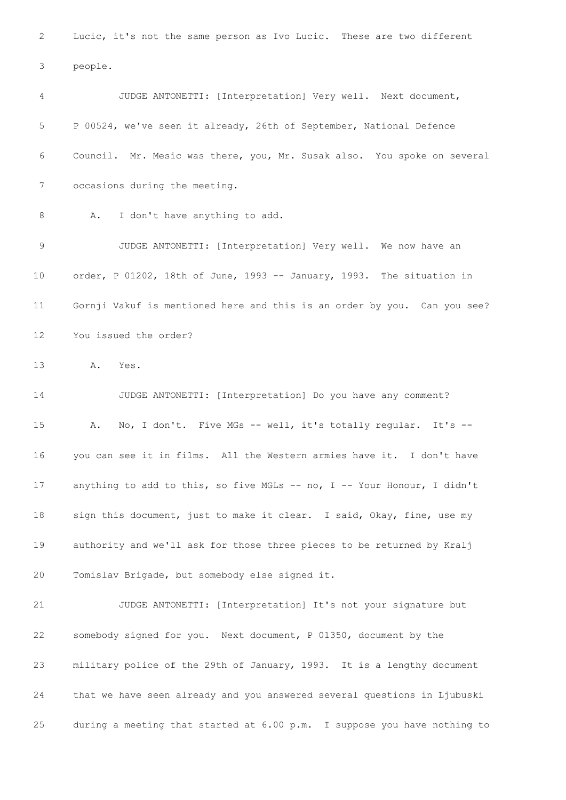Lucic, it's not the same person as Ivo Lucic. These are two different people. JUDGE ANTONETTI: [Interpretation] Very well. Next document, P 00524, we've seen it already, 26th of September, National Defence Council. Mr. Mesic was there, you, Mr. Susak also. You spoke on several occasions during the meeting. 8 A. I don't have anything to add. JUDGE ANTONETTI: [Interpretation] Very well. We now have an order, P 01202, 18th of June, 1993 -- January, 1993. The situation in Gornji Vakuf is mentioned here and this is an order by you. Can you see? You issued the order? A. Yes. JUDGE ANTONETTI: [Interpretation] Do you have any comment? A. No, I don't. Five MGs -- well, it's totally regular. It's -- you can see it in films. All the Western armies have it. I don't have anything to add to this, so five MGLs -- no, I -- Your Honour, I didn't sign this document, just to make it clear. I said, Okay, fine, use my authority and we'll ask for those three pieces to be returned by Kralj Tomislav Brigade, but somebody else signed it. JUDGE ANTONETTI: [Interpretation] It's not your signature but somebody signed for you. Next document, P 01350, document by the military police of the 29th of January, 1993. It is a lengthy document that we have seen already and you answered several questions in Ljubuski during a meeting that started at 6.00 p.m. I suppose you have nothing to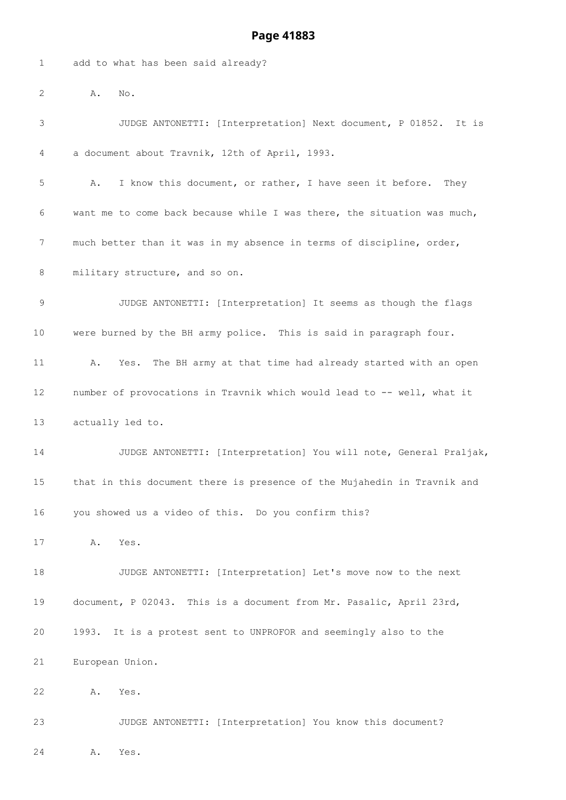|  |  |  | add to what has been said already? |
|--|--|--|------------------------------------|
|  |  |  |                                    |

A. No.

 JUDGE ANTONETTI: [Interpretation] Next document, P 01852. It is a document about Travnik, 12th of April, 1993. A. I know this document, or rather, I have seen it before. They want me to come back because while I was there, the situation was much, much better than it was in my absence in terms of discipline, order, 8 military structure, and so on. JUDGE ANTONETTI: [Interpretation] It seems as though the flags were burned by the BH army police. This is said in paragraph four. A. Yes. The BH army at that time had already started with an open number of provocations in Travnik which would lead to -- well, what it actually led to. JUDGE ANTONETTI: [Interpretation] You will note, General Praljak, that in this document there is presence of the Mujahedin in Travnik and you showed us a video of this. Do you confirm this? A. Yes. JUDGE ANTONETTI: [Interpretation] Let's move now to the next document, P 02043. This is a document from Mr. Pasalic, April 23rd, 1993. It is a protest sent to UNPROFOR and seemingly also to the European Union. A. Yes. JUDGE ANTONETTI: [Interpretation] You know this document?

A. Yes.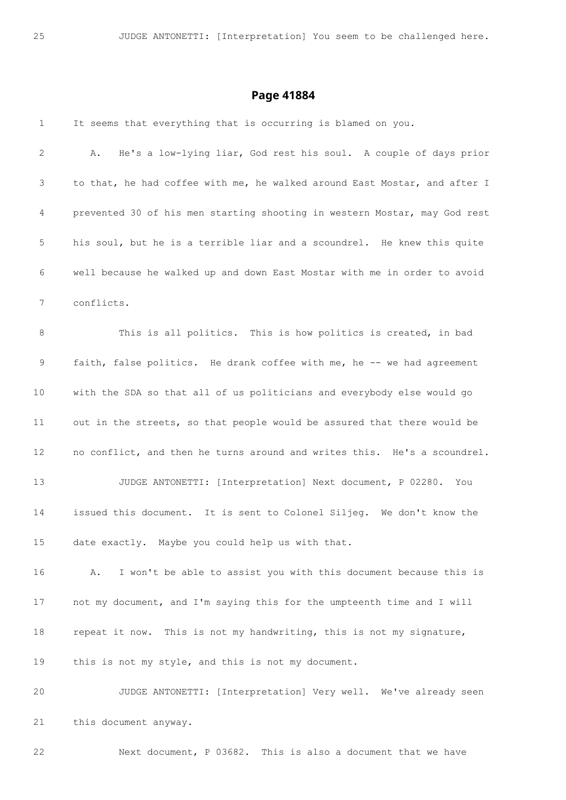| $\mathbf{1}$ | It seems that everything that is occurring is blamed on you.              |
|--------------|---------------------------------------------------------------------------|
| 2            | He's a low-lying liar, God rest his soul. A couple of days prior<br>Α.    |
| 3            | to that, he had coffee with me, he walked around East Mostar, and after I |
| 4            | prevented 30 of his men starting shooting in western Mostar, may God rest |
| 5            | his soul, but he is a terrible liar and a scoundrel. He knew this quite   |
| 6            | well because he walked up and down East Mostar with me in order to avoid  |
| 7            | conflicts.                                                                |
| 8            | This is all politics. This is how politics is created, in bad             |
| 9            | faith, false politics. He drank coffee with me, he -- we had agreement    |
| 10           | with the SDA so that all of us politicians and everybody else would go    |
| 11           | out in the streets, so that people would be assured that there would be   |
| 12           | no conflict, and then he turns around and writes this. He's a scoundrel.  |
| 13           | JUDGE ANTONETTI: [Interpretation] Next document, P 02280. You             |
| 14           | issued this document. It is sent to Colonel Siljeg. We don't know the     |
| 15           | date exactly. Maybe you could help us with that.                          |
| 16           | I won't be able to assist you with this document because this is<br>Α.    |
| 17           | not my document, and I'm saying this for the umpteenth time and I will    |
| 18           | repeat it now. This is not my handwriting, this is not my signature,      |
| 19           | this is not my style, and this is not my document.                        |
| 20           | JUDGE ANTONETTI: [Interpretation] Very well. We've already seen           |
| 21           | this document anyway.                                                     |
|              |                                                                           |

Next document, P 03682. This is also a document that we have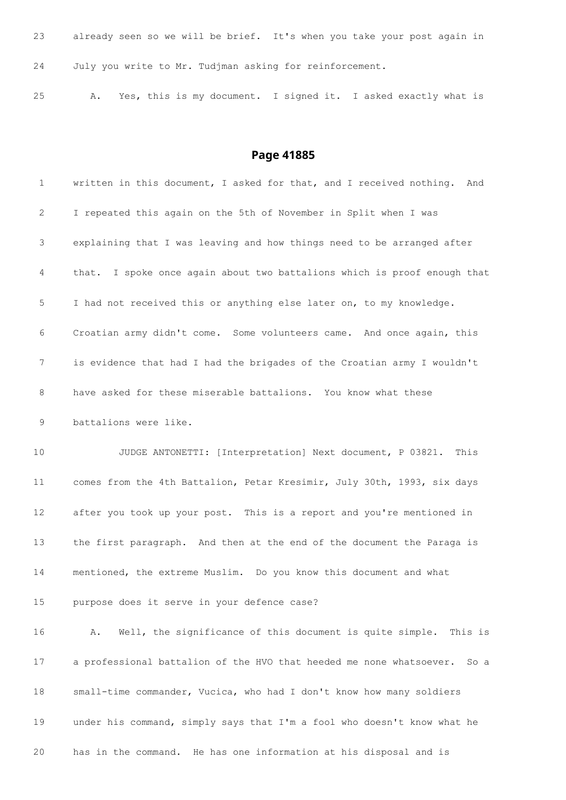| 23 | already seen so we will be brief. It's when you take your post again in |  |                                                                |  |  |  |  |
|----|-------------------------------------------------------------------------|--|----------------------------------------------------------------|--|--|--|--|
| 24 | July you write to Mr. Tudjman asking for reinforcement.                 |  |                                                                |  |  |  |  |
| 25 | Α.                                                                      |  | Yes, this is my document. I signed it. I asked exactly what is |  |  |  |  |

| $\mathbf 1$ | written in this document, I asked for that, and I received nothing. And       |
|-------------|-------------------------------------------------------------------------------|
| 2           | I repeated this again on the 5th of November in Split when I was              |
| 3           | explaining that I was leaving and how things need to be arranged after        |
| 4           | that. I spoke once again about two battalions which is proof enough that      |
| 5           | I had not received this or anything else later on, to my knowledge.           |
| 6           | Croatian army didn't come. Some volunteers came. And once again, this         |
| 7           | is evidence that had I had the brigades of the Croatian army I wouldn't       |
| 8           | have asked for these miserable battalions. You know what these                |
| 9           | battalions were like.                                                         |
| 10          | JUDGE ANTONETTI: [Interpretation] Next document, P 03821. This                |
| 11          | comes from the 4th Battalion, Petar Kresimir, July 30th, 1993, six days       |
| 12          | after you took up your post. This is a report and you're mentioned in         |
| 13          | the first paragraph. And then at the end of the document the Paraga is        |
| 14          | mentioned, the extreme Muslim. Do you know this document and what             |
| 15          | purpose does it serve in your defence case?                                   |
| 16          | Well, the significance of this document is quite simple.<br>This is<br>Α.     |
| 17          | a professional battalion of the HVO that heeded me none whatsoever.<br>- So a |
| 18          | small-time commander, Vucica, who had I don't know how many soldiers          |
| 19          | under his command, simply says that I'm a fool who doesn't know what he       |
| 20          | has in the command. He has one information at his disposal and is             |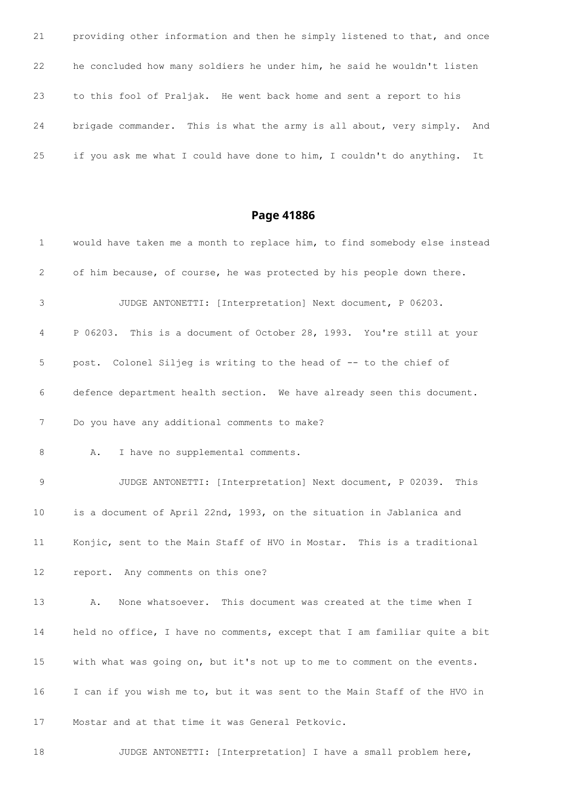providing other information and then he simply listened to that, and once he concluded how many soldiers he under him, he said he wouldn't listen to this fool of Praljak. He went back home and sent a report to his brigade commander. This is what the army is all about, very simply. And if you ask me what I could have done to him, I couldn't do anything. It

| $\mathbf 1$ | would have taken me a month to replace him, to find somebody else instead |
|-------------|---------------------------------------------------------------------------|
| 2           | of him because, of course, he was protected by his people down there.     |
| 3           | JUDGE ANTONETTI: [Interpretation] Next document, P 06203.                 |
| 4           | P 06203. This is a document of October 28, 1993. You're still at your     |
| $\mathsf S$ | post. Colonel Siljeg is writing to the head of -- to the chief of         |
| 6           | defence department health section. We have already seen this document.    |
| 7           | Do you have any additional comments to make?                              |
| 8           | I have no supplemental comments.<br>Α.                                    |
| $\mathsf 9$ | JUDGE ANTONETTI: [Interpretation] Next document, P 02039. This            |
| 10          | is a document of April 22nd, 1993, on the situation in Jablanica and      |
| 11          | Konjic, sent to the Main Staff of HVO in Mostar. This is a traditional    |
| 12          | report. Any comments on this one?                                         |
| 13          | None whatsoever. This document was created at the time when I<br>Α.       |
| 14          | held no office, I have no comments, except that I am familiar quite a bit |
| 15          | with what was going on, but it's not up to me to comment on the events.   |
| 16          | I can if you wish me to, but it was sent to the Main Staff of the HVO in  |
| 17          | Mostar and at that time it was General Petkovic.                          |
| 18          | JUDGE ANTONETTI: [Interpretation] I have a small problem here,            |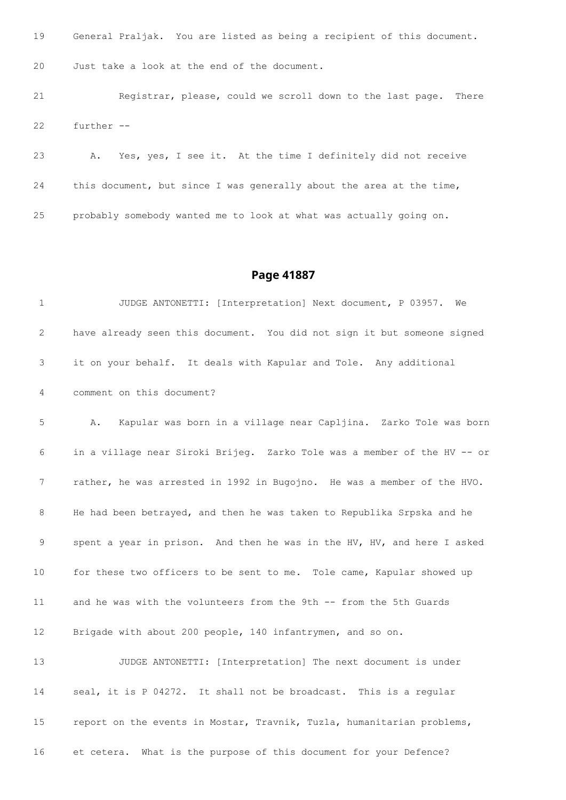| 19 | General Praljak. You are listed as being a recipient of this document. |
|----|------------------------------------------------------------------------|
| 20 | Just take a look at the end of the document.                           |
| 21 | Registrar, please, could we scroll down to the last page. There        |

further --

 A. Yes, yes, I see it. At the time I definitely did not receive this document, but since I was generally about the area at the time, probably somebody wanted me to look at what was actually going on.

#### **Page 41887**

 JUDGE ANTONETTI: [Interpretation] Next document, P 03957. We have already seen this document. You did not sign it but someone signed it on your behalf. It deals with Kapular and Tole. Any additional comment on this document? A. Kapular was born in a village near Capljina. Zarko Tole was born in a village near Siroki Brijeg. Zarko Tole was a member of the HV -- or rather, he was arrested in 1992 in Bugojno. He was a member of the HVO. He had been betrayed, and then he was taken to Republika Srpska and he spent a year in prison. And then he was in the HV, HV, and here I asked for these two officers to be sent to me. Tole came, Kapular showed up and he was with the volunteers from the 9th -- from the 5th Guards Brigade with about 200 people, 140 infantrymen, and so on. JUDGE ANTONETTI: [Interpretation] The next document is under seal, it is P 04272. It shall not be broadcast. This is a regular report on the events in Mostar, Travnik, Tuzla, humanitarian problems, et cetera. What is the purpose of this document for your Defence?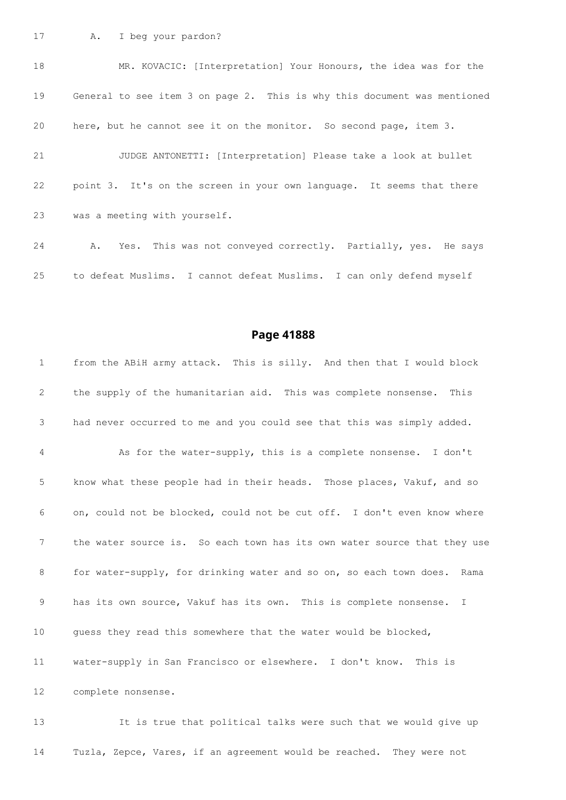A. I beg your pardon?

 MR. KOVACIC: [Interpretation] Your Honours, the idea was for the General to see item 3 on page 2. This is why this document was mentioned here, but he cannot see it on the monitor. So second page, item 3. JUDGE ANTONETTI: [Interpretation] Please take a look at bullet point 3. It's on the screen in your own language. It seems that there was a meeting with yourself. A. Yes. This was not conveyed correctly. Partially, yes. He says

to defeat Muslims. I cannot defeat Muslims. I can only defend myself

#### **Page 41888**

 from the ABiH army attack. This is silly. And then that I would block the supply of the humanitarian aid. This was complete nonsense. This had never occurred to me and you could see that this was simply added. As for the water-supply, this is a complete nonsense. I don't know what these people had in their heads. Those places, Vakuf, and so on, could not be blocked, could not be cut off. I don't even know where the water source is. So each town has its own water source that they use for water-supply, for drinking water and so on, so each town does. Rama has its own source, Vakuf has its own. This is complete nonsense. I guess they read this somewhere that the water would be blocked, water-supply in San Francisco or elsewhere. I don't know. This is complete nonsense.

 It is true that political talks were such that we would give up Tuzla, Zepce, Vares, if an agreement would be reached. They were not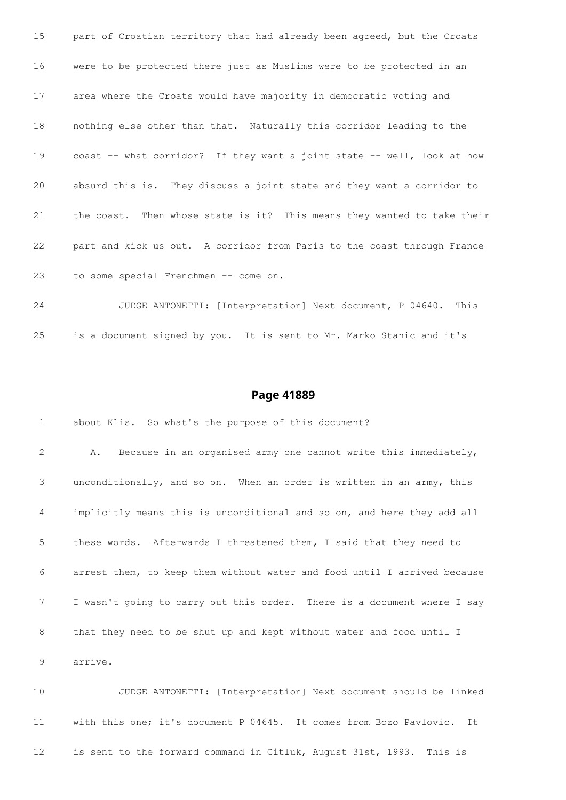part of Croatian territory that had already been agreed, but the Croats were to be protected there just as Muslims were to be protected in an area where the Croats would have majority in democratic voting and nothing else other than that. Naturally this corridor leading to the coast -- what corridor? If they want a joint state -- well, look at how absurd this is. They discuss a joint state and they want a corridor to the coast. Then whose state is it? This means they wanted to take their part and kick us out. A corridor from Paris to the coast through France to some special Frenchmen -- come on.

 JUDGE ANTONETTI: [Interpretation] Next document, P 04640. This is a document signed by you. It is sent to Mr. Marko Stanic and it's

#### **Page 41889**

 about Klis. So what's the purpose of this document? A. Because in an organised army one cannot write this immediately, unconditionally, and so on. When an order is written in an army, this implicitly means this is unconditional and so on, and here they add all these words. Afterwards I threatened them, I said that they need to arrest them, to keep them without water and food until I arrived because I wasn't going to carry out this order. There is a document where I say that they need to be shut up and kept without water and food until I arrive.

 JUDGE ANTONETTI: [Interpretation] Next document should be linked with this one; it's document P 04645. It comes from Bozo Pavlovic. It is sent to the forward command in Citluk, August 31st, 1993. This is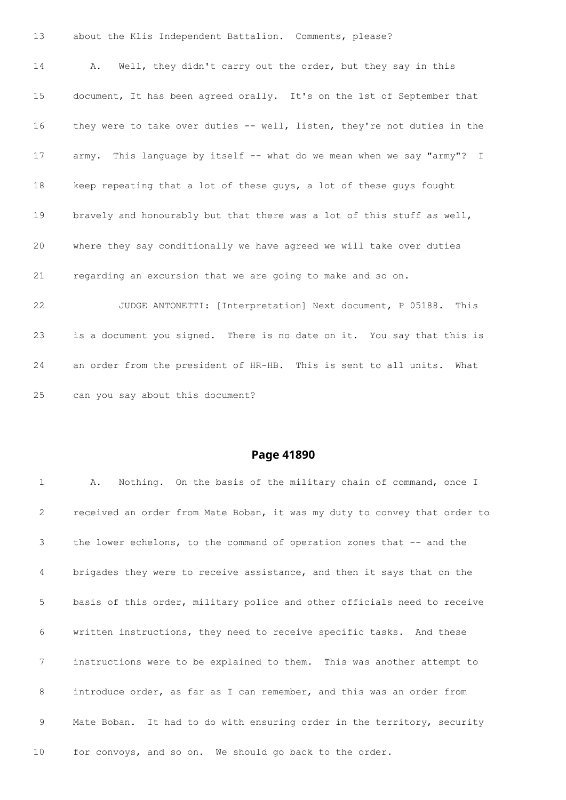| 13 | about the Klis Independent Battalion. Comments, please?                  |
|----|--------------------------------------------------------------------------|
| 14 | Well, they didn't carry out the order, but they say in this<br>Α.        |
| 15 | document, It has been agreed orally. It's on the 1st of September that   |
| 16 | they were to take over duties -- well, listen, they're not duties in the |
| 17 | army. This language by itself -- what do we mean when we say "army"? I   |
| 18 | keep repeating that a lot of these guys, a lot of these guys fought      |
| 19 | bravely and honourably but that there was a lot of this stuff as well,   |
| 20 | where they say conditionally we have agreed we will take over duties     |
| 21 | regarding an excursion that we are going to make and so on.              |
| 22 | JUDGE ANTONETTI: [Interpretation] Next document, P 05188.<br>This        |
| 23 | is a document you signed. There is no date on it. You say that this is   |
| 24 | an order from the president of HR-HB. This is sent to all units. What    |

can you say about this document?

| $\mathbf{1}$ | Nothing. On the basis of the military chain of command, once I<br>Α.      |
|--------------|---------------------------------------------------------------------------|
| 2            | received an order from Mate Boban, it was my duty to convey that order to |
| 3            | the lower echelons, to the command of operation zones that $-$ and the    |
| 4            | brigades they were to receive assistance, and then it says that on the    |
| 5            | basis of this order, military police and other officials need to receive  |
| 6            | written instructions, they need to receive specific tasks. And these      |
| 7            | instructions were to be explained to them. This was another attempt to    |
| 8            | introduce order, as far as I can remember, and this was an order from     |
| 9            | Mate Boban. It had to do with ensuring order in the territory, security   |
| 10           | for convoys, and so on. We should go back to the order.                   |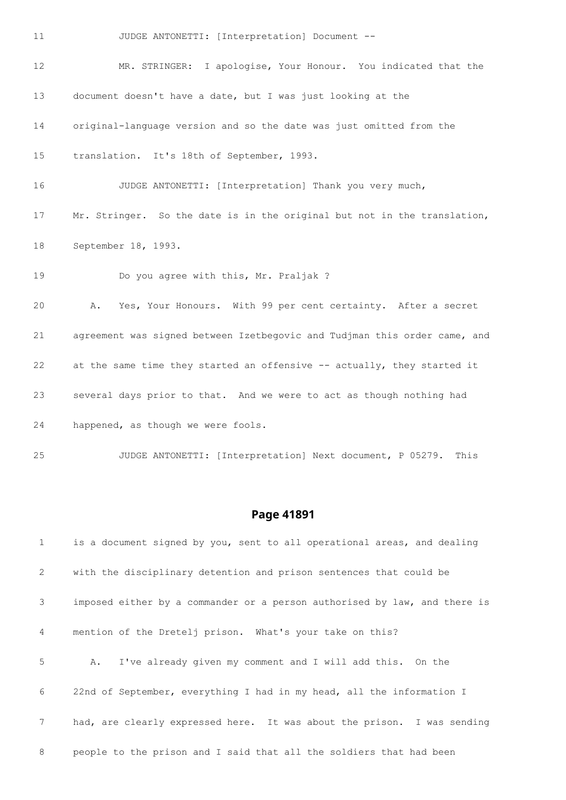| 11                | JUDGE ANTONETTI: [Interpretation] Document --                             |
|-------------------|---------------------------------------------------------------------------|
| $12 \overline{ }$ | MR. STRINGER: I apologise, Your Honour. You indicated that the            |
| 13                | document doesn't have a date, but I was just looking at the               |
| 14                | original-language version and so the date was just omitted from the       |
| 15                | translation. It's 18th of September, 1993.                                |
| 16                | JUDGE ANTONETTI: [Interpretation] Thank you very much,                    |
| 17                | Mr. Stringer. So the date is in the original but not in the translation,  |
| 18                | September 18, 1993.                                                       |
| 19                | Do you agree with this, Mr. Praljak ?                                     |
| 20                | Yes, Your Honours. With 99 per cent certainty. After a secret<br>Α.       |
| 21                | agreement was signed between Izetbegovic and Tudjman this order came, and |
| 22                | at the same time they started an offensive -- actually, they started it   |
| 23                | several days prior to that. And we were to act as though nothing had      |
| 24                | happened, as though we were fools.                                        |
| 25                | JUDGE ANTONETTI: [Interpretation] Next document, P 05279.<br>This         |

| $\mathbf{1}$    | is a document signed by you, sent to all operational areas, and dealing   |
|-----------------|---------------------------------------------------------------------------|
| 2               | with the disciplinary detention and prison sentences that could be        |
| 3               | imposed either by a commander or a person authorised by law, and there is |
| $\overline{4}$  | mention of the Dretelj prison. What's your take on this?                  |
| 5               | I've already given my comment and I will add this. On the<br>Α.           |
| 6               | 22nd of September, everything I had in my head, all the information I     |
| $7\overline{ }$ | had, are clearly expressed here. It was about the prison. I was sending   |
| 8               | people to the prison and I said that all the soldiers that had been       |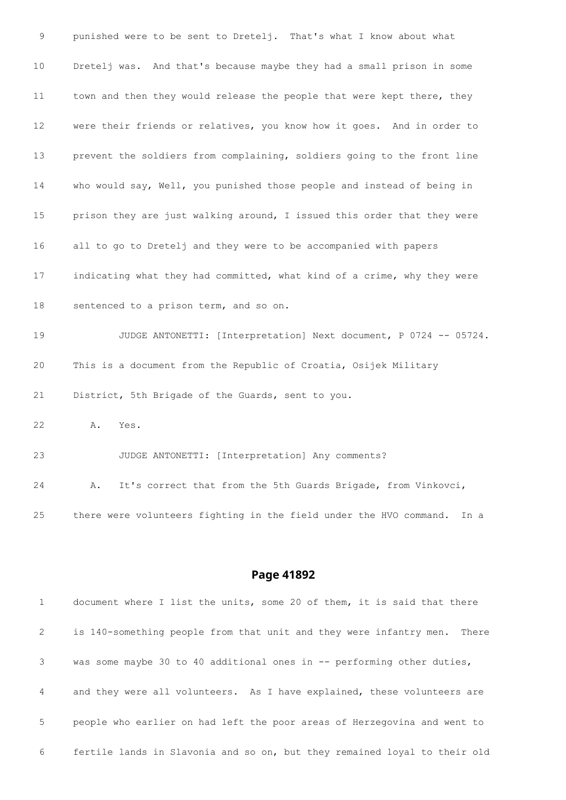punished were to be sent to Dretelj. That's what I know about what Dretelj was. And that's because maybe they had a small prison in some 11 town and then they would release the people that were kept there, they were their friends or relatives, you know how it goes. And in order to prevent the soldiers from complaining, soldiers going to the front line who would say, Well, you punished those people and instead of being in prison they are just walking around, I issued this order that they were all to go to Dretelj and they were to be accompanied with papers indicating what they had committed, what kind of a crime, why they were sentenced to a prison term, and so on. JUDGE ANTONETTI: [Interpretation] Next document, P 0724 -- 05724. This is a document from the Republic of Croatia, Osijek Military District, 5th Brigade of the Guards, sent to you. A. Yes. JUDGE ANTONETTI: [Interpretation] Any comments? A. It's correct that from the 5th Guards Brigade, from Vinkovci, there were volunteers fighting in the field under the HVO command. In a

| 1              | document where I list the units, some 20 of them, it is said that there     |
|----------------|-----------------------------------------------------------------------------|
| 2              | is 140-something people from that unit and they were infantry men.<br>There |
| 3              | was some maybe 30 to 40 additional ones in $-$ performing other duties,     |
| $\overline{4}$ | and they were all volunteers. As I have explained, these volunteers are     |
| 5              | people who earlier on had left the poor areas of Herzegovina and went to    |
| 6              | fertile lands in Slavonia and so on, but they remained loyal to their old   |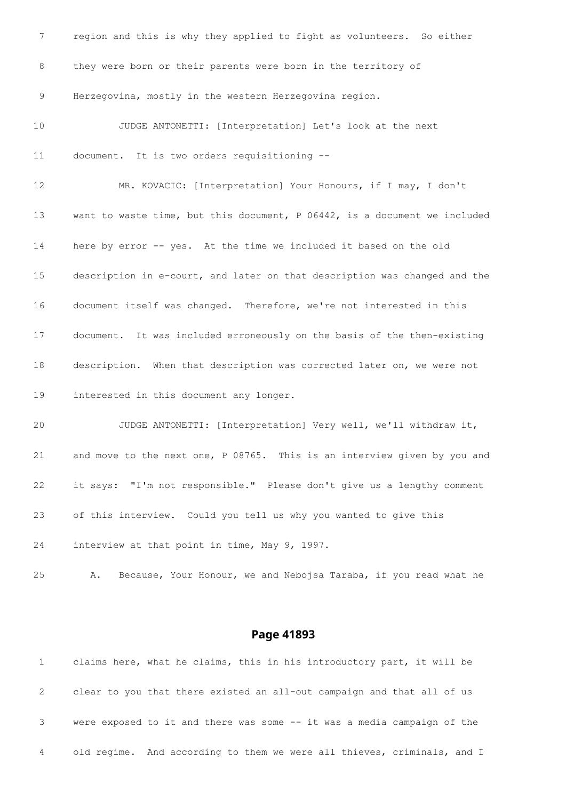| 7  | region and this is why they applied to fight as volunteers. So either     |
|----|---------------------------------------------------------------------------|
| 8  | they were born or their parents were born in the territory of             |
| 9  | Herzegovina, mostly in the western Herzegovina region.                    |
| 10 | JUDGE ANTONETTI: [Interpretation] Let's look at the next                  |
| 11 | document. It is two orders requisitioning --                              |
| 12 | MR. KOVACIC: [Interpretation] Your Honours, if I may, I don't             |
| 13 | want to waste time, but this document, P 06442, is a document we included |
| 14 | here by error -- yes. At the time we included it based on the old         |
| 15 | description in e-court, and later on that description was changed and the |
| 16 | document itself was changed. Therefore, we're not interested in this      |
| 17 | document. It was included erroneously on the basis of the then-existing   |
| 18 | description. When that description was corrected later on, we were not    |
| 19 | interested in this document any longer.                                   |
| 20 | JUDGE ANTONETTI: [Interpretation] Very well, we'll withdraw it,           |
| 21 | and move to the next one, P 08765. This is an interview given by you and  |
| 22 | it says: "I'm not responsible." Please don't give us a lengthy comment    |
| 23 | of this interview. Could you tell us why you wanted to give this          |
| 24 | interview at that point in time, May 9, 1997.                             |
| 25 | Because, Your Honour, we and Nebojsa Taraba, if you read what he<br>Α.    |

|   | claims here, what he claims, this in his introductory part, it will be  |
|---|-------------------------------------------------------------------------|
| 2 | clear to you that there existed an all-out campaign and that all of us  |
|   | were exposed to it and there was some -- it was a media campaign of the |
| 4 | old regime. And according to them we were all thieves, criminals, and I |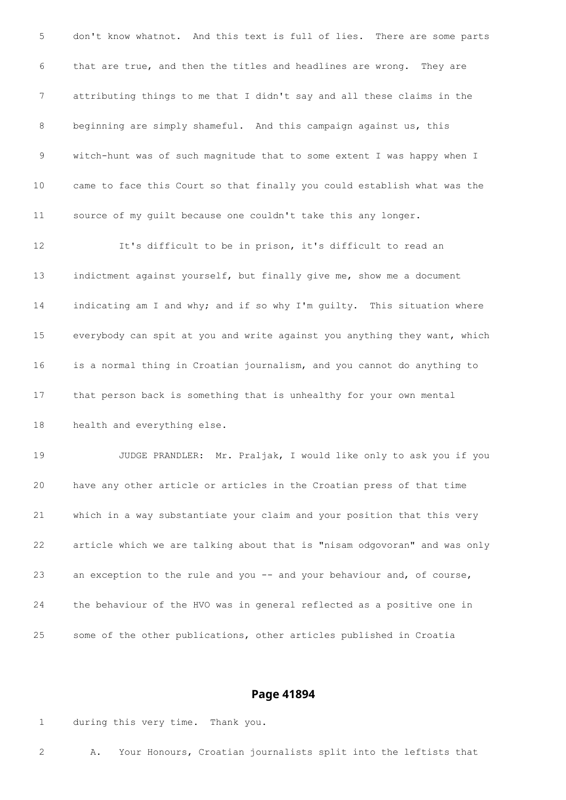don't know whatnot. And this text is full of lies. There are some parts that are true, and then the titles and headlines are wrong. They are attributing things to me that I didn't say and all these claims in the beginning are simply shameful. And this campaign against us, this witch-hunt was of such magnitude that to some extent I was happy when I came to face this Court so that finally you could establish what was the source of my guilt because one couldn't take this any longer. It's difficult to be in prison, it's difficult to read an indictment against yourself, but finally give me, show me a document 14 indicating am I and why; and if so why I'm guilty. This situation where

 everybody can spit at you and write against you anything they want, which is a normal thing in Croatian journalism, and you cannot do anything to that person back is something that is unhealthy for your own mental health and everything else.

 JUDGE PRANDLER: Mr. Praljak, I would like only to ask you if you have any other article or articles in the Croatian press of that time which in a way substantiate your claim and your position that this very article which we are talking about that is "nisam odgovoran" and was only 23 an exception to the rule and you -- and your behaviour and, of course, the behaviour of the HVO was in general reflected as a positive one in some of the other publications, other articles published in Croatia

#### **Page 41894**

during this very time. Thank you.

A. Your Honours, Croatian journalists split into the leftists that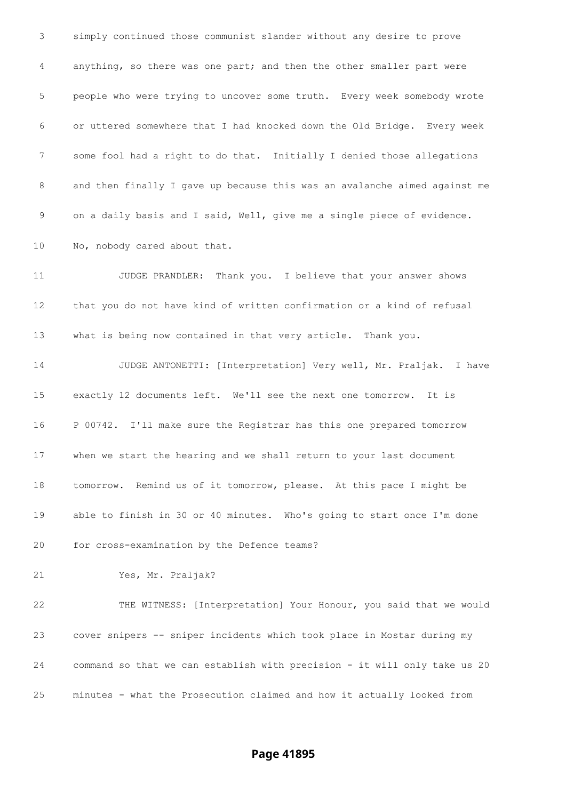simply continued those communist slander without any desire to prove anything, so there was one part; and then the other smaller part were people who were trying to uncover some truth. Every week somebody wrote or uttered somewhere that I had knocked down the Old Bridge. Every week some fool had a right to do that. Initially I denied those allegations and then finally I gave up because this was an avalanche aimed against me on a daily basis and I said, Well, give me a single piece of evidence. 10 No, nobody cared about that. 11 JUDGE PRANDLER: Thank you. I believe that your answer shows that you do not have kind of written confirmation or a kind of refusal what is being now contained in that very article. Thank you. JUDGE ANTONETTI: [Interpretation] Very well, Mr. Praljak. I have exactly 12 documents left. We'll see the next one tomorrow. It is P 00742. I'll make sure the Registrar has this one prepared tomorrow when we start the hearing and we shall return to your last document tomorrow. Remind us of it tomorrow, please. At this pace I might be able to finish in 30 or 40 minutes. Who's going to start once I'm done for cross-examination by the Defence teams? Yes, Mr. Praljak? THE WITNESS: [Interpretation] Your Honour, you said that we would cover snipers -- sniper incidents which took place in Mostar during my command so that we can establish with precision - it will only take us 20 minutes - what the Prosecution claimed and how it actually looked from